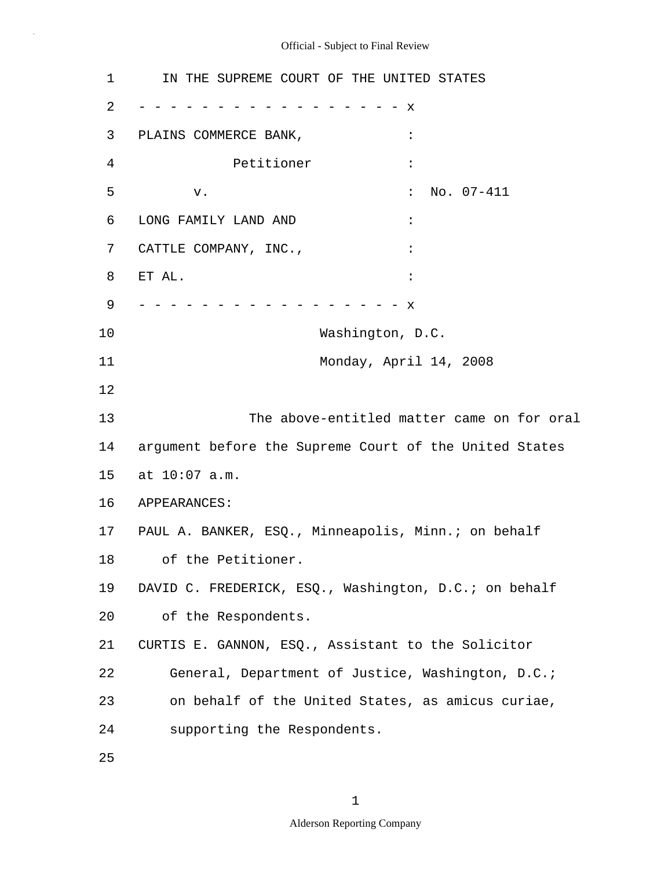3 PLAINS COMMERCE BANK,  $\cdot$ 7 CATTLE COMPANY, INC.,  $\cdot$ 5 10 15 20 25 1 IN THE SUPREME COURT OF THE UNITED STATES 2 - - - - - - - - - - - - - - - - - x 4 Petitioner : v.  $\qquad \qquad$  : No. 07-411 6 LONG FAMILY LAND AND : 8 ET AL. : 9 - - - - - - - - - - - - - - - - - x Washington, D.C. 11 Monday, April 14, 2008 12 13 The above-entitled matter came on for oral 14 argument before the Supreme Court of the United States at 10:07 a.m. 16 APPEARANCES: 17 PAUL A. BANKER, ESQ., Minneapolis, Minn.; on behalf 18 of the Petitioner. 19 DAVID C. FREDERICK, ESQ., Washington, D.C.; on behalf of the Respondents. 21 CURTIS E. GANNON, ESQ., Assistant to the Solicitor 22 General, Department of Justice, Washington, D.C.; 23 on behalf of the United States, as amicus curiae, 24 supporting the Respondents.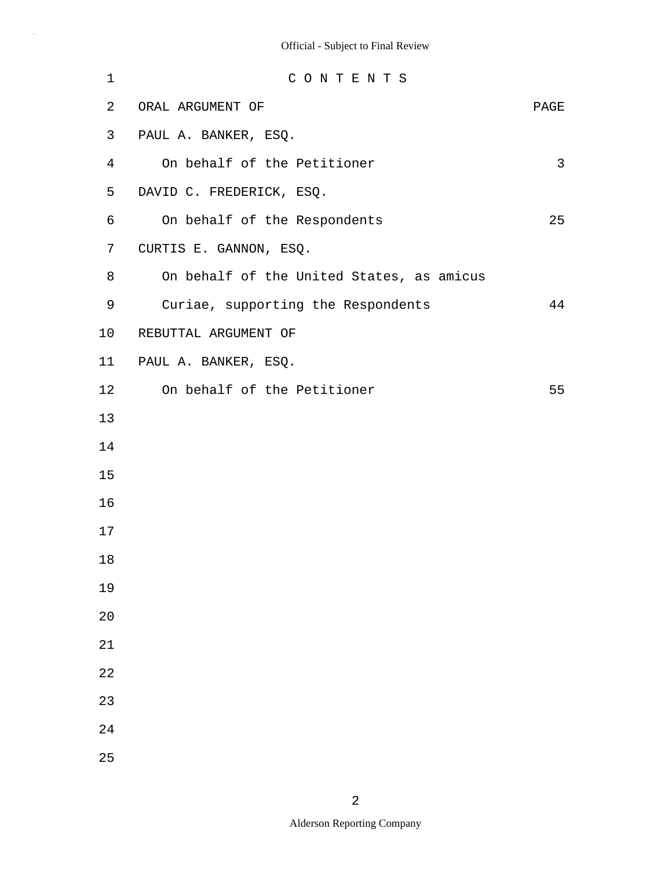| 1              | CONTENTS                                  |      |
|----------------|-------------------------------------------|------|
| 2              | ORAL ARGUMENT OF                          | PAGE |
| 3              | PAUL A. BANKER, ESQ.                      |      |
| $\overline{4}$ | On behalf of the Petitioner               | 3    |
| 5              | DAVID C. FREDERICK, ESQ.                  |      |
| 6              | On behalf of the Respondents              | 25   |
| 7              | CURTIS E. GANNON, ESQ.                    |      |
| 8              | On behalf of the United States, as amicus |      |
| 9              | Curiae, supporting the Respondents        | 44   |
| 10             | REBUTTAL ARGUMENT OF                      |      |
| 11             | PAUL A. BANKER, ESQ.                      |      |
| 12             | On behalf of the Petitioner               | 55   |
| 13             |                                           |      |
| 14             |                                           |      |
| 15             |                                           |      |
| 16             |                                           |      |
| 17             |                                           |      |
| 18             |                                           |      |
| 19             |                                           |      |
| 20             |                                           |      |
| 21             |                                           |      |
| 22             |                                           |      |
| 23             |                                           |      |
| 24             |                                           |      |
| 25             |                                           |      |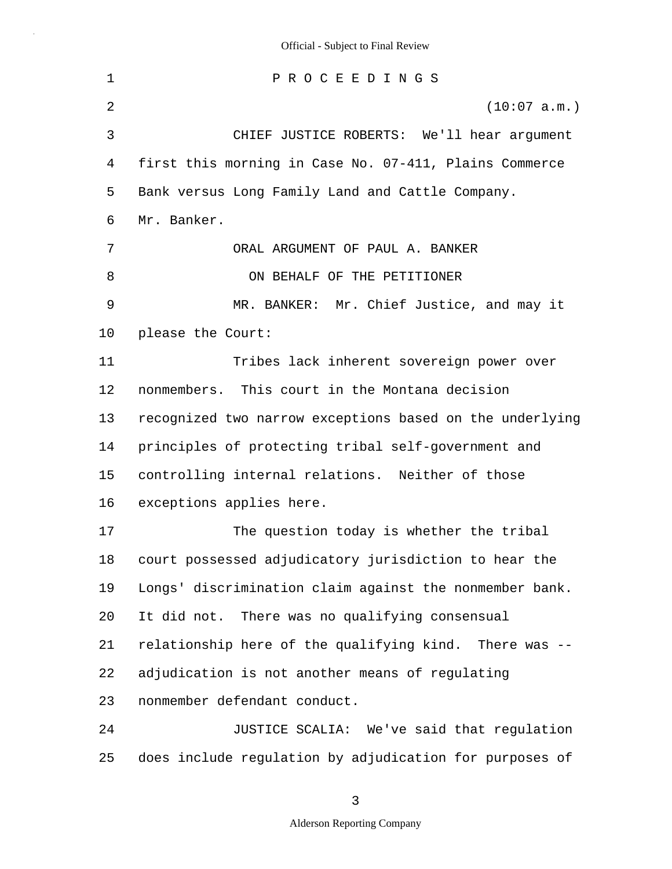5 10 15 20 25 1 P R O C E E D I N G S 2 (10:07 a.m.) 3 CHIEF JUSTICE ROBERTS: We'll hear argument 4 first this morning in Case No. 07-411, Plains Commerce Bank versus Long Family Land and Cattle Company. 6 Mr. Banker. 7 ORAL ARGUMENT OF PAUL A. BANKER 8 ON BEHALF OF THE PETITIONER 9 MR. BANKER: Mr. Chief Justice, and may it please the Court: 11 Tribes lack inherent sovereign power over 12 nonmembers. This court in the Montana decision 13 recognized two narrow exceptions based on the underlying 14 principles of protecting tribal self-government and controlling internal relations. Neither of those 16 exceptions applies here. 17 The question today is whether the tribal 18 court possessed adjudicatory jurisdiction to hear the 19 Longs' discrimination claim against the nonmember bank. It did not. There was no qualifying consensual 21 relationship here of the qualifying kind. There was -- 22 adjudication is not another means of regulating 23 nonmember defendant conduct. 24 JUSTICE SCALIA: We've said that regulation does include regulation by adjudication for purposes of

3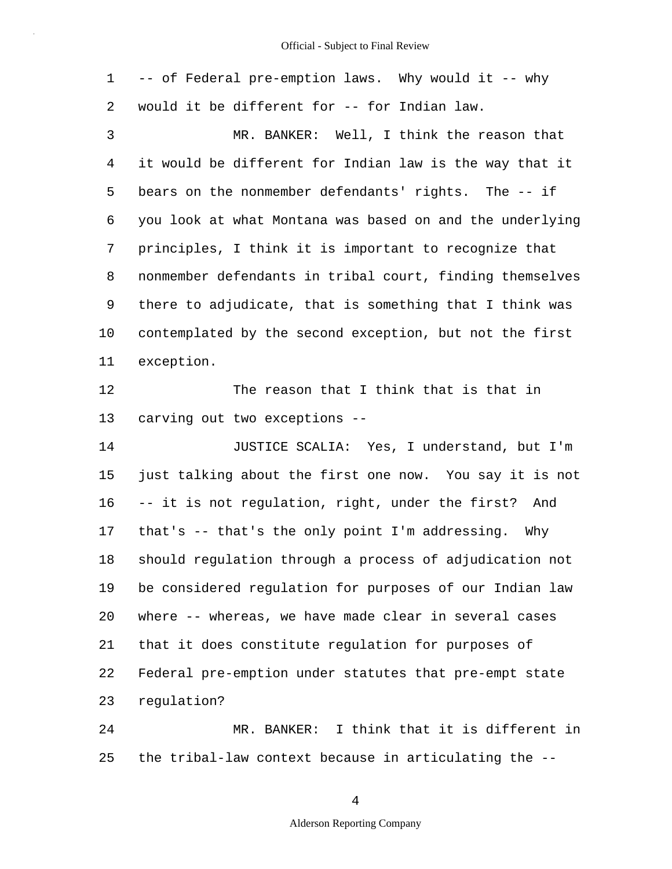|  |  |                                                |  |  | 1 -- of Federal pre-emption laws. Why would it -- why |  |
|--|--|------------------------------------------------|--|--|-------------------------------------------------------|--|
|  |  | 2 would it be different for -- for Indian law. |  |  |                                                       |  |
|  |  |                                                |  |  | MR. BANKER: Well, I think the reason that             |  |

5 10 4 it would be different for Indian law is the way that it bears on the nonmember defendants' rights. The -- if 6 you look at what Montana was based on and the underlying 7 principles, I think it is important to recognize that 8 nonmember defendants in tribal court, finding themselves 9 there to adjudicate, that is something that I think was contemplated by the second exception, but not the first 11 exception.

12 The reason that I think that is that in 13 carving out two exceptions --

15 20 14 JUSTICE SCALIA: Yes, I understand, but I'm just talking about the first one now. You say it is not 16 -- it is not regulation, right, under the first? And 17 that's -- that's the only point I'm addressing. Why 18 should regulation through a process of adjudication not 19 be considered regulation for purposes of our Indian law where -- whereas, we have made clear in several cases 21 that it does constitute regulation for purposes of 22 Federal pre-emption under statutes that pre-empt state 23 regulation?

25 24 MR. BANKER: I think that it is different in the tribal-law context because in articulating the --

4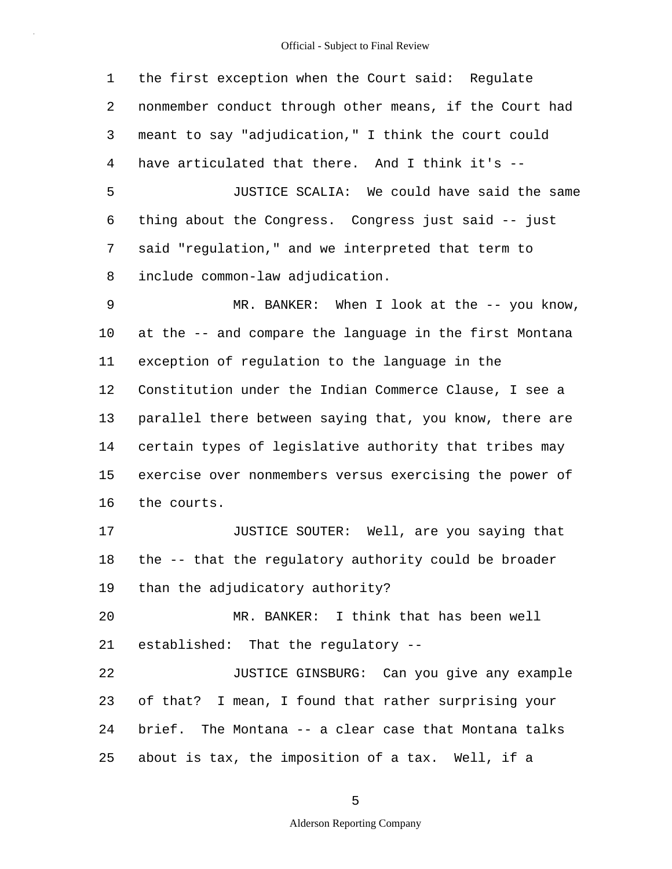5 10 15 20 25 1 the first exception when the Court said: Regulate 2 nonmember conduct through other means, if the Court had 3 meant to say "adjudication," I think the court could 4 have articulated that there. And I think it's -- JUSTICE SCALIA: We could have said the same 6 thing about the Congress. Congress just said -- just 7 said "regulation," and we interpreted that term to 8 include common-law adjudication. 9 MR. BANKER: When I look at the -- you know, at the -- and compare the language in the first Montana 11 exception of regulation to the language in the 12 Constitution under the Indian Commerce Clause, I see a 13 parallel there between saying that, you know, there are 14 certain types of legislative authority that tribes may exercise over nonmembers versus exercising the power of 16 the courts. 17 **JUSTICE SOUTER:** Well, are you saying that 18 the -- that the regulatory authority could be broader 19 than the adjudicatory authority? MR. BANKER: I think that has been well 21 established: That the regulatory -- 22 JUSTICE GINSBURG: Can you give any example 23 of that? I mean, I found that rather surprising your 24 brief. The Montana -- a clear case that Montana talks about is tax, the imposition of a tax. Well, if a

5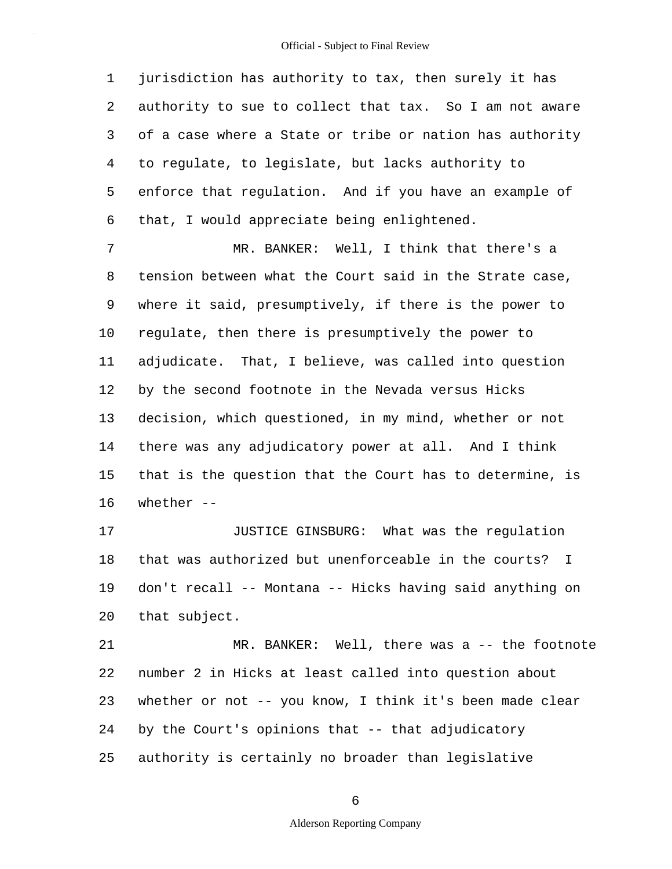5 1 jurisdiction has authority to tax, then surely it has 2 authority to sue to collect that tax. So I am not aware 3 of a case where a State or tribe or nation has authority 4 to regulate, to legislate, but lacks authority to enforce that regulation. And if you have an example of 6 that, I would appreciate being enlightened.

10 15 7 MR. BANKER: Well, I think that there's a 8 tension between what the Court said in the Strate case, 9 where it said, presumptively, if there is the power to regulate, then there is presumptively the power to 11 adjudicate. That, I believe, was called into question 12 by the second footnote in the Nevada versus Hicks 13 decision, which questioned, in my mind, whether or not 14 there was any adjudicatory power at all. And I think that is the question that the Court has to determine, is 16 whether --

20 17 **JUSTICE GINSBURG:** What was the requlation 18 that was authorized but unenforceable in the courts? I 19 don't recall -- Montana -- Hicks having said anything on that subject.

25 21 MR. BANKER: Well, there was a -- the footnote 22 number 2 in Hicks at least called into question about 23 whether or not -- you know, I think it's been made clear 24 by the Court's opinions that -- that adjudicatory authority is certainly no broader than legislative

6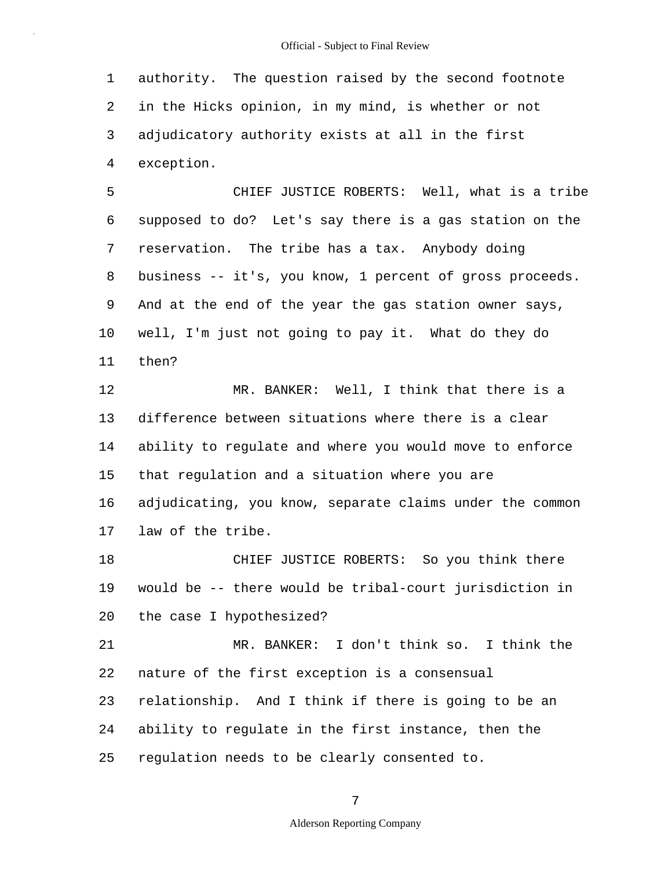1 authority. The question raised by the second footnote 2 in the Hicks opinion, in my mind, is whether or not 3 adjudicatory authority exists at all in the first 4 exception.

5 10 CHIEF JUSTICE ROBERTS: Well, what is a tribe 6 supposed to do? Let's say there is a gas station on the 7 reservation. The tribe has a tax. Anybody doing 8 business -- it's, you know, 1 percent of gross proceeds. 9 And at the end of the year the gas station owner says, well, I'm just not going to pay it. What do they do 11 then?

15 12 MR. BANKER: Well, I think that there is a 13 difference between situations where there is a clear 14 ability to regulate and where you would move to enforce that regulation and a situation where you are 16 adjudicating, you know, separate claims under the common 17 law of the tribe.

20 18 CHIEF JUSTICE ROBERTS: So you think there 19 would be -- there would be tribal-court jurisdiction in the case I hypothesized?

25 21 MR. BANKER: I don't think so. I think the 22 nature of the first exception is a consensual 23 relationship. And I think if there is going to be an 24 ability to regulate in the first instance, then the regulation needs to be clearly consented to.

7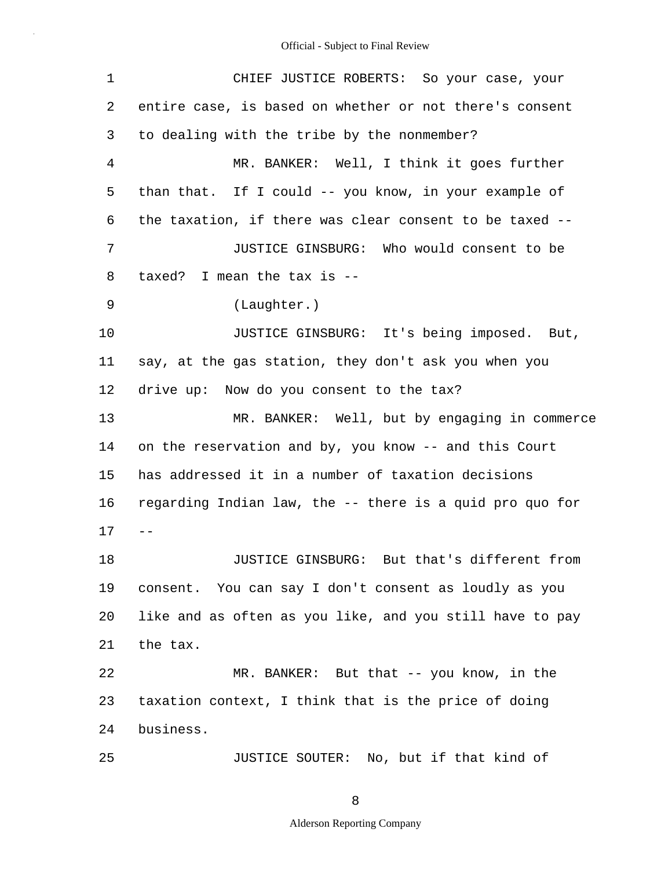| 1              | CHIEF JUSTICE ROBERTS: So your case, your                |
|----------------|----------------------------------------------------------|
| 2              | entire case, is based on whether or not there's consent  |
| 3              | to dealing with the tribe by the nonmember?              |
| $\overline{4}$ | MR. BANKER: Well, I think it goes further                |
| 5              | than that. If I could -- you know, in your example of    |
| 6              | the taxation, if there was clear consent to be taxed --  |
| 7              | JUSTICE GINSBURG: Who would consent to be                |
| 8              | taxed? I mean the tax is $-$ -                           |
| 9              | (Laughter.)                                              |
| 10             | JUSTICE GINSBURG: It's being imposed. But,               |
| 11             | say, at the gas station, they don't ask you when you     |
| 12             | drive up: Now do you consent to the tax?                 |
| 13             | MR. BANKER: Well, but by engaging in commerce            |
| 14             | on the reservation and by, you know -- and this Court    |
| 15             | has addressed it in a number of taxation decisions       |
| 16             | regarding Indian law, the -- there is a quid pro quo for |
| 17             |                                                          |
| 18             | But that's different from<br>JUSTICE GINSBURG:           |
| 19             | consent. You can say I don't consent as loudly as you    |
| 20             | like and as often as you like, and you still have to pay |
| 21             | the tax.                                                 |
| 22             | MR. BANKER: But that -- you know, in the                 |
| 23             | taxation context, I think that is the price of doing     |
| 24             | business.                                                |
| 25             | JUSTICE SOUTER: No, but if that kind of                  |

8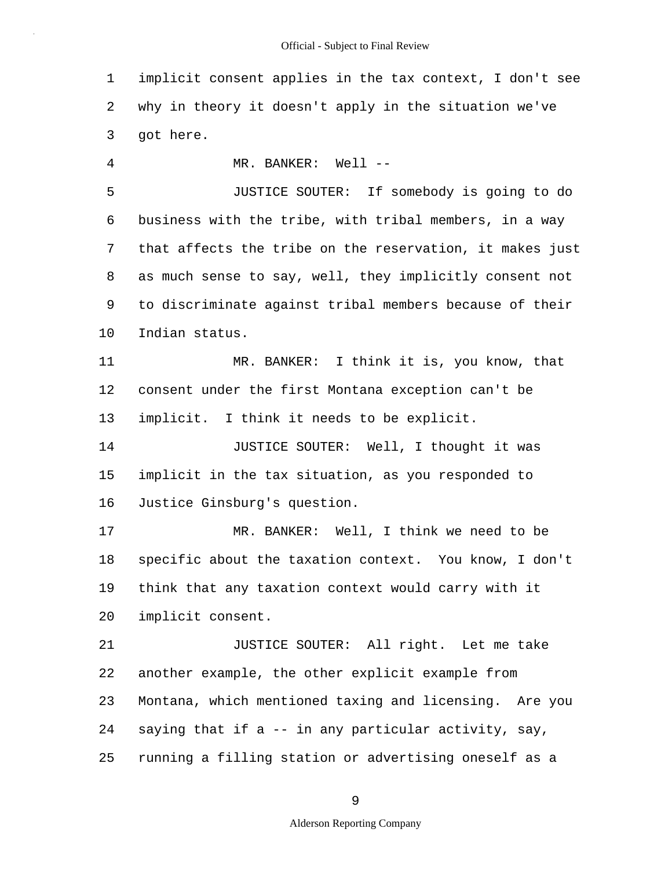1 implicit consent applies in the tax context, I don't see 2 why in theory it doesn't apply in the situation we've 3 got here.

4 MR. BANKER: Well --

5 10 JUSTICE SOUTER: If somebody is going to do 6 business with the tribe, with tribal members, in a way 7 that affects the tribe on the reservation, it makes just 8 as much sense to say, well, they implicitly consent not 9 to discriminate against tribal members because of their Indian status.

11 MR. BANKER: I think it is, you know, that 12 consent under the first Montana exception can't be 13 implicit. I think it needs to be explicit.

15 14 **JUSTICE SOUTER:** Well, I thought it was implicit in the tax situation, as you responded to 16 Justice Ginsburg's question.

20 17 MR. BANKER: Well, I think we need to be 18 specific about the taxation context. You know, I don't 19 think that any taxation context would carry with it implicit consent.

25 21 JUSTICE SOUTER: All right. Let me take 22 another example, the other explicit example from 23 Montana, which mentioned taxing and licensing. Are you 24 saying that if a -- in any particular activity, say, running a filling station or advertising oneself as a

9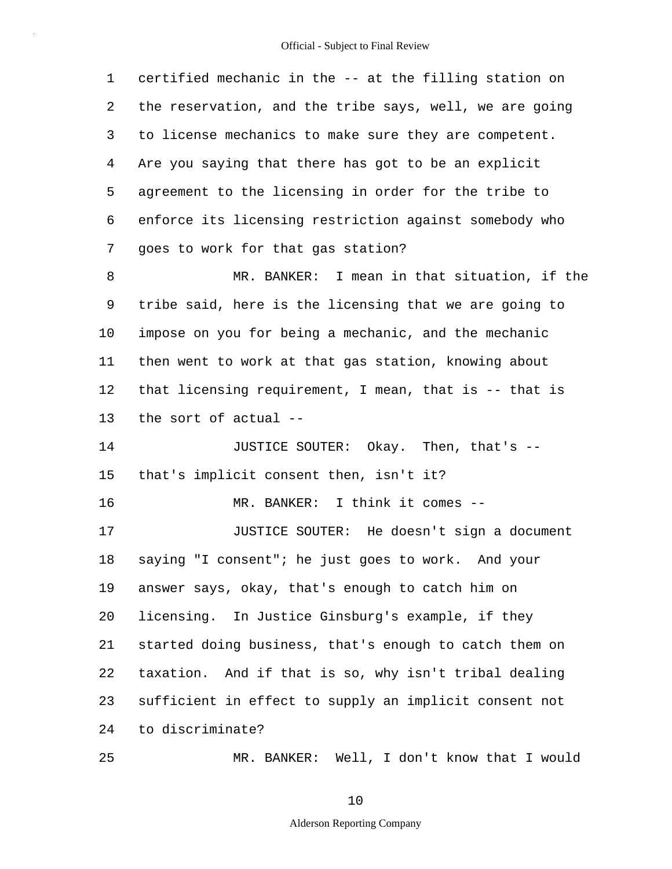| 1       | certified mechanic in the -- at the filling station on  |
|---------|---------------------------------------------------------|
| 2       | the reservation, and the tribe says, well, we are going |
| 3       | to license mechanics to make sure they are competent.   |
| 4       | Are you saying that there has got to be an explicit     |
| 5       | agreement to the licensing in order for the tribe to    |
| 6       | enforce its licensing restriction against somebody who  |
| 7       | goes to work for that gas station?                      |
| 8       | MR. BANKER: I mean in that situation, if the            |
| 9       | tribe said, here is the licensing that we are going to  |
| $10 \,$ | impose on you for being a mechanic, and the mechanic    |
| 11      | then went to work at that gas station, knowing about    |
| 12      | that licensing requirement, I mean, that is -- that is  |
| 13      | the sort of actual --                                   |
| 14      | JUSTICE SOUTER: Okay. Then, that's --                   |
| 15      | that's implicit consent then, isn't it?                 |
| 16      | MR. BANKER: I think it comes --                         |
| 17      | JUSTICE SOUTER: He doesn't sign a document              |
| 18      | saying "I consent"; he just goes to work. And your      |
| 19      | answer says, okay, that's enough to catch him on        |
| 20      | licensing. In Justice Ginsburg's example, if they       |
| 21      | started doing business, that's enough to catch them on  |
| 22      | taxation. And if that is so, why isn't tribal dealing   |
| 23      | sufficient in effect to supply an implicit consent not  |
| 24      | to discriminate?                                        |
| 25      | MR. BANKER: Well, I don't know that I would             |

10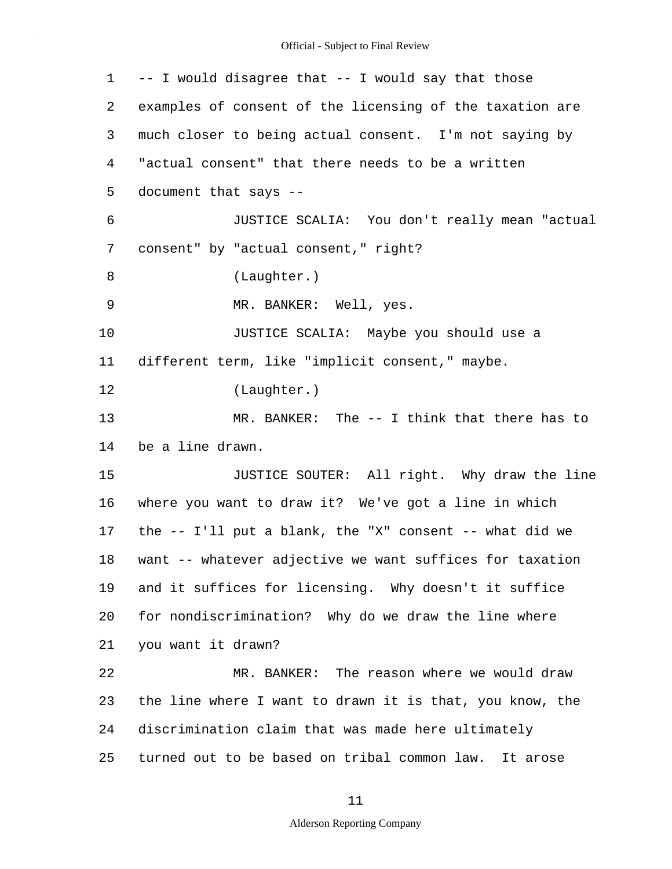| 1  | -- I would disagree that -- I would say that those          |
|----|-------------------------------------------------------------|
| 2  | examples of consent of the licensing of the taxation are    |
| 3  | much closer to being actual consent. I'm not saying by      |
| 4  | "actual consent" that there needs to be a written           |
| 5  | document that says --                                       |
| 6  | JUSTICE SCALIA: You don't really mean "actual               |
| 7  | consent" by "actual consent," right?                        |
| 8  | (Laughter.)                                                 |
| 9  | MR. BANKER: Well, yes.                                      |
| 10 | JUSTICE SCALIA: Maybe you should use a                      |
| 11 | different term, like "implicit consent," maybe.             |
| 12 | (Laughter.)                                                 |
| 13 | $MR. BANKER: The -- I think that there has to$              |
| 14 | be a line drawn.                                            |
| 15 | JUSTICE SOUTER: All right. Why draw the line                |
| 16 | where you want to draw it? We've got a line in which        |
| 17 | the $--$ I'll put a blank, the "X" consent $--$ what did we |
| 18 | want -- whatever adjective we want suffices for taxation    |
| 19 | and it suffices for licensing. Why doesn't it suffice       |
| 20 | for nondiscrimination? Why do we draw the line where        |
| 21 | you want it drawn?                                          |
| 22 | MR. BANKER: The reason where we would draw                  |
| 23 | the line where I want to drawn it is that, you know, the    |
| 24 | discrimination claim that was made here ultimately          |
| 25 | turned out to be based on tribal common law.<br>It arose    |

# 11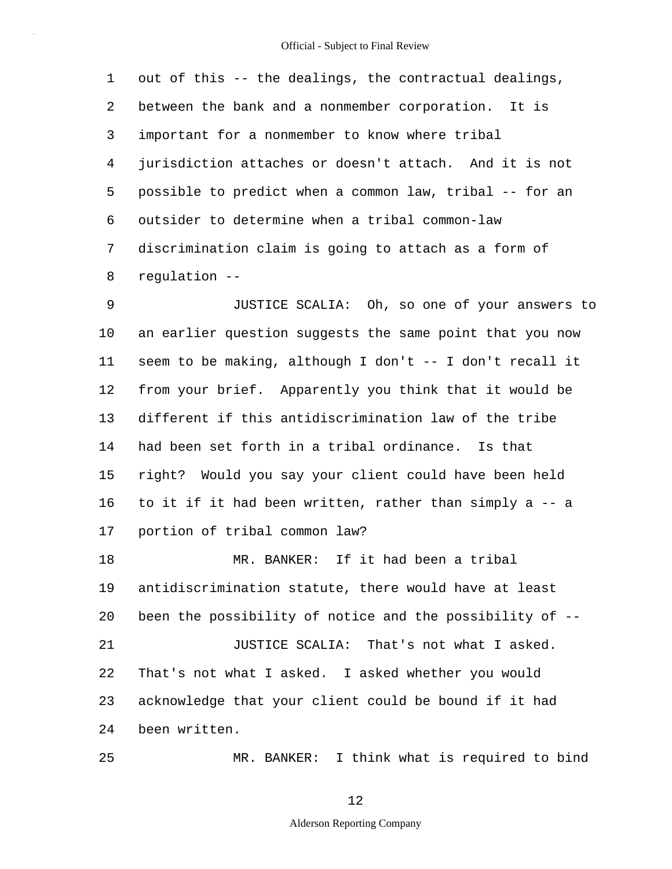5 1 out of this -- the dealings, the contractual dealings, 2 between the bank and a nonmember corporation. It is 3 important for a nonmember to know where tribal 4 jurisdiction attaches or doesn't attach. And it is not possible to predict when a common law, tribal -- for an 6 outsider to determine when a tribal common-law 7 discrimination claim is going to attach as a form of 8 regulation --

10 15 9 JUSTICE SCALIA: Oh, so one of your answers to an earlier question suggests the same point that you now 11 seem to be making, although I don't -- I don't recall it 12 from your brief. Apparently you think that it would be 13 different if this antidiscrimination law of the tribe 14 had been set forth in a tribal ordinance. Is that right? Would you say your client could have been held 16 to it if it had been written, rather than simply a -- a 17 portion of tribal common law?

20 18 MR. BANKER: If it had been a tribal 19 antidiscrimination statute, there would have at least been the possibility of notice and the possibility of -- 21 **JUSTICE SCALIA:** That's not what I asked. 22 That's not what I asked. I asked whether you would 23 acknowledge that your client could be bound if it had 24 been written.

25

MR. BANKER: I think what is required to bind

12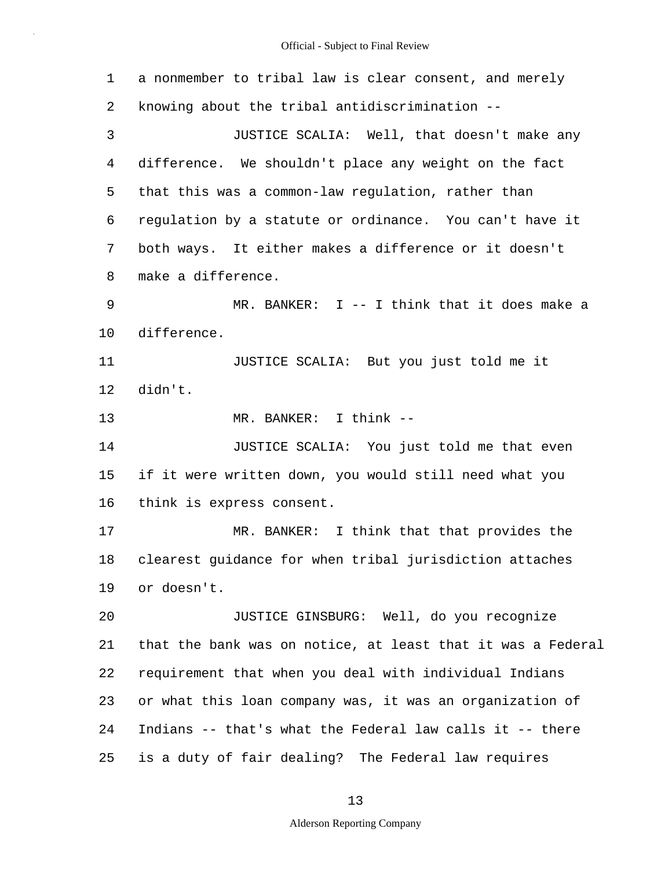5 10 15 20 25 1 a nonmember to tribal law is clear consent, and merely 2 knowing about the tribal antidiscrimination -- 3 JUSTICE SCALIA: Well, that doesn't make any 4 difference. We shouldn't place any weight on the fact that this was a common-law regulation, rather than 6 regulation by a statute or ordinance. You can't have it 7 both ways. It either makes a difference or it doesn't 8 make a difference. 9 MR. BANKER: I -- I think that it does make a difference. 11 JUSTICE SCALIA: But you just told me it 12 didn't. 13 MR. BANKER: I think -- 14 JUSTICE SCALIA: You just told me that even if it were written down, you would still need what you 16 think is express consent. 17 MR. BANKER: I think that that provides the 18 clearest guidance for when tribal jurisdiction attaches 19 or doesn't. JUSTICE GINSBURG: Well, do you recognize 21 that the bank was on notice, at least that it was a Federal 22 requirement that when you deal with individual Indians 23 or what this loan company was, it was an organization of 24 Indians -- that's what the Federal law calls it -- there is a duty of fair dealing? The Federal law requires

13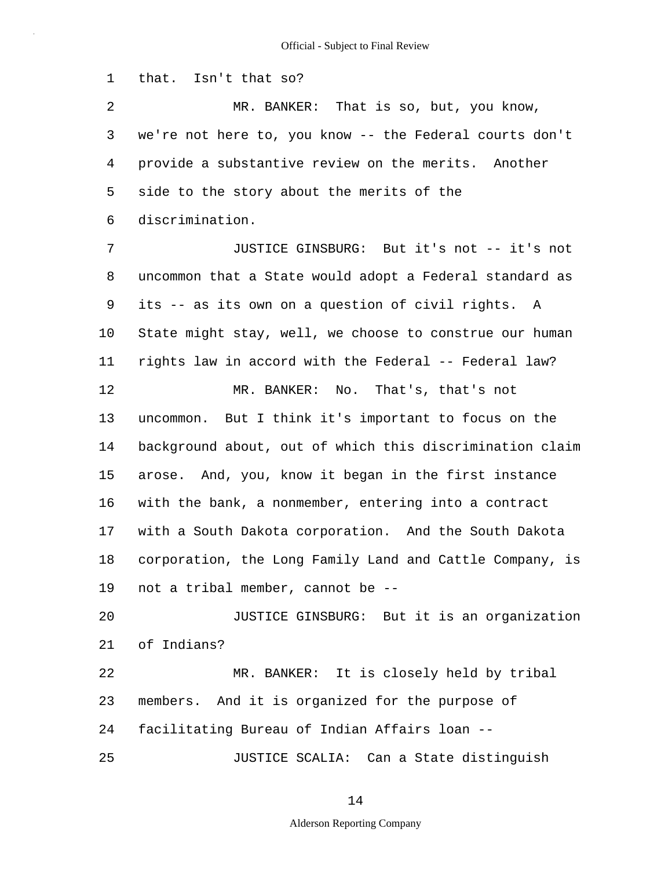1 that. Isn't that so?

5 2 MR. BANKER: That is so, but, you know, 3 we're not here to, you know -- the Federal courts don't 4 provide a substantive review on the merits. Another side to the story about the merits of the 6 discrimination.

10 15 7 JUSTICE GINSBURG: But it's not -- it's not 8 uncommon that a State would adopt a Federal standard as 9 its -- as its own on a question of civil rights. A State might stay, well, we choose to construe our human 11 rights law in accord with the Federal -- Federal law? 12 MR. BANKER: No. That's, that's not 13 uncommon. But I think it's important to focus on the 14 background about, out of which this discrimination claim arose. And, you, know it began in the first instance 16 with the bank, a nonmember, entering into a contract 17 with a South Dakota corporation. And the South Dakota 18 corporation, the Long Family Land and Cattle Company, is 19 not a tribal member, cannot be --

20 JUSTICE GINSBURG: But it is an organization 21 of Indians? 22 MR. BANKER: It is closely held by tribal 23 members. And it is organized for the purpose of 24 facilitating Bureau of Indian Affairs loan --

25 JUSTICE SCALIA: Can a State distinguish

14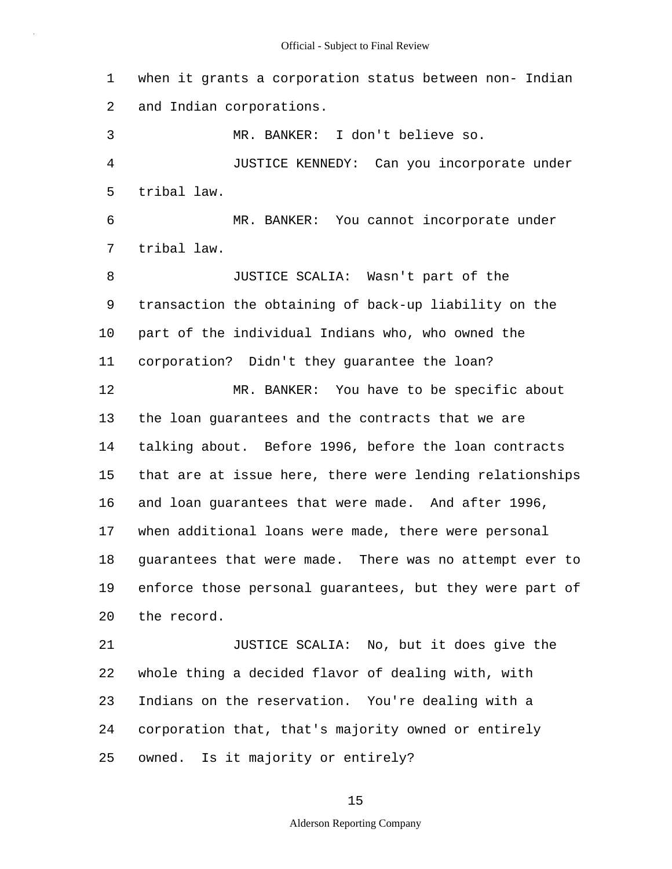1 when it grants a corporation status between non- Indian 2 and Indian corporations. 3 MR. BANKER: I don't believe so. 4 JUSTICE KENNEDY: Can you incorporate under

5 tribal law.

6 MR. BANKER: You cannot incorporate under 7 tribal law.

10 15 8 JUSTICE SCALIA: Wasn't part of the 9 transaction the obtaining of back-up liability on the part of the individual Indians who, who owned the 11 corporation? Didn't they guarantee the loan? 12 MR. BANKER: You have to be specific about 13 the loan guarantees and the contracts that we are 14 talking about. Before 1996, before the loan contracts that are at issue here, there were lending relationships 16 and loan guarantees that were made. And after 1996, 17 when additional loans were made, there were personal 18 guarantees that were made. There was no attempt ever to 19 enforce those personal guarantees, but they were part of

20 the record.

25 21 JUSTICE SCALIA: No, but it does give the 22 whole thing a decided flavor of dealing with, with 23 Indians on the reservation. You're dealing with a 24 corporation that, that's majority owned or entirely owned. Is it majority or entirely?

15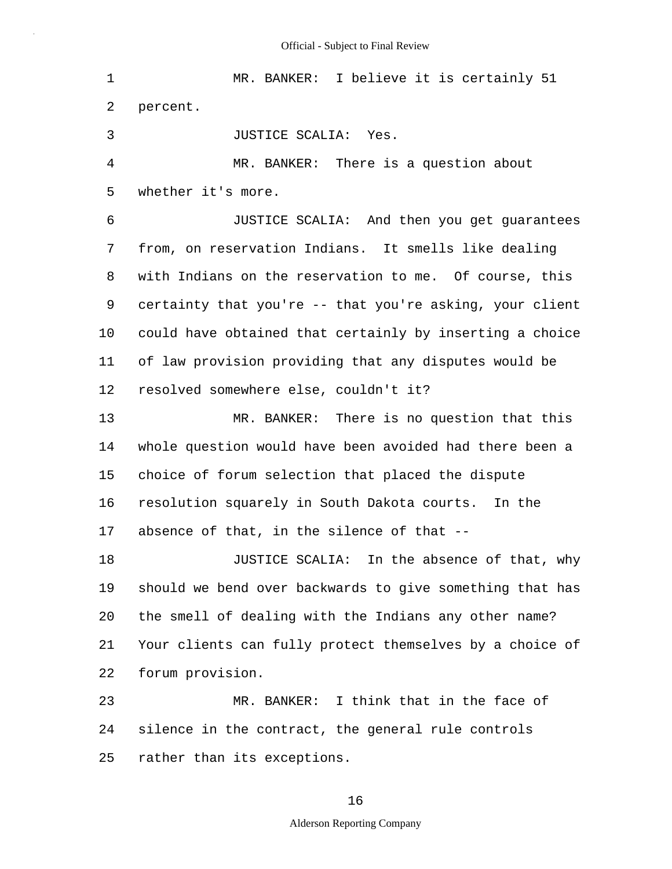5 10 15 20 25 1 MR. BANKER: I believe it is certainly 51 2 percent. 3 JUSTICE SCALIA: Yes. 4 MR. BANKER: There is a question about whether it's more. 6 JUSTICE SCALIA: And then you get guarantees 7 from, on reservation Indians. It smells like dealing 8 with Indians on the reservation to me. Of course, this 9 certainty that you're -- that you're asking, your client could have obtained that certainly by inserting a choice 11 of law provision providing that any disputes would be 12 resolved somewhere else, couldn't it? 13 MR. BANKER: There is no question that this 14 whole question would have been avoided had there been a choice of forum selection that placed the dispute 16 resolution squarely in South Dakota courts. In the 17 absence of that, in the silence of that -- 18 JUSTICE SCALIA: In the absence of that, why 19 should we bend over backwards to give something that has the smell of dealing with the Indians any other name? 21 Your clients can fully protect themselves by a choice of 22 forum provision. 23 MR. BANKER: I think that in the face of 24 silence in the contract, the general rule controls rather than its exceptions.

#### 16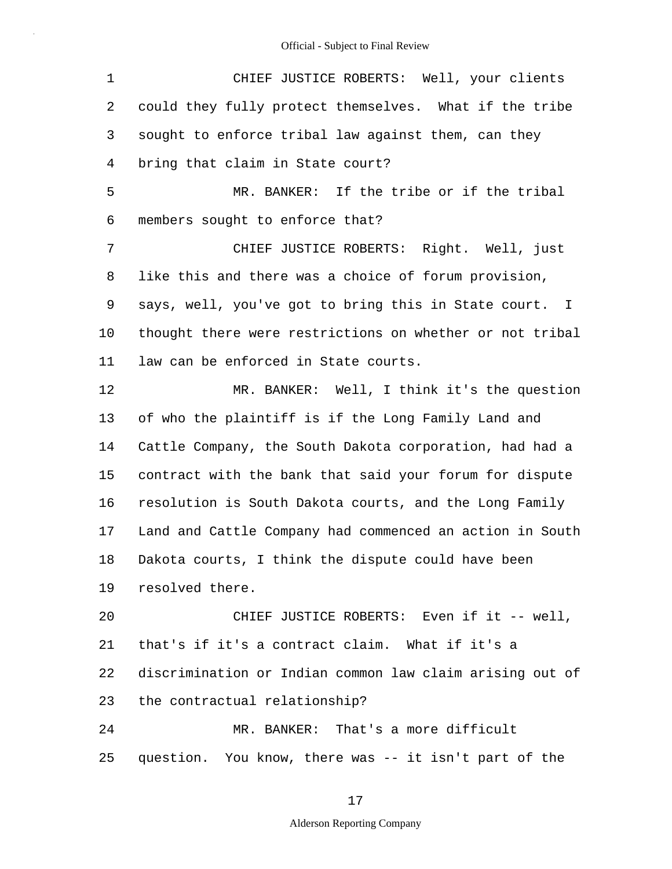5 10 15 20 25 1 CHIEF JUSTICE ROBERTS: Well, your clients 2 could they fully protect themselves. What if the tribe 3 sought to enforce tribal law against them, can they 4 bring that claim in State court? MR. BANKER: If the tribe or if the tribal 6 members sought to enforce that? 7 CHIEF JUSTICE ROBERTS: Right. Well, just 8 like this and there was a choice of forum provision, 9 says, well, you've got to bring this in State court. I thought there were restrictions on whether or not tribal 11 law can be enforced in State courts. 12 MR. BANKER: Well, I think it's the question 13 of who the plaintiff is if the Long Family Land and 14 Cattle Company, the South Dakota corporation, had had a contract with the bank that said your forum for dispute 16 resolution is South Dakota courts, and the Long Family 17 Land and Cattle Company had commenced an action in South 18 Dakota courts, I think the dispute could have been 19 resolved there. CHIEF JUSTICE ROBERTS: Even if it -- well, 21 that's if it's a contract claim. What if it's a 22 discrimination or Indian common law claim arising out of 23 the contractual relationship? 24 MR. BANKER: That's a more difficult question. You know, there was -- it isn't part of the

17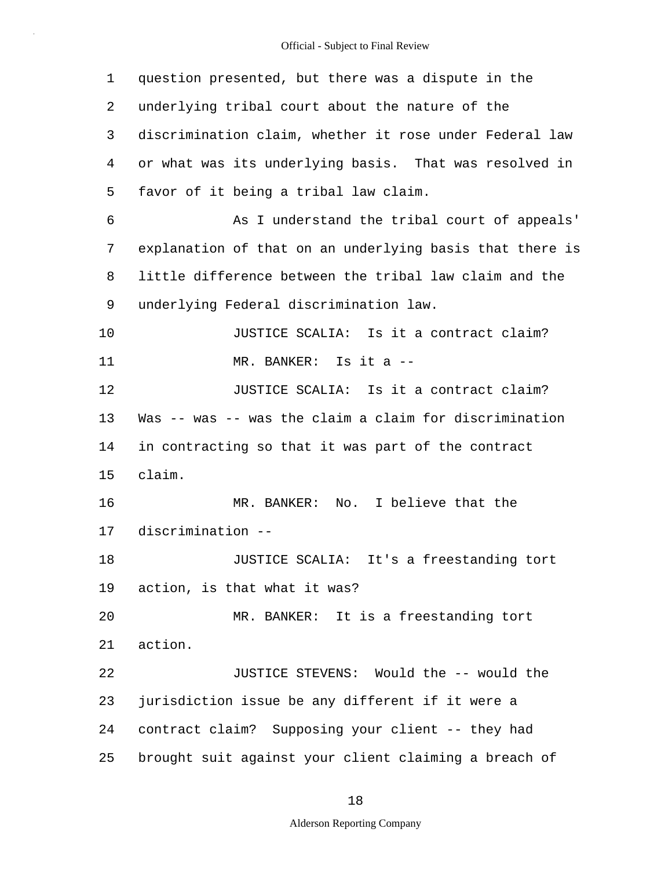| 1  | question presented, but there was a dispute in the       |
|----|----------------------------------------------------------|
| 2  | underlying tribal court about the nature of the          |
| 3  | discrimination claim, whether it rose under Federal law  |
| 4  | or what was its underlying basis. That was resolved in   |
| 5  | favor of it being a tribal law claim.                    |
| 6  | As I understand the tribal court of appeals'             |
| 7  | explanation of that on an underlying basis that there is |
| 8  | little difference between the tribal law claim and the   |
| 9  | underlying Federal discrimination law.                   |
| 10 | JUSTICE SCALIA: Is it a contract claim?                  |
| 11 | MR. BANKER: Is it a --                                   |
| 12 | JUSTICE SCALIA: Is it a contract claim?                  |
| 13 | Was -- was -- was the claim a claim for discrimination   |
| 14 | in contracting so that it was part of the contract       |
| 15 | claim.                                                   |
| 16 | No. I believe that the<br>MR. BANKER:                    |
| 17 | discrimination --                                        |
| 18 | JUSTICE SCALIA: It's a freestanding tort                 |
| 19 | action, is that what it was?                             |
| 20 | MR. BANKER: It is a freestanding tort                    |
| 21 | action.                                                  |
| 22 | JUSTICE STEVENS: Would the -- would the                  |
| 23 | jurisdiction issue be any different if it were a         |
| 24 | contract claim? Supposing your client -- they had        |
| 25 | brought suit against your client claiming a breach of    |

18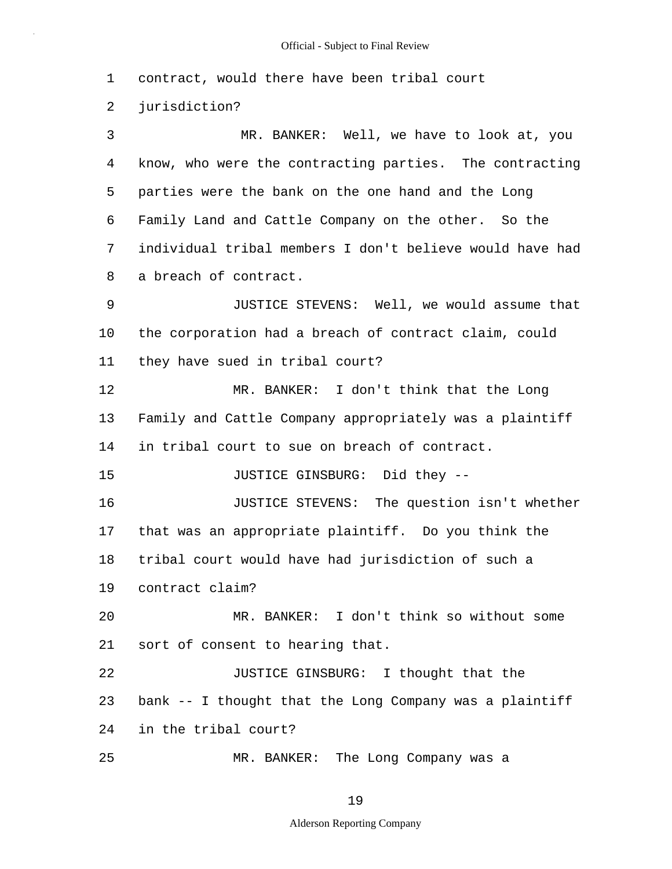1 contract, would there have been tribal court

2 jurisdiction?

5 3 MR. BANKER: Well, we have to look at, you 4 know, who were the contracting parties. The contracting parties were the bank on the one hand and the Long 6 Family Land and Cattle Company on the other. So the 7 individual tribal members I don't believe would have had 8 a breach of contract.

10 9 JUSTICE STEVENS: Well, we would assume that the corporation had a breach of contract claim, could 11 they have sued in tribal court?

12 MR. BANKER: I don't think that the Long 13 Family and Cattle Company appropriately was a plaintiff 14 in tribal court to sue on breach of contract.

15 JUSTICE GINSBURG: Did they --

16 JUSTICE STEVENS: The question isn't whether 17 that was an appropriate plaintiff. Do you think the 18 tribal court would have had jurisdiction of such a

19 contract claim?

25

20 MR. BANKER: I don't think so without some 21 sort of consent to hearing that.

22 JUSTICE GINSBURG: I thought that the 23 bank -- I thought that the Long Company was a plaintiff 24 in the tribal court?

MR. BANKER: The Long Company was a

19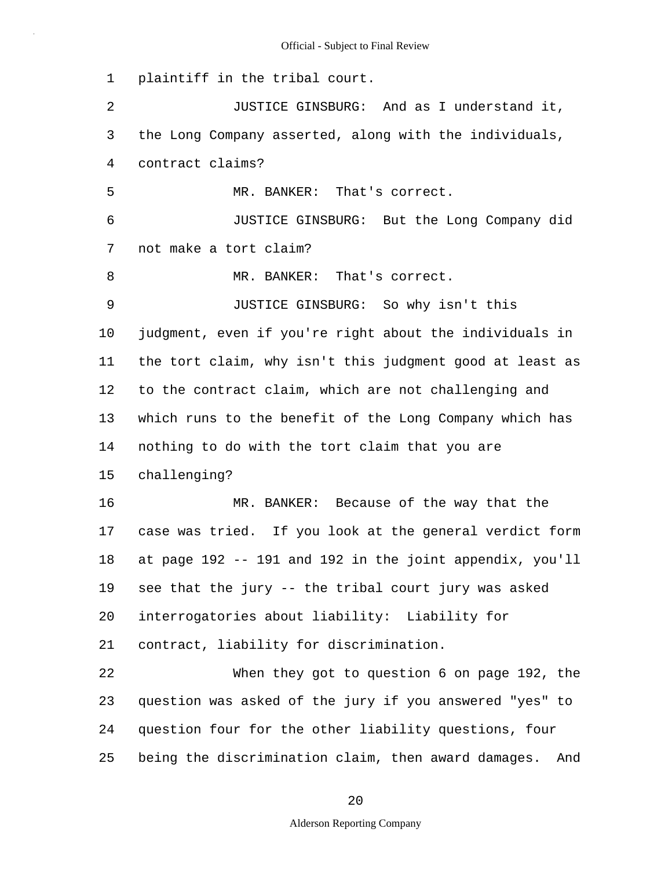1 plaintiff in the tribal court.

5 10 15 20 25 2 JUSTICE GINSBURG: And as I understand it, 3 the Long Company asserted, along with the individuals, 4 contract claims? MR. BANKER: That's correct. 6 JUSTICE GINSBURG: But the Long Company did 7 not make a tort claim? 8 MR. BANKER: That's correct. 9 JUSTICE GINSBURG: So why isn't this judgment, even if you're right about the individuals in 11 the tort claim, why isn't this judgment good at least as 12 to the contract claim, which are not challenging and 13 which runs to the benefit of the Long Company which has 14 nothing to do with the tort claim that you are challenging? 16 MR. BANKER: Because of the way that the 17 case was tried. If you look at the general verdict form 18 at page 192 -- 191 and 192 in the joint appendix, you'll 19 see that the jury -- the tribal court jury was asked interrogatories about liability: Liability for 21 contract, liability for discrimination. 22 When they got to question 6 on page 192, the 23 question was asked of the jury if you answered "yes" to 24 question four for the other liability questions, four being the discrimination claim, then award damages. And

20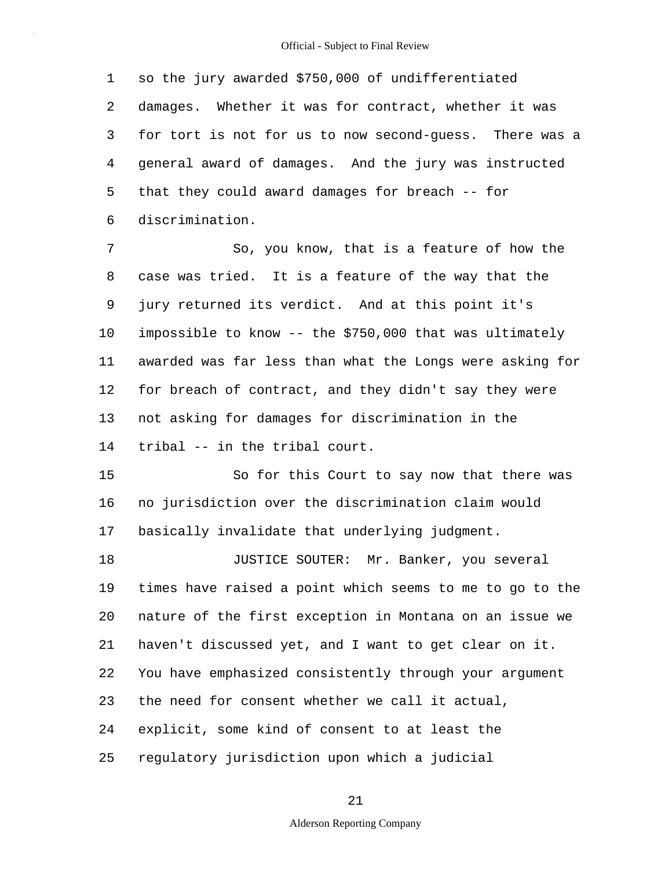5 1 so the jury awarded \$750,000 of undifferentiated 2 damages. Whether it was for contract, whether it was 3 for tort is not for us to now second-guess. There was a 4 general award of damages. And the jury was instructed that they could award damages for breach -- for 6 discrimination.

10 7 So, you know, that is a feature of how the 8 case was tried. It is a feature of the way that the 9 jury returned its verdict. And at this point it's impossible to know -- the \$750,000 that was ultimately 11 awarded was far less than what the Longs were asking for 12 for breach of contract, and they didn't say they were 13 not asking for damages for discrimination in the 14 tribal -- in the tribal court.

15 So for this Court to say now that there was 16 no jurisdiction over the discrimination claim would 17 basically invalidate that underlying judgment.

20 25 18 JUSTICE SOUTER: Mr. Banker, you several 19 times have raised a point which seems to me to go to the nature of the first exception in Montana on an issue we 21 haven't discussed yet, and I want to get clear on it. 22 You have emphasized consistently through your argument 23 the need for consent whether we call it actual, 24 explicit, some kind of consent to at least the regulatory jurisdiction upon which a judicial

#### 21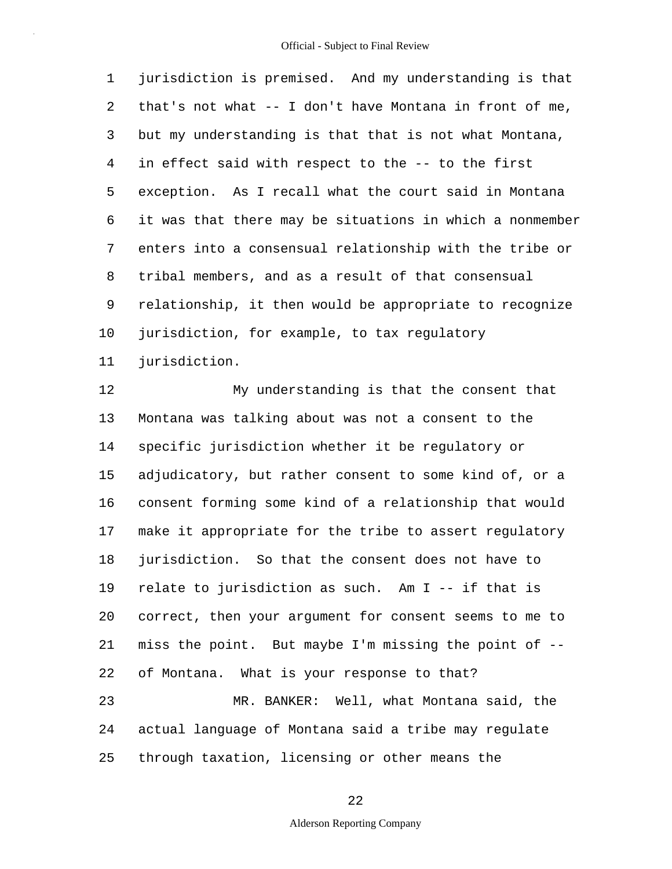5 10 1 jurisdiction is premised. And my understanding is that 2 that's not what -- I don't have Montana in front of me, 3 but my understanding is that that is not what Montana, 4 in effect said with respect to the -- to the first exception. As I recall what the court said in Montana 6 it was that there may be situations in which a nonmember 7 enters into a consensual relationship with the tribe or 8 tribal members, and as a result of that consensual 9 relationship, it then would be appropriate to recognize jurisdiction, for example, to tax regulatory 11 jurisdiction.

15 20 25 12 My understanding is that the consent that 13 Montana was talking about was not a consent to the 14 specific jurisdiction whether it be regulatory or adjudicatory, but rather consent to some kind of, or a 16 consent forming some kind of a relationship that would 17 make it appropriate for the tribe to assert regulatory 18 jurisdiction. So that the consent does not have to 19 relate to jurisdiction as such. Am I -- if that is correct, then your argument for consent seems to me to 21 miss the point. But maybe I'm missing the point of -- 22 of Montana. What is your response to that? 23 MR. BANKER: Well, what Montana said, the 24 actual language of Montana said a tribe may regulate through taxation, licensing or other means the

22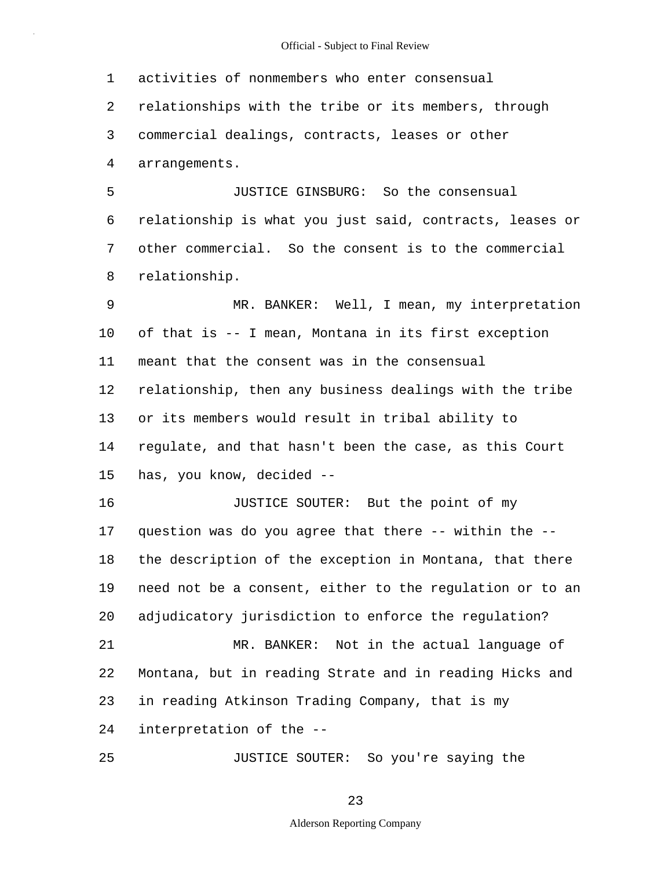5 10 15 20 25 1 activities of nonmembers who enter consensual 2 relationships with the tribe or its members, through 3 commercial dealings, contracts, leases or other 4 arrangements. JUSTICE GINSBURG: So the consensual 6 relationship is what you just said, contracts, leases or 7 other commercial. So the consent is to the commercial 8 relationship. 9 MR. BANKER: Well, I mean, my interpretation of that is -- I mean, Montana in its first exception 11 meant that the consent was in the consensual 12 relationship, then any business dealings with the tribe 13 or its members would result in tribal ability to 14 regulate, and that hasn't been the case, as this Court has, you know, decided -- 16 JUSTICE SOUTER: But the point of my 17 question was do you agree that there -- within the -- 18 the description of the exception in Montana, that there 19 need not be a consent, either to the regulation or to an adjudicatory jurisdiction to enforce the regulation? 21 MR. BANKER: Not in the actual language of 22 Montana, but in reading Strate and in reading Hicks and 23 in reading Atkinson Trading Company, that is my 24 interpretation of the -- JUSTICE SOUTER: So you're saying the

23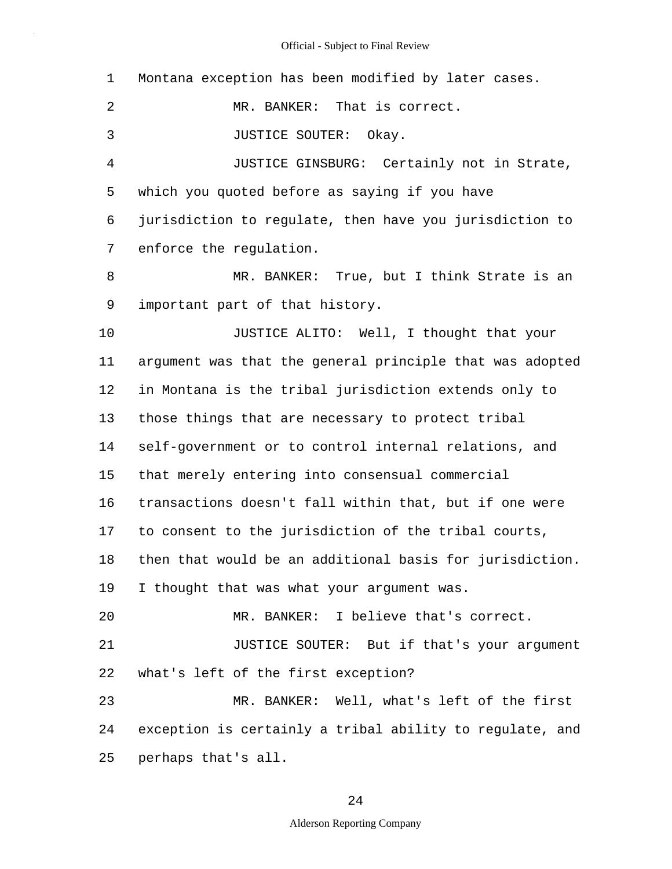| $\mathbf 1$    | Montana exception has been modified by later cases.      |
|----------------|----------------------------------------------------------|
| 2              | MR. BANKER: That is correct.                             |
| 3              | JUSTICE SOUTER:<br>Okay.                                 |
| $\overline{4}$ | JUSTICE GINSBURG: Certainly not in Strate,               |
| 5              | which you quoted before as saying if you have            |
| 6              | jurisdiction to regulate, then have you jurisdiction to  |
| 7              | enforce the regulation.                                  |
| 8              | MR. BANKER: True, but I think Strate is an               |
| 9              | important part of that history.                          |
| 10             | JUSTICE ALITO: Well, I thought that your                 |
| 11             | argument was that the general principle that was adopted |
| 12             | in Montana is the tribal jurisdiction extends only to    |
| 13             | those things that are necessary to protect tribal        |
| 14             | self-government or to control internal relations, and    |
| 15             | that merely entering into consensual commercial          |
| 16             | transactions doesn't fall within that, but if one were   |
| 17             | to consent to the jurisdiction of the tribal courts,     |
| 18             | then that would be an additional basis for jurisdiction. |
| 19             | I thought that was what your argument was.               |
| 20             | MR. BANKER: I believe that's correct.                    |
| 21             | JUSTICE SOUTER: But if that's your argument              |
| 22             | what's left of the first exception?                      |
| 23             | MR. BANKER: Well, what's left of the first               |
| 24             | exception is certainly a tribal ability to regulate, and |
| 25             | perhaps that's all.                                      |

24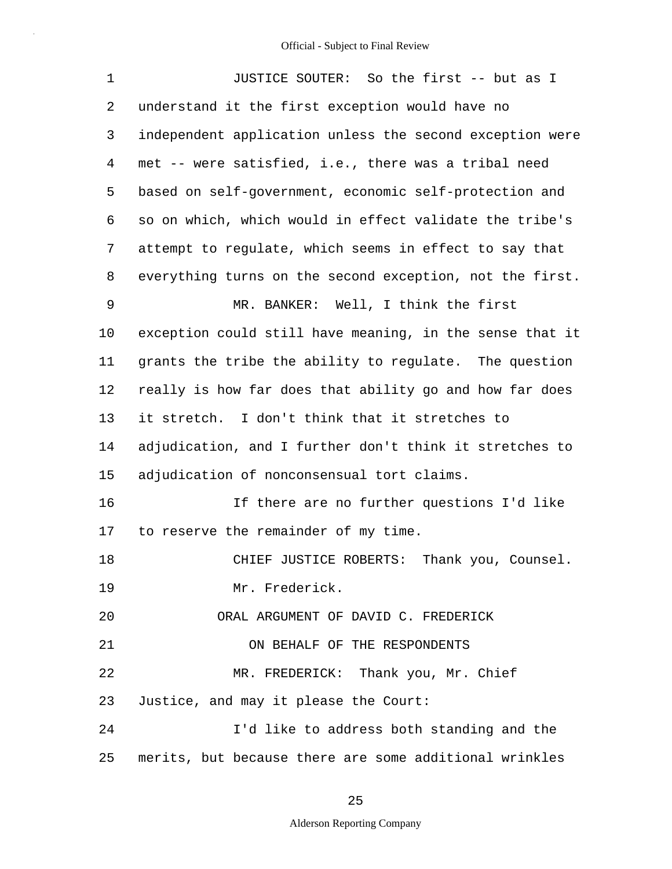| 1  | JUSTICE SOUTER: So the first -- but as I                 |
|----|----------------------------------------------------------|
| 2  | understand it the first exception would have no          |
| 3  | independent application unless the second exception were |
| 4  | met -- were satisfied, i.e., there was a tribal need     |
| 5  | based on self-government, economic self-protection and   |
| 6  | so on which, which would in effect validate the tribe's  |
| 7  | attempt to regulate, which seems in effect to say that   |
| 8  | everything turns on the second exception, not the first. |
| 9  | MR. BANKER: Well, I think the first                      |
| 10 | exception could still have meaning, in the sense that it |
| 11 | grants the tribe the ability to regulate. The question   |
| 12 | really is how far does that ability go and how far does  |
| 13 | it stretch. I don't think that it stretches to           |
| 14 | adjudication, and I further don't think it stretches to  |
| 15 | adjudication of nonconsensual tort claims.               |
| 16 | If there are no further questions I'd like               |
| 17 | to reserve the remainder of my time.                     |
| 18 | Thank you, Counsel.<br>CHIEF JUSTICE ROBERTS:            |
| 19 | Mr. Frederick.                                           |
| 20 | ORAL ARGUMENT OF DAVID C. FREDERICK                      |
| 21 | ON BEHALF OF THE RESPONDENTS                             |
| 22 | MR. FREDERICK: Thank you, Mr. Chief                      |
| 23 | Justice, and may it please the Court:                    |
| 24 | I'd like to address both standing and the                |
| 25 | merits, but because there are some additional wrinkles   |

25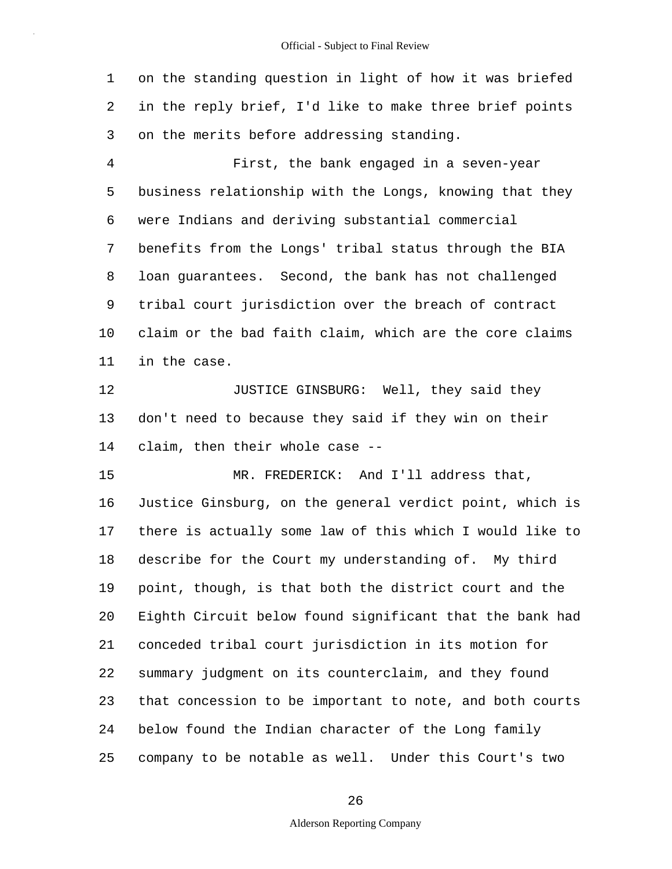1 on the standing question in light of how it was briefed 2 in the reply brief, I'd like to make three brief points 3 on the merits before addressing standing.

5 10 4 First, the bank engaged in a seven-year business relationship with the Longs, knowing that they 6 were Indians and deriving substantial commercial 7 benefits from the Longs' tribal status through the BIA 8 loan guarantees. Second, the bank has not challenged 9 tribal court jurisdiction over the breach of contract claim or the bad faith claim, which are the core claims 11 in the case.

12 **JUSTICE GINSBURG:** Well, they said they 13 don't need to because they said if they win on their 14 claim, then their whole case --

15 20 25 MR. FREDERICK: And I'll address that, 16 Justice Ginsburg, on the general verdict point, which is 17 there is actually some law of this which I would like to 18 describe for the Court my understanding of. My third 19 point, though, is that both the district court and the Eighth Circuit below found significant that the bank had 21 conceded tribal court jurisdiction in its motion for 22 summary judgment on its counterclaim, and they found 23 that concession to be important to note, and both courts 24 below found the Indian character of the Long family company to be notable as well. Under this Court's two

26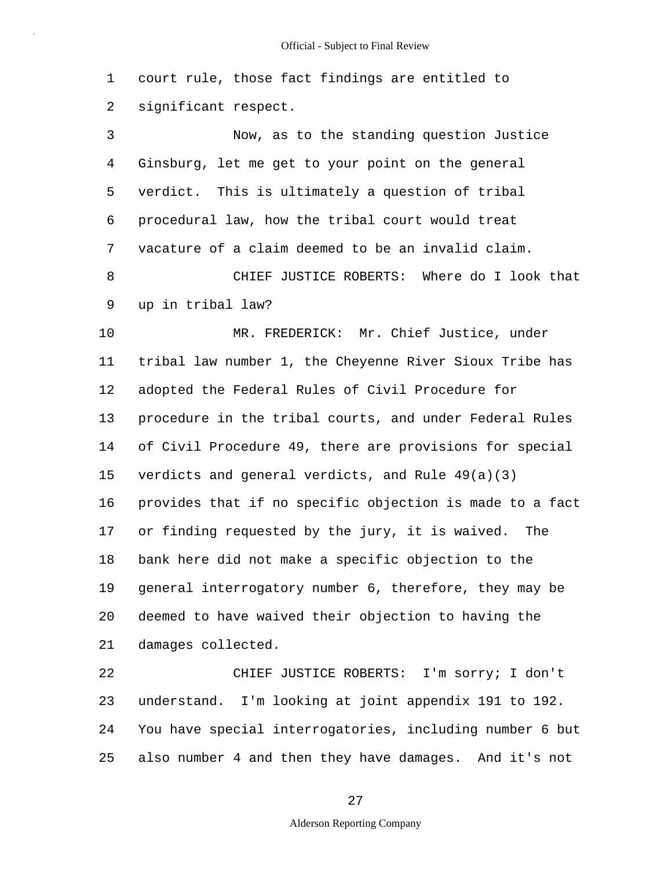1 court rule, those fact findings are entitled to 2 significant respect.

5 3 Now, as to the standing question Justice 4 Ginsburg, let me get to your point on the general verdict. This is ultimately a question of tribal 6 procedural law, how the tribal court would treat 7 vacature of a claim deemed to be an invalid claim. 8 CHIEF JUSTICE ROBERTS: Where do I look that 9 up in tribal law?

10 15 20 MR. FREDERICK: Mr. Chief Justice, under 11 tribal law number 1, the Cheyenne River Sioux Tribe has 12 adopted the Federal Rules of Civil Procedure for 13 procedure in the tribal courts, and under Federal Rules 14 of Civil Procedure 49, there are provisions for special verdicts and general verdicts, and Rule 49(a)(3) 16 provides that if no specific objection is made to a fact 17 or finding requested by the jury, it is waived. The 18 bank here did not make a specific objection to the 19 general interrogatory number 6, therefore, they may be deemed to have waived their objection to having the 21 damages collected.

25 22 CHIEF JUSTICE ROBERTS: I'm sorry; I don't 23 understand. I'm looking at joint appendix 191 to 192. 24 You have special interrogatories, including number 6 but also number 4 and then they have damages. And it's not

27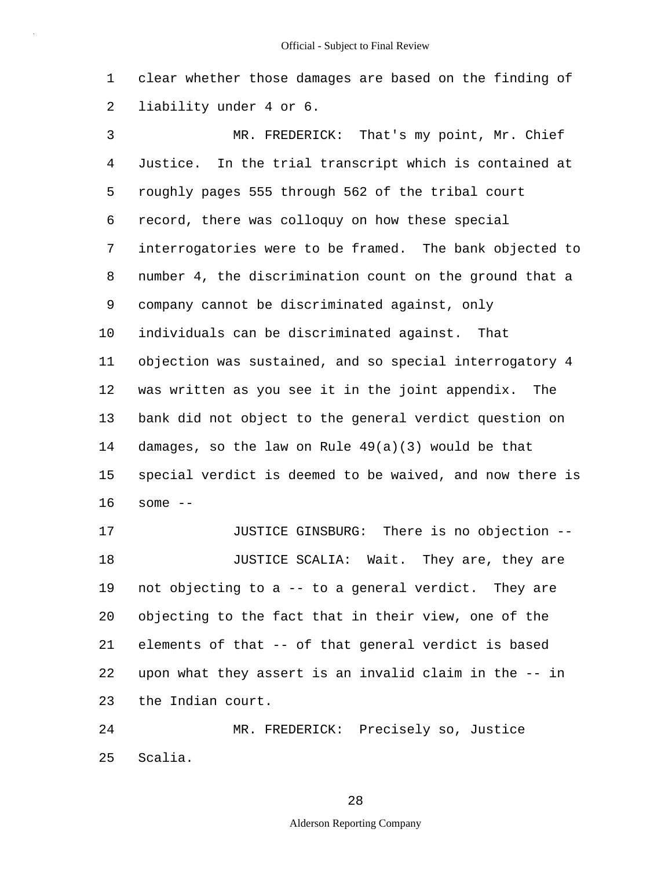1 clear whether those damages are based on the finding of 2 liability under 4 or 6.

5 10 15 3 MR. FREDERICK: That's my point, Mr. Chief 4 Justice. In the trial transcript which is contained at roughly pages 555 through 562 of the tribal court 6 record, there was colloquy on how these special 7 interrogatories were to be framed. The bank objected to 8 number 4, the discrimination count on the ground that a 9 company cannot be discriminated against, only individuals can be discriminated against. That 11 objection was sustained, and so special interrogatory 4 12 was written as you see it in the joint appendix. The 13 bank did not object to the general verdict question on 14 damages, so the law on Rule 49(a)(3) would be that special verdict is deemed to be waived, and now there is 16 some -- 17 JUSTICE GINSBURG: There is no objection --

20 18 **JUSTICE SCALIA:** Wait. They are, they are 19 not objecting to a -- to a general verdict. They are objecting to the fact that in their view, one of the 21 elements of that -- of that general verdict is based 22 upon what they assert is an invalid claim in the -- in 23 the Indian court.

25 24 MR. FREDERICK: Precisely so, Justice Scalia.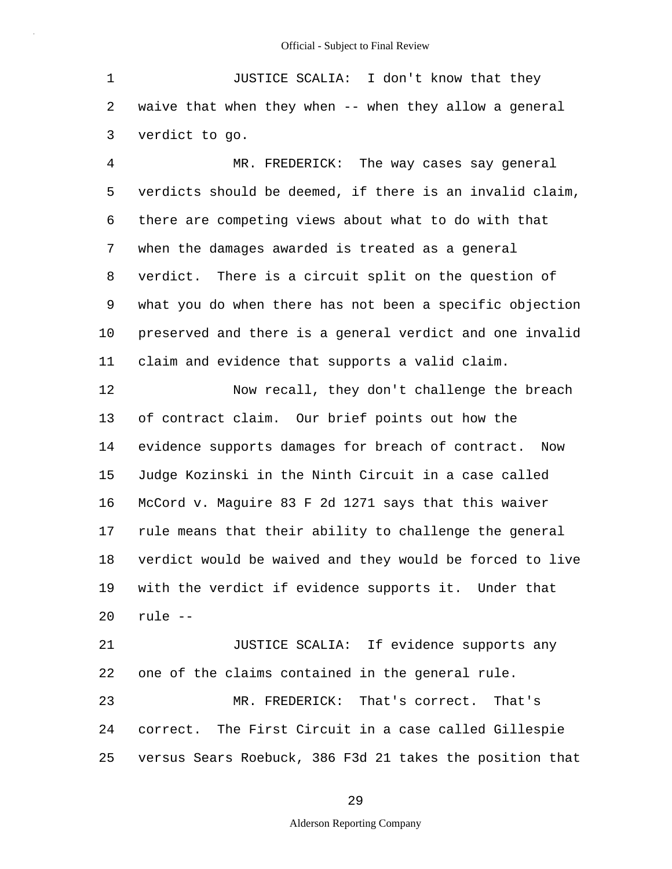1 JUSTICE SCALIA: I don't know that they 2 waive that when they when -- when they allow a general 3 verdict to go.

5 10 4 MR. FREDERICK: The way cases say general verdicts should be deemed, if there is an invalid claim, 6 there are competing views about what to do with that 7 when the damages awarded is treated as a general 8 verdict. There is a circuit split on the question of 9 what you do when there has not been a specific objection preserved and there is a general verdict and one invalid 11 claim and evidence that supports a valid claim.

15 20 12 Now recall, they don't challenge the breach 13 of contract claim. Our brief points out how the 14 evidence supports damages for breach of contract. Now Judge Kozinski in the Ninth Circuit in a case called 16 McCord v. Maguire 83 F 2d 1271 says that this waiver 17 rule means that their ability to challenge the general 18 verdict would be waived and they would be forced to live 19 with the verdict if evidence supports it. Under that rule --

25 21 JUSTICE SCALIA: If evidence supports any 22 one of the claims contained in the general rule. 23 MR. FREDERICK: That's correct. That's 24 correct. The First Circuit in a case called Gillespie versus Sears Roebuck, 386 F3d 21 takes the position that

#### 29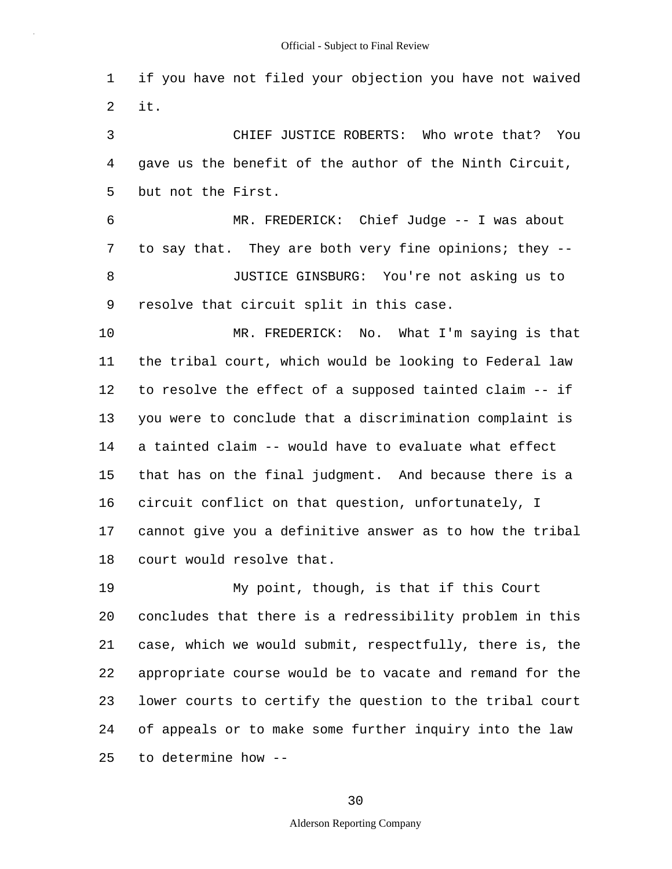1 if you have not filed your objection you have not waived 2 it.

5 3 CHIEF JUSTICE ROBERTS: Who wrote that? You 4 gave us the benefit of the author of the Ninth Circuit, but not the First.

6 MR. FREDERICK: Chief Judge -- I was about 7 to say that. They are both very fine opinions; they -- 8 JUSTICE GINSBURG: You're not asking us to 9 resolve that circuit split in this case.

10 15 MR. FREDERICK: No. What I'm saying is that 11 the tribal court, which would be looking to Federal law 12 to resolve the effect of a supposed tainted claim -- if 13 you were to conclude that a discrimination complaint is 14 a tainted claim -- would have to evaluate what effect that has on the final judgment. And because there is a 16 circuit conflict on that question, unfortunately, I 17 cannot give you a definitive answer as to how the tribal 18 court would resolve that.

20 25 19 My point, though, is that if this Court concludes that there is a redressibility problem in this 21 case, which we would submit, respectfully, there is, the 22 appropriate course would be to vacate and remand for the 23 lower courts to certify the question to the tribal court 24 of appeals or to make some further inquiry into the law to determine how --

30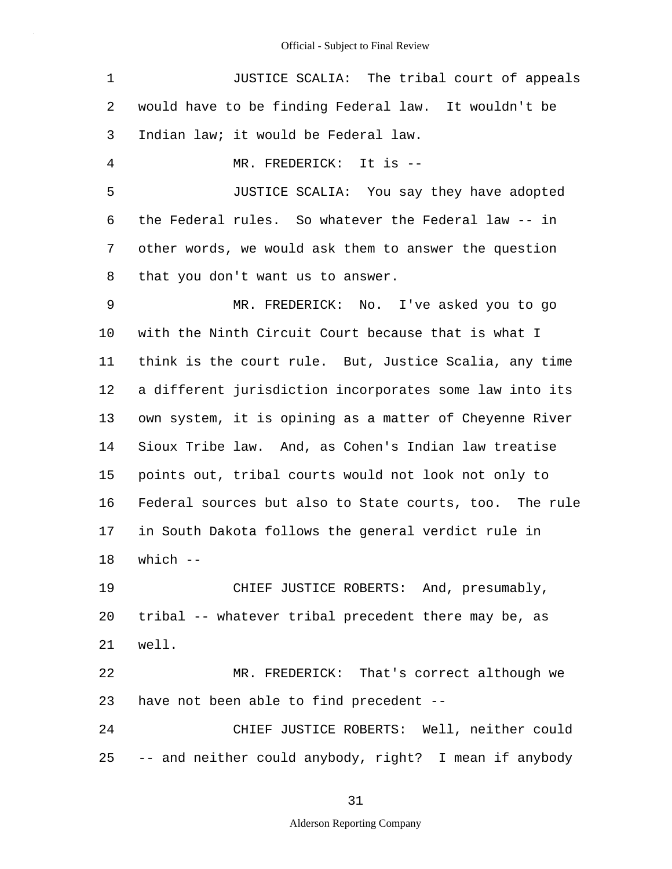| $\mathbf 1$ | JUSTICE SCALIA: The tribal court of appeals             |
|-------------|---------------------------------------------------------|
| 2           | would have to be finding Federal law. It wouldn't be    |
| 3           | Indian law; it would be Federal law.                    |
| 4           | MR. FREDERICK: It is --                                 |
| 5           | JUSTICE SCALIA: You say they have adopted               |
| 6           | the Federal rules. So whatever the Federal law -- in    |
| 7           | other words, we would ask them to answer the question   |
| 8           | that you don't want us to answer.                       |
| 9           | MR. FREDERICK: No. I've asked you to go                 |
| 10          | with the Ninth Circuit Court because that is what I     |
| 11          | think is the court rule. But, Justice Scalia, any time  |
| 12          | a different jurisdiction incorporates some law into its |
| 13          | own system, it is opining as a matter of Cheyenne River |
| 14          | Sioux Tribe law. And, as Cohen's Indian law treatise    |
| 15          | points out, tribal courts would not look not only to    |
| 16          | Federal sources but also to State courts, too. The rule |
| 17          | in South Dakota follows the general verdict rule in     |
| 18          | which $--$                                              |
| 19          | CHIEF JUSTICE ROBERTS: And, presumably,                 |
| 20          | tribal -- whatever tribal precedent there may be, as    |
| 21          | well.                                                   |
| 22          | MR. FREDERICK: That's correct although we               |
| 23          | have not been able to find precedent --                 |
| 24          | CHIEF JUSTICE ROBERTS: Well, neither could              |
| 25          | -- and neither could anybody, right? I mean if anybody  |

31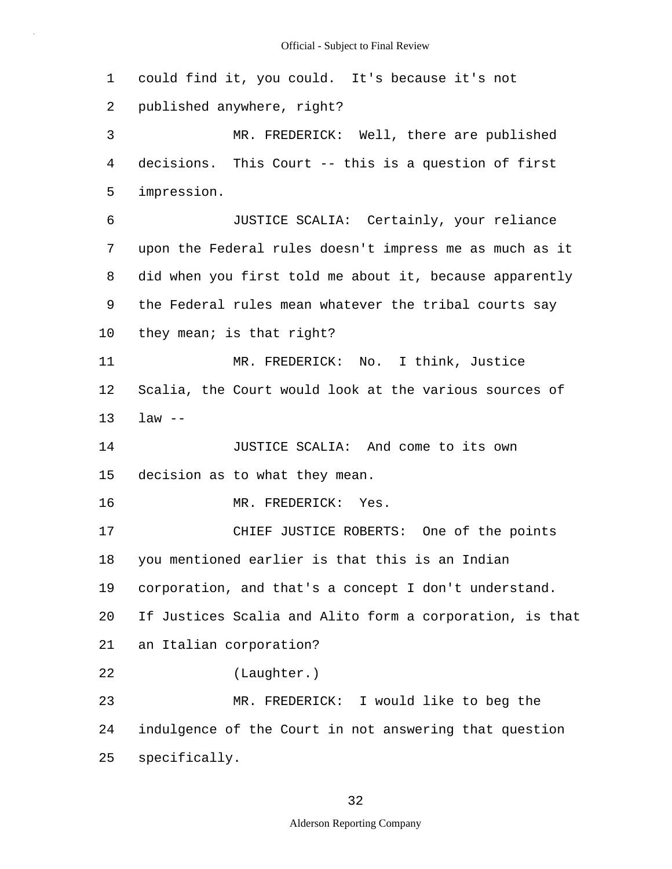5 10 15 20 25 1 could find it, you could. It's because it's not 2 published anywhere, right? 3 MR. FREDERICK: Well, there are published 4 decisions. This Court -- this is a question of first impression. 6 JUSTICE SCALIA: Certainly, your reliance 7 upon the Federal rules doesn't impress me as much as it 8 did when you first told me about it, because apparently 9 the Federal rules mean whatever the tribal courts say they mean; is that right? 11 MR. FREDERICK: No. I think, Justice 12 Scalia, the Court would look at the various sources of 13 law -- 14 JUSTICE SCALIA: And come to its own decision as to what they mean. 16 MR. FREDERICK: Yes. 17 CHIEF JUSTICE ROBERTS: One of the points 18 you mentioned earlier is that this is an Indian 19 corporation, and that's a concept I don't understand. If Justices Scalia and Alito form a corporation, is that 21 an Italian corporation? 22 (Laughter.) 23 MR. FREDERICK: I would like to beg the 24 indulgence of the Court in not answering that question specifically.

## 32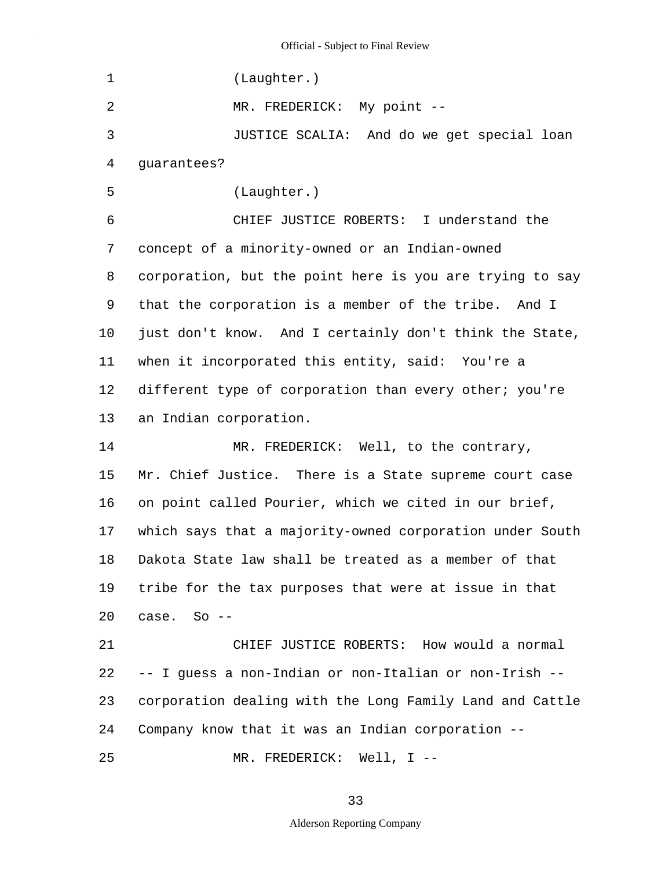5 10 15 20 25 1 (Laughter.) 2 MR. FREDERICK: My point --3 JUSTICE SCALIA: And do we get special loan 4 guarantees? (Laughter.) 6 CHIEF JUSTICE ROBERTS: I understand the 7 concept of a minority-owned or an Indian-owned 8 corporation, but the point here is you are trying to say 9 that the corporation is a member of the tribe. And I just don't know. And I certainly don't think the State, 11 when it incorporated this entity, said: You're a 12 different type of corporation than every other; you're 13 an Indian corporation. 14 MR. FREDERICK: Well, to the contrary, Mr. Chief Justice. There is a State supreme court case 16 on point called Pourier, which we cited in our brief, 17 which says that a majority-owned corporation under South 18 Dakota State law shall be treated as a member of that 19 tribe for the tax purposes that were at issue in that case. So -- 21 CHIEF JUSTICE ROBERTS: How would a normal 22 -- I guess a non-Indian or non-Italian or non-Irish -- 23 corporation dealing with the Long Family Land and Cattle 24 Company know that it was an Indian corporation -- MR. FREDERICK: Well, I --

33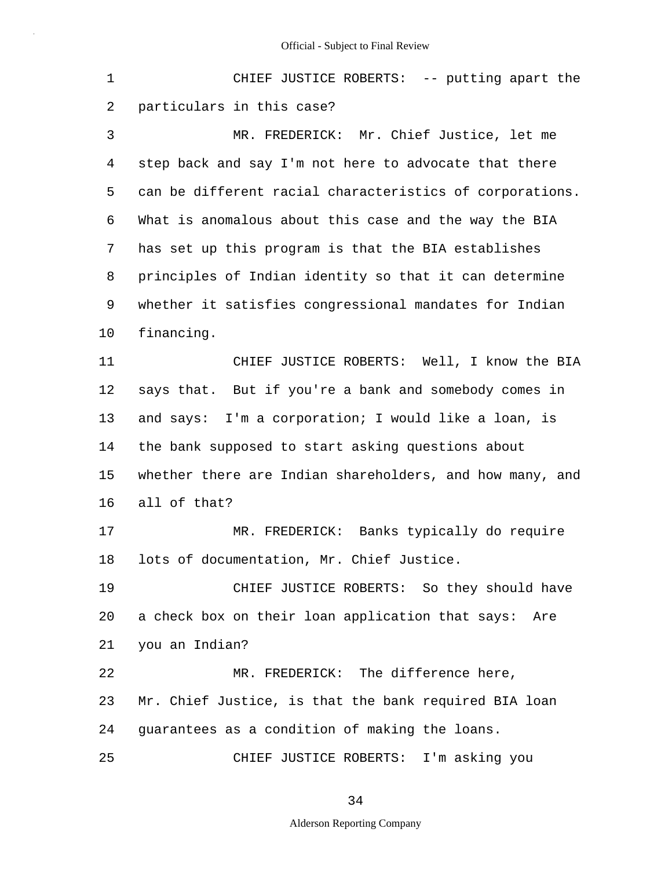1 CHIEF JUSTICE ROBERTS: -- putting apart the 2 particulars in this case?

5 10 3 MR. FREDERICK: Mr. Chief Justice, let me 4 step back and say I'm not here to advocate that there can be different racial characteristics of corporations. 6 What is anomalous about this case and the way the BIA 7 has set up this program is that the BIA establishes 8 principles of Indian identity so that it can determine 9 whether it satisfies congressional mandates for Indian financing.

15 11 CHIEF JUSTICE ROBERTS: Well, I know the BIA 12 says that. But if you're a bank and somebody comes in 13 and says: I'm a corporation; I would like a loan, is 14 the bank supposed to start asking questions about whether there are Indian shareholders, and how many, and 16 all of that?

17 MR. FREDERICK: Banks typically do require 18 lots of documentation, Mr. Chief Justice.

20 19 CHIEF JUSTICE ROBERTS: So they should have a check box on their loan application that says: Are 21 you an Indian?

22 MR. FREDERICK: The difference here, 23 Mr. Chief Justice, is that the bank required BIA loan 24 guarantees as a condition of making the loans.

25 CHIEF JUSTICE ROBERTS: I'm asking you

34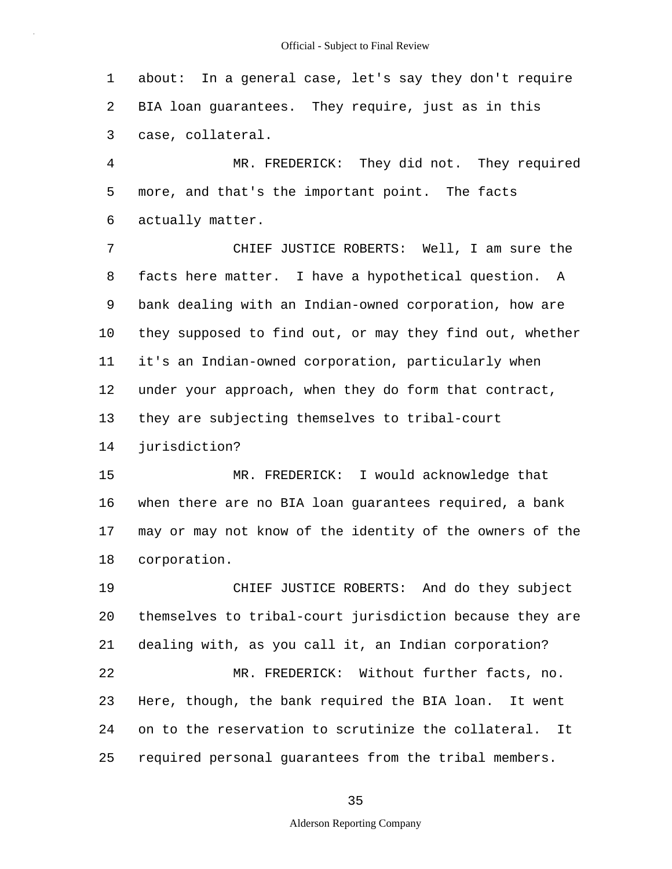1 about: In a general case, let's say they don't require 2 BIA loan guarantees. They require, just as in this 3 case, collateral.

5 4 MR. FREDERICK: They did not. They required more, and that's the important point. The facts 6 actually matter.

10 7 CHIEF JUSTICE ROBERTS: Well, I am sure the 8 facts here matter. I have a hypothetical question. A 9 bank dealing with an Indian-owned corporation, how are they supposed to find out, or may they find out, whether 11 it's an Indian-owned corporation, particularly when 12 under your approach, when they do form that contract, 13 they are subjecting themselves to tribal-court

14 jurisdiction?

15 MR. FREDERICK: I would acknowledge that 16 when there are no BIA loan guarantees required, a bank 17 may or may not know of the identity of the owners of the 18 corporation.

20 25 19 CHIEF JUSTICE ROBERTS: And do they subject themselves to tribal-court jurisdiction because they are 21 dealing with, as you call it, an Indian corporation? 22 MR. FREDERICK: Without further facts, no. 23 Here, though, the bank required the BIA loan. It went 24 on to the reservation to scrutinize the collateral. It required personal guarantees from the tribal members.

35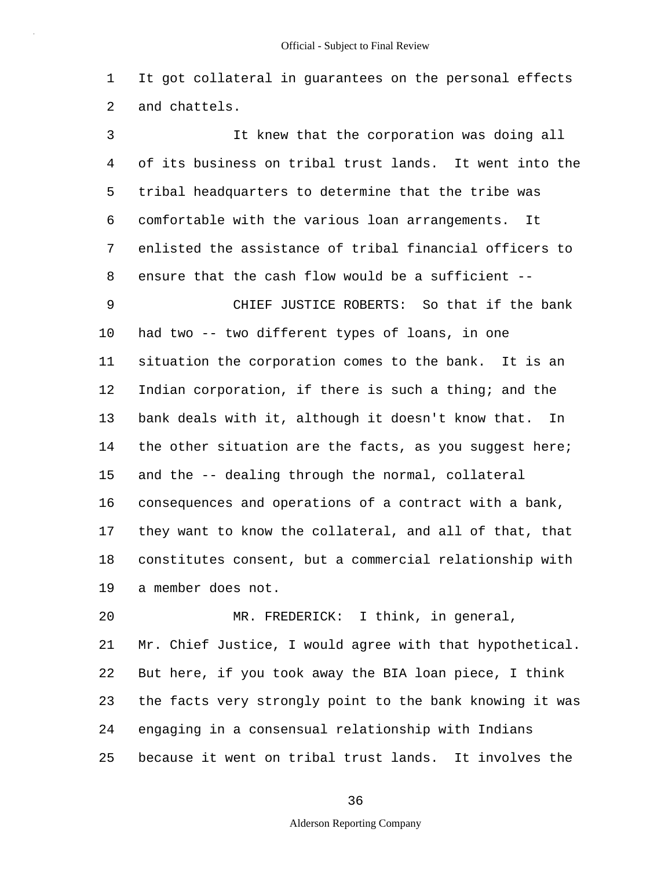1 It got collateral in guarantees on the personal effects 2 and chattels.

5 10 15 3 It knew that the corporation was doing all 4 of its business on tribal trust lands. It went into the tribal headquarters to determine that the tribe was 6 comfortable with the various loan arrangements. It 7 enlisted the assistance of tribal financial officers to 8 ensure that the cash flow would be a sufficient -- 9 CHIEF JUSTICE ROBERTS: So that if the bank had two -- two different types of loans, in one 11 situation the corporation comes to the bank. It is an 12 Indian corporation, if there is such a thing; and the 13 bank deals with it, although it doesn't know that. In 14 the other situation are the facts, as you suggest here; and the -- dealing through the normal, collateral 16 consequences and operations of a contract with a bank, 17 they want to know the collateral, and all of that, that 18 constitutes consent, but a commercial relationship with

19 a member does not.

20 25 MR. FREDERICK: I think, in general, 21 Mr. Chief Justice, I would agree with that hypothetical. 22 But here, if you took away the BIA loan piece, I think 23 the facts very strongly point to the bank knowing it was 24 engaging in a consensual relationship with Indians because it went on tribal trust lands. It involves the

36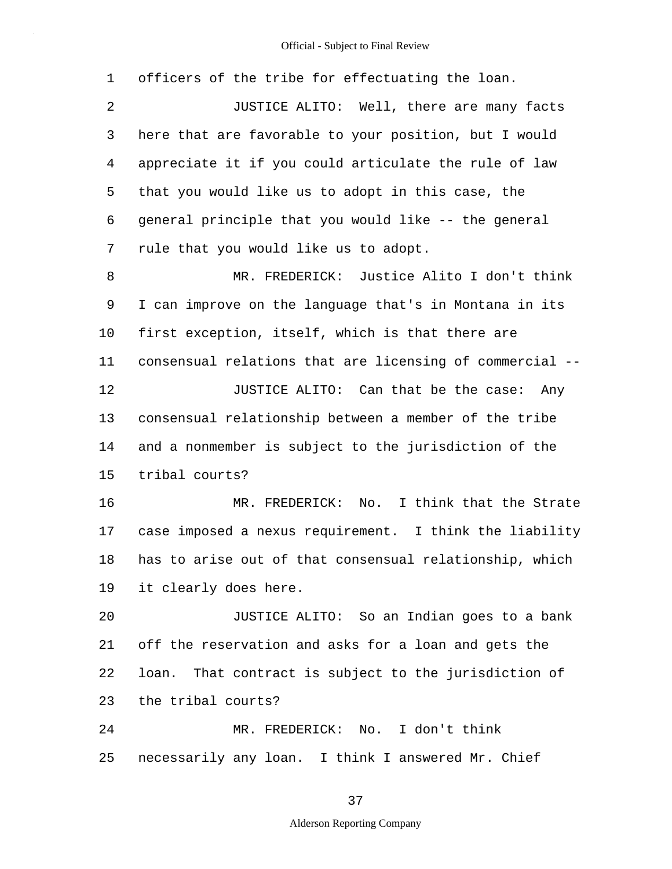| $\mathbf 1$ | officers of the tribe for effectuating the loan.         |
|-------------|----------------------------------------------------------|
| 2           | JUSTICE ALITO: Well, there are many facts                |
| 3           | here that are favorable to your position, but I would    |
| 4           | appreciate it if you could articulate the rule of law    |
| 5           | that you would like us to adopt in this case, the        |
| 6           | general principle that you would like -- the general     |
| 7           | rule that you would like us to adopt.                    |
| 8           | MR. FREDERICK: Justice Alito I don't think               |
| 9           | I can improve on the language that's in Montana in its   |
| 10          | first exception, itself, which is that there are         |
| 11          | consensual relations that are licensing of commercial -- |
| 12          | JUSTICE ALITO: Can that be the case: Any                 |
| 13          | consensual relationship between a member of the tribe    |
| 14          | and a nonmember is subject to the jurisdiction of the    |
| 15          | tribal courts?                                           |
| 16          | MR. FREDERICK: No. I think that the Strate               |
| 17          | case imposed a nexus requirement. I think the liability  |
| 18          | has to arise out of that consensual relationship, which  |
|             |                                                          |
| 19          | it clearly does here.                                    |
| 20          | JUSTICE ALITO: So an Indian goes to a bank               |
| 21          | off the reservation and asks for a loan and gets the     |
| 22          | loan. That contract is subject to the jurisdiction of    |
| 23          | the tribal courts?                                       |
| 24          | MR. FREDERICK: No. I don't think                         |

37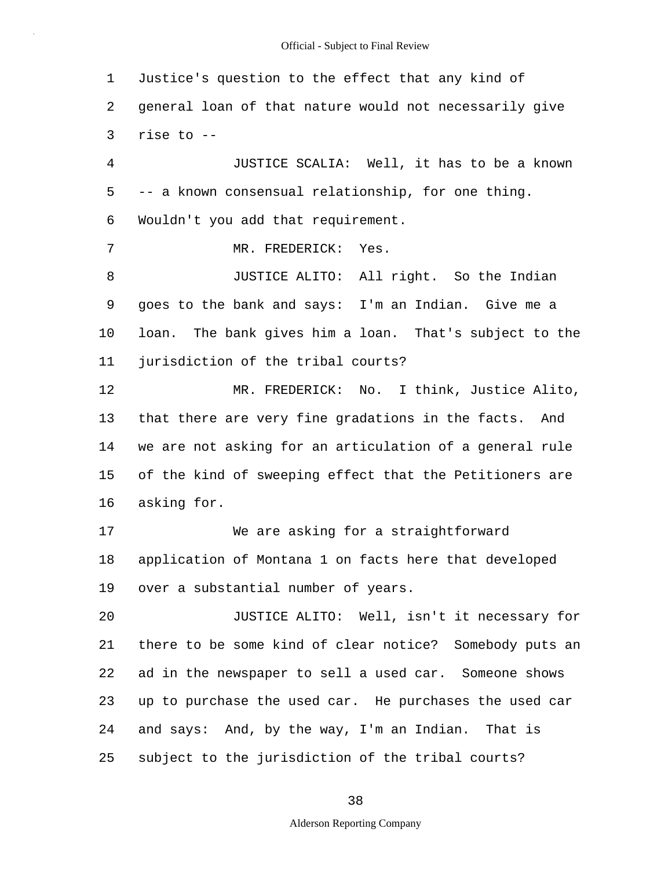5 10 15 20 25 1 Justice's question to the effect that any kind of 2 general loan of that nature would not necessarily give 3 rise to -- 4 JUSTICE SCALIA: Well, it has to be a known -- a known consensual relationship, for one thing. 6 Wouldn't you add that requirement. 7 MR. FREDERICK: Yes. 8 JUSTICE ALITO: All right. So the Indian 9 goes to the bank and says: I'm an Indian. Give me a loan. The bank gives him a loan. That's subject to the 11 jurisdiction of the tribal courts? 12 MR. FREDERICK: No. I think, Justice Alito, 13 that there are very fine gradations in the facts. And 14 we are not asking for an articulation of a general rule of the kind of sweeping effect that the Petitioners are 16 asking for. 17 We are asking for a straightforward 18 application of Montana 1 on facts here that developed 19 over a substantial number of years. JUSTICE ALITO: Well, isn't it necessary for 21 there to be some kind of clear notice? Somebody puts an 22 ad in the newspaper to sell a used car. Someone shows 23 up to purchase the used car. He purchases the used car 24 and says: And, by the way, I'm an Indian. That is subject to the jurisdiction of the tribal courts?

38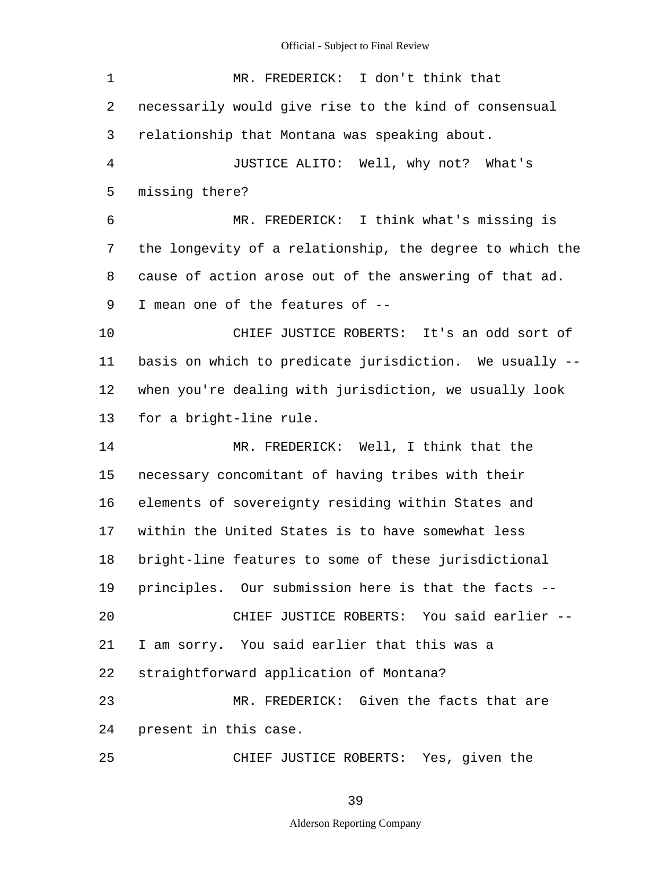| 1              | MR. FREDERICK: I don't think that                        |
|----------------|----------------------------------------------------------|
| $\overline{2}$ | necessarily would give rise to the kind of consensual    |
| 3              | relationship that Montana was speaking about.            |
| $\overline{4}$ | JUSTICE ALITO: Well, why not? What's                     |
| 5              | missing there?                                           |
| 6              | MR. FREDERICK: I think what's missing is                 |
| 7              | the longevity of a relationship, the degree to which the |
| 8              | cause of action arose out of the answering of that ad.   |
| 9              | I mean one of the features of --                         |
| 10             | CHIEF JUSTICE ROBERTS: It's an odd sort of               |
| 11             | basis on which to predicate jurisdiction. We usually --  |
| 12             | when you're dealing with jurisdiction, we usually look   |
| 13             | for a bright-line rule.                                  |
| 14             | MR. FREDERICK: Well, I think that the                    |
| 15             | necessary concomitant of having tribes with their        |
| 16             | elements of sovereignty residing within States and       |
| 17             | within the United States is to have somewhat less        |
| 18             | bright-line features to some of these jurisdictional     |
| 19             | principles. Our submission here is that the facts --     |
| 20             | CHIEF JUSTICE ROBERTS: You said earlier --               |
| 21             | I am sorry. You said earlier that this was a             |
| 22             | straightforward application of Montana?                  |
| 23             | MR. FREDERICK: Given the facts that are                  |
| 24             | present in this case.                                    |
| 25             | CHIEF JUSTICE ROBERTS: Yes, given the                    |

39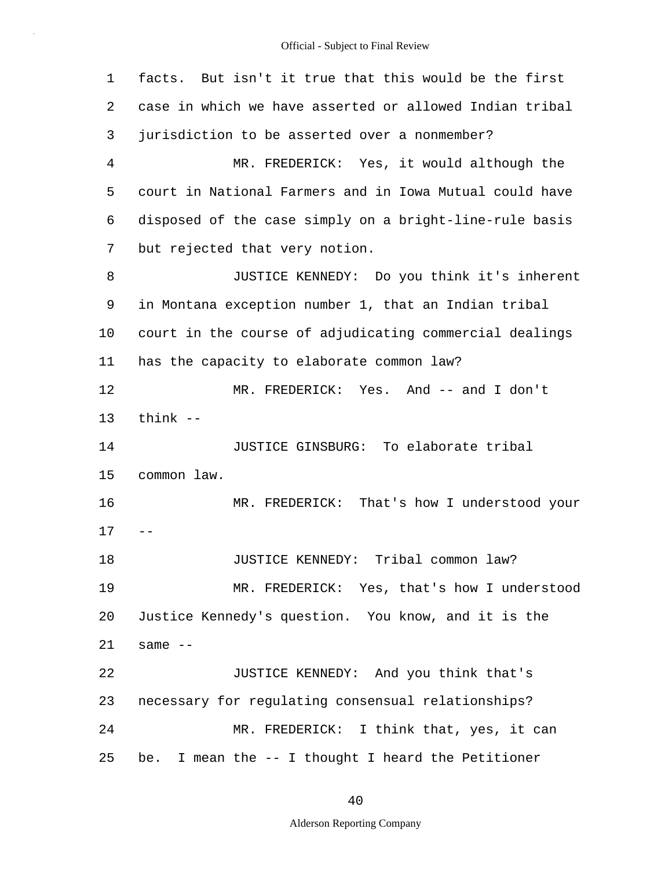5 10 15 20 25 1 facts. But isn't it true that this would be the first 2 case in which we have asserted or allowed Indian tribal 3 jurisdiction to be asserted over a nonmember? 4 MR. FREDERICK: Yes, it would although the court in National Farmers and in Iowa Mutual could have 6 disposed of the case simply on a bright-line-rule basis 7 but rejected that very notion. 8 JUSTICE KENNEDY: Do you think it's inherent 9 in Montana exception number 1, that an Indian tribal court in the course of adjudicating commercial dealings 11 has the capacity to elaborate common law? 12 MR. FREDERICK: Yes. And -- and I don't 13 think -- 14 JUSTICE GINSBURG: To elaborate tribal common law. 16 MR. FREDERICK: That's how I understood your  $17 - -$ 18 JUSTICE KENNEDY: Tribal common law? 19 MR. FREDERICK: Yes, that's how I understood Justice Kennedy's question. You know, and it is the  $21$  same  $-$ 22 JUSTICE KENNEDY: And you think that's 23 necessary for regulating consensual relationships? 24 MR. FREDERICK: I think that, yes, it can be. I mean the -- I thought I heard the Petitioner

40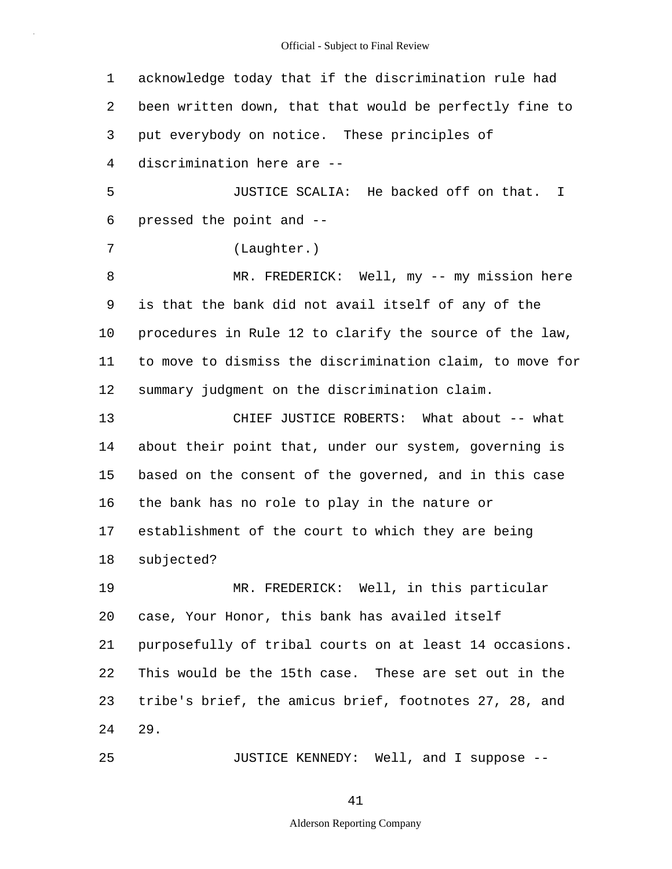5 10 15 20 25 1 acknowledge today that if the discrimination rule had 2 been written down, that that would be perfectly fine to 3 put everybody on notice. These principles of 4 discrimination here are -- JUSTICE SCALIA: He backed off on that. I 6 pressed the point and -- 7 (Laughter.) 8 MR. FREDERICK: Well, my -- my mission here 9 is that the bank did not avail itself of any of the procedures in Rule 12 to clarify the source of the law, 11 to move to dismiss the discrimination claim, to move for 12 summary judgment on the discrimination claim. 13 CHIEF JUSTICE ROBERTS: What about -- what 14 about their point that, under our system, governing is based on the consent of the governed, and in this case 16 the bank has no role to play in the nature or 17 establishment of the court to which they are being 18 subjected? 19 MR. FREDERICK: Well, in this particular case, Your Honor, this bank has availed itself 21 purposefully of tribal courts on at least 14 occasions. 22 This would be the 15th case. These are set out in the 23 tribe's brief, the amicus brief, footnotes 27, 28, and 24 29. JUSTICE KENNEDY: Well, and I suppose --

41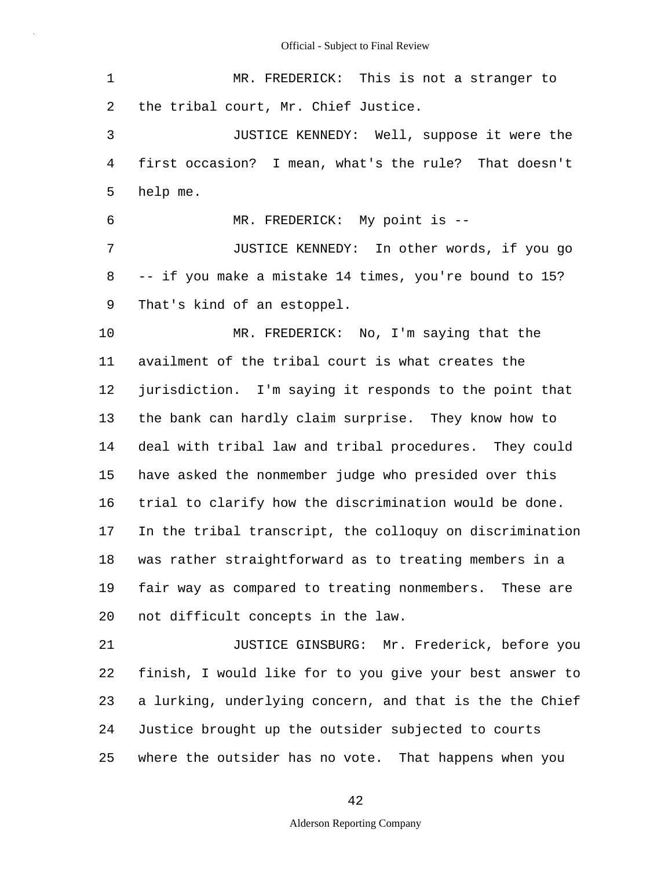| $\mathbf 1$ | MR. FREDERICK: This is not a stranger to                 |
|-------------|----------------------------------------------------------|
| 2           | the tribal court, Mr. Chief Justice.                     |
| 3           | JUSTICE KENNEDY: Well, suppose it were the               |
| 4           | first occasion? I mean, what's the rule? That doesn't    |
| 5           | help me.                                                 |
| 6           | MR. FREDERICK: My point is --                            |
| 7           | JUSTICE KENNEDY: In other words, if you go               |
| 8           | -- if you make a mistake 14 times, you're bound to 15?   |
| 9           | That's kind of an estoppel.                              |
| 10          | MR. FREDERICK: No, I'm saying that the                   |
| 11          | availment of the tribal court is what creates the        |
| 12          | jurisdiction. I'm saying it responds to the point that   |
| 13          | the bank can hardly claim surprise. They know how to     |
| 14          | deal with tribal law and tribal procedures. They could   |
| 15          | have asked the nonmember judge who presided over this    |
| 16          | trial to clarify how the discrimination would be done.   |
| 17          | In the tribal transcript, the colloquy on discrimination |
| 18          | was rather straightforward as to treating members in a   |
| 19          | fair way as compared to treating nonmembers. These are   |
| 20          | not difficult concepts in the law.                       |
| 21          | JUSTICE GINSBURG: Mr. Frederick, before you              |
| 22          | finish, I would like for to you give your best answer to |
| 23          | a lurking, underlying concern, and that is the the Chief |
| 24          | Justice brought up the outsider subjected to courts      |
| 25          | where the outsider has no vote. That happens when you    |

42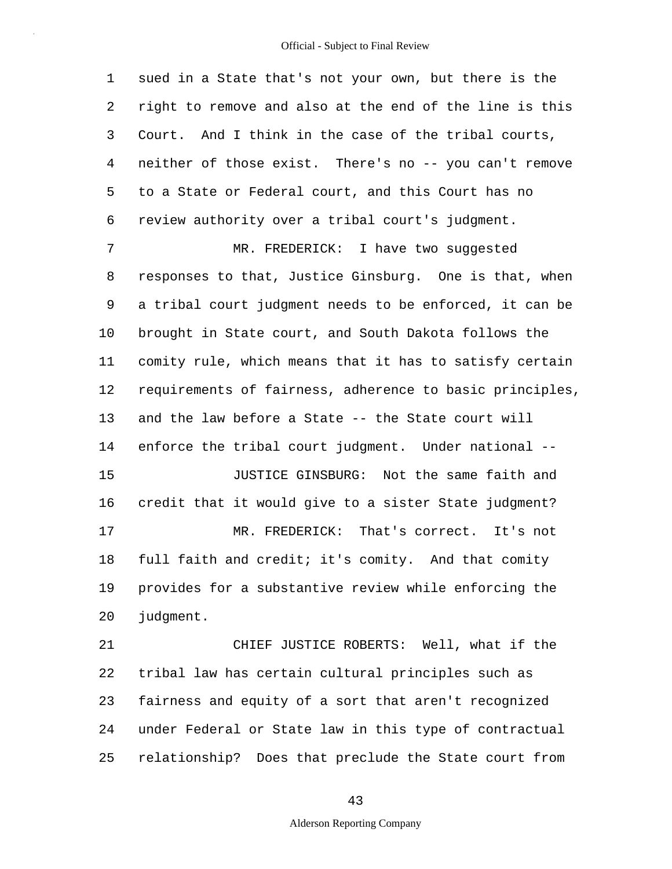5 1 sued in a State that's not your own, but there is the 2 right to remove and also at the end of the line is this 3 Court. And I think in the case of the tribal courts, 4 neither of those exist. There's no -- you can't remove to a State or Federal court, and this Court has no 6 review authority over a tribal court's judgment.

10 15 20 7 MR. FREDERICK: I have two suggested 8 responses to that, Justice Ginsburg. One is that, when 9 a tribal court judgment needs to be enforced, it can be brought in State court, and South Dakota follows the 11 comity rule, which means that it has to satisfy certain 12 requirements of fairness, adherence to basic principles, 13 and the law before a State -- the State court will 14 enforce the tribal court judgment. Under national -- JUSTICE GINSBURG: Not the same faith and 16 credit that it would give to a sister State judgment? 17 MR. FREDERICK: That's correct. It's not 18 full faith and credit; it's comity. And that comity 19 provides for a substantive review while enforcing the judgment.

25 21 CHIEF JUSTICE ROBERTS: Well, what if the 22 tribal law has certain cultural principles such as 23 fairness and equity of a sort that aren't recognized 24 under Federal or State law in this type of contractual relationship? Does that preclude the State court from

43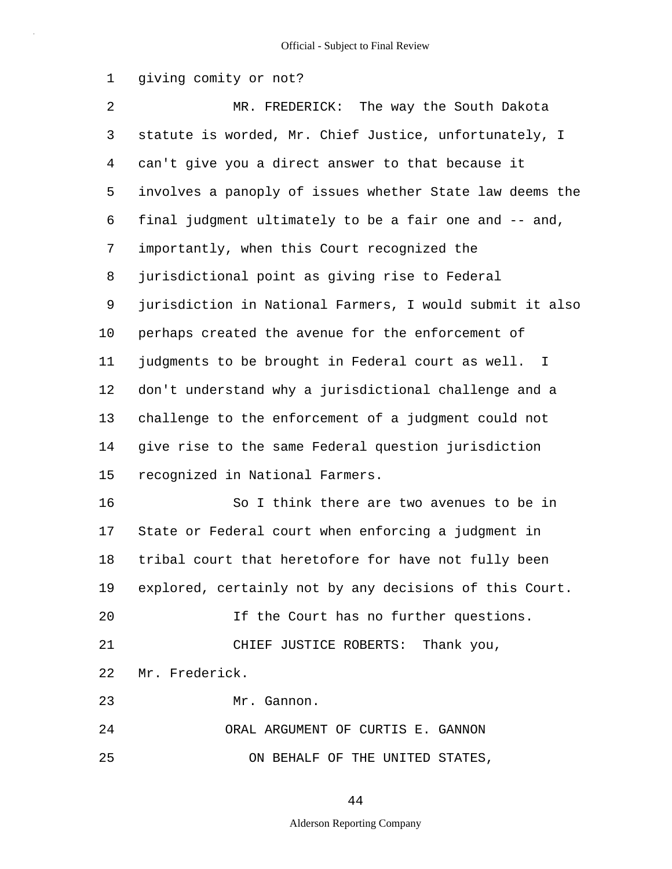1 giving comity or not?

5 10 15 20 2 MR. FREDERICK: The way the South Dakota 3 statute is worded, Mr. Chief Justice, unfortunately, I 4 can't give you a direct answer to that because it involves a panoply of issues whether State law deems the 6 final judgment ultimately to be a fair one and -- and, 7 importantly, when this Court recognized the 8 jurisdictional point as giving rise to Federal 9 jurisdiction in National Farmers, I would submit it also perhaps created the avenue for the enforcement of 11 judgments to be brought in Federal court as well. I 12 don't understand why a jurisdictional challenge and a 13 challenge to the enforcement of a judgment could not 14 give rise to the same Federal question jurisdiction recognized in National Farmers. 16 So I think there are two avenues to be in 17 State or Federal court when enforcing a judgment in 18 tribal court that heretofore for have not fully been 19 explored, certainly not by any decisions of this Court. If the Court has no further questions. 21 CHIEF JUSTICE ROBERTS: Thank you, 22 Mr. Frederick. 23 Mr. Gannon.

25 24 ORAL ARGUMENT OF CURTIS E. GANNON ON BEHALF OF THE UNITED STATES,

44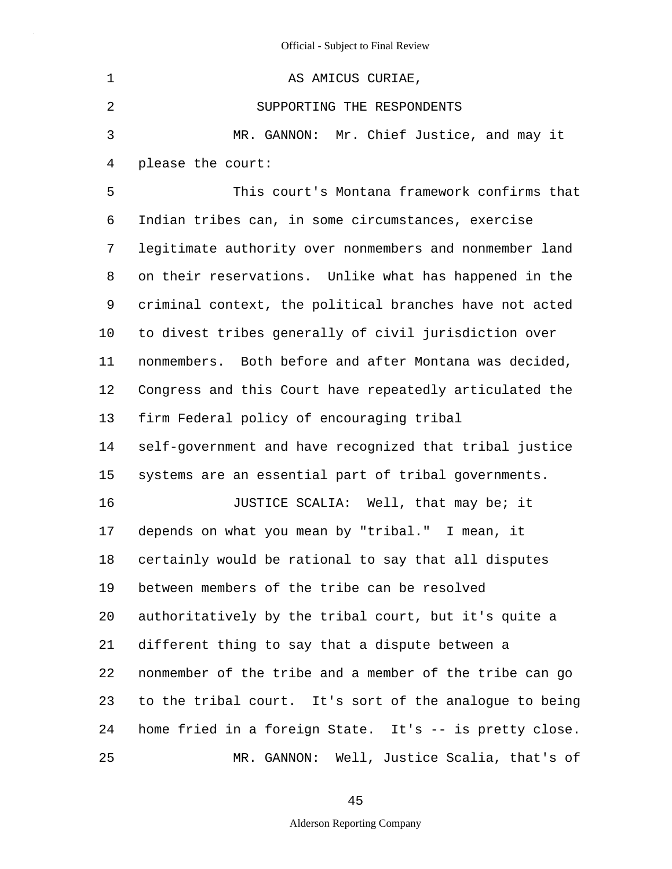| $\mathbf 1$ | AS AMICUS CURIAE,                                       |
|-------------|---------------------------------------------------------|
| 2           | SUPPORTING THE RESPONDENTS                              |
| 3           | MR. GANNON: Mr. Chief Justice, and may it               |
| 4           | please the court:                                       |
| 5           | This court's Montana framework confirms that            |
| 6           | Indian tribes can, in some circumstances, exercise      |
| 7           | legitimate authority over nonmembers and nonmember land |
| 8           | on their reservations. Unlike what has happened in the  |
| 9           | criminal context, the political branches have not acted |
| 10          | to divest tribes generally of civil jurisdiction over   |
| 11          | nonmembers. Both before and after Montana was decided,  |
| 12          | Congress and this Court have repeatedly articulated the |
| 13          | firm Federal policy of encouraging tribal               |
| 14          | self-government and have recognized that tribal justice |
| 15          | systems are an essential part of tribal governments.    |
| 16          | JUSTICE SCALIA: Well, that may be; it                   |
| 17          | depends on what you mean by "tribal." I mean, it        |
| 18          | certainly would be rational to say that all disputes    |
| 19          | between members of the tribe can be resolved            |
| 20          | authoritatively by the tribal court, but it's quite a   |
| 21          | different thing to say that a dispute between a         |
| 22          | nonmember of the tribe and a member of the tribe can go |
| 23          | to the tribal court. It's sort of the analogue to being |
| 24          | home fried in a foreign State. It's -- is pretty close. |
| 25          | MR. GANNON: Well, Justice Scalia, that's of             |

45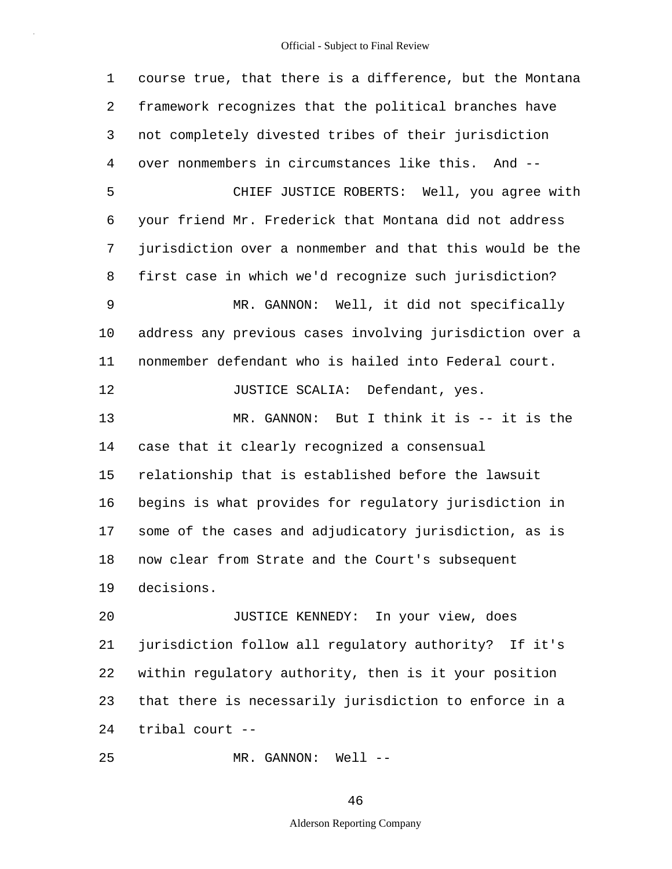5 10 15 20 25 1 course true, that there is a difference, but the Montana 2 framework recognizes that the political branches have 3 not completely divested tribes of their jurisdiction 4 over nonmembers in circumstances like this. And -- CHIEF JUSTICE ROBERTS: Well, you agree with 6 your friend Mr. Frederick that Montana did not address 7 jurisdiction over a nonmember and that this would be the 8 first case in which we'd recognize such jurisdiction? 9 MR. GANNON: Well, it did not specifically address any previous cases involving jurisdiction over a 11 nonmember defendant who is hailed into Federal court. 12 JUSTICE SCALIA: Defendant, yes. 13 MR. GANNON: But I think it is -- it is the 14 case that it clearly recognized a consensual relationship that is established before the lawsuit 16 begins is what provides for regulatory jurisdiction in 17 some of the cases and adjudicatory jurisdiction, as is 18 now clear from Strate and the Court's subsequent 19 decisions. JUSTICE KENNEDY: In your view, does 21 jurisdiction follow all regulatory authority? If it's 22 within regulatory authority, then is it your position 23 that there is necessarily jurisdiction to enforce in a 24 tribal court -- MR. GANNON: Well --

46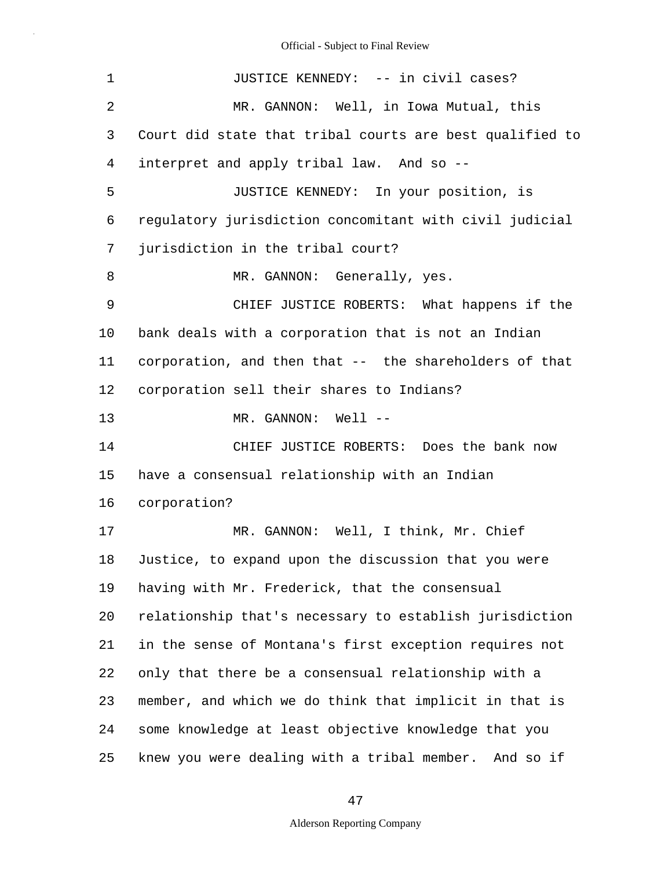| $\mathbf 1$ | JUSTICE KENNEDY: -- in civil cases?                      |
|-------------|----------------------------------------------------------|
| 2           | MR. GANNON: Well, in Iowa Mutual, this                   |
| 3           | Court did state that tribal courts are best qualified to |
| 4           | interpret and apply tribal law. And so --                |
| 5           | JUSTICE KENNEDY: In your position, is                    |
| 6           | regulatory jurisdiction concomitant with civil judicial  |
| 7           | jurisdiction in the tribal court?                        |
| 8           | MR. GANNON: Generally, yes.                              |
| 9           | CHIEF JUSTICE ROBERTS: What happens if the               |
| 10          | bank deals with a corporation that is not an Indian      |
| 11          | corporation, and then that -- the shareholders of that   |
| 12          | corporation sell their shares to Indians?                |
| 13          | MR. GANNON: Well --                                      |
| 14          | CHIEF JUSTICE ROBERTS: Does the bank now                 |
| 15          | have a consensual relationship with an Indian            |
| 16          | corporation?                                             |
| 17          | MR. GANNON: Well, I think, Mr. Chief                     |
| 18          | Justice, to expand upon the discussion that you were     |
| 19          | having with Mr. Frederick, that the consensual           |
| 20          | relationship that's necessary to establish jurisdiction  |
| 21          | in the sense of Montana's first exception requires not   |
| 22          | only that there be a consensual relationship with a      |
| 23          | member, and which we do think that implicit in that is   |
| 24          | some knowledge at least objective knowledge that you     |
| 25          | knew you were dealing with a tribal member. And so if    |

47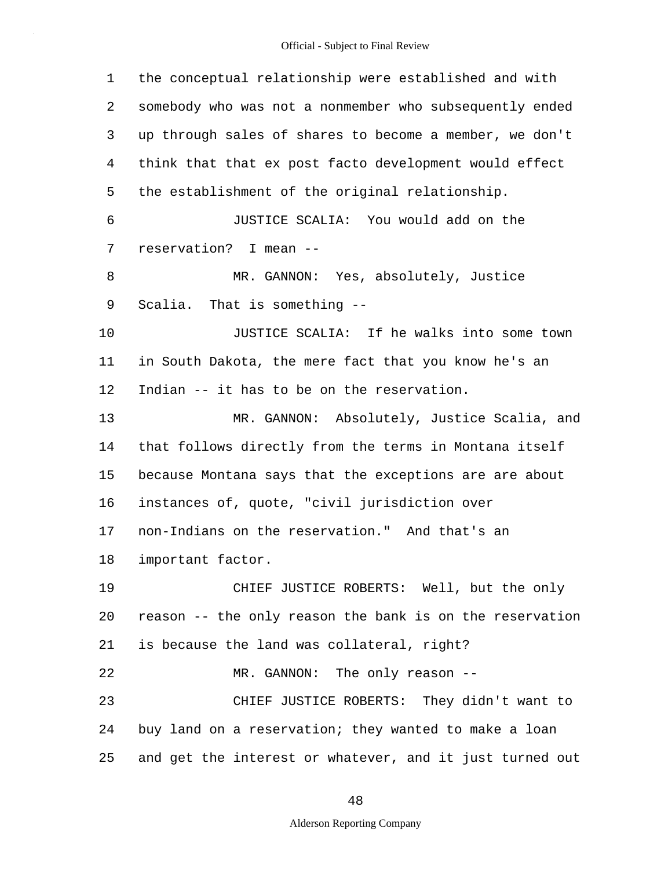5 10 15 20 25 1 the conceptual relationship were established and with 2 somebody who was not a nonmember who subsequently ended 3 up through sales of shares to become a member, we don't 4 think that that ex post facto development would effect the establishment of the original relationship. 6 JUSTICE SCALIA: You would add on the 7 reservation? I mean -- 8 MR. GANNON: Yes, absolutely, Justice 9 Scalia. That is something -- JUSTICE SCALIA: If he walks into some town 11 in South Dakota, the mere fact that you know he's an 12 Indian -- it has to be on the reservation. 13 MR. GANNON: Absolutely, Justice Scalia, and 14 that follows directly from the terms in Montana itself because Montana says that the exceptions are are about 16 instances of, quote, "civil jurisdiction over 17 non-Indians on the reservation." And that's an 18 important factor. 19 CHIEF JUSTICE ROBERTS: Well, but the only reason -- the only reason the bank is on the reservation 21 is because the land was collateral, right? 22 MR. GANNON: The only reason -- 23 CHIEF JUSTICE ROBERTS: They didn't want to 24 buy land on a reservation; they wanted to make a loan and get the interest or whatever, and it just turned out

48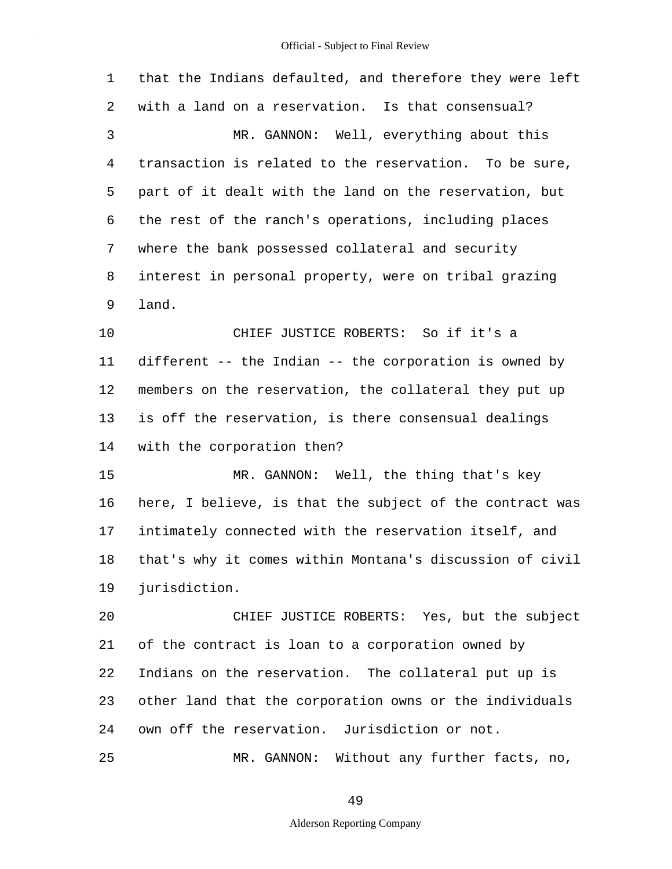5 10 15 20 25 1 that the Indians defaulted, and therefore they were left 2 with a land on a reservation. Is that consensual? 3 MR. GANNON: Well, everything about this 4 transaction is related to the reservation. To be sure, part of it dealt with the land on the reservation, but 6 the rest of the ranch's operations, including places 7 where the bank possessed collateral and security 8 interest in personal property, were on tribal grazing 9 land. CHIEF JUSTICE ROBERTS: So if it's a 11 different -- the Indian -- the corporation is owned by 12 members on the reservation, the collateral they put up 13 is off the reservation, is there consensual dealings 14 with the corporation then? MR. GANNON: Well, the thing that's key 16 here, I believe, is that the subject of the contract was 17 intimately connected with the reservation itself, and 18 that's why it comes within Montana's discussion of civil 19 jurisdiction. CHIEF JUSTICE ROBERTS: Yes, but the subject 21 of the contract is loan to a corporation owned by 22 Indians on the reservation. The collateral put up is 23 other land that the corporation owns or the individuals 24 own off the reservation. Jurisdiction or not. MR. GANNON: Without any further facts, no,

49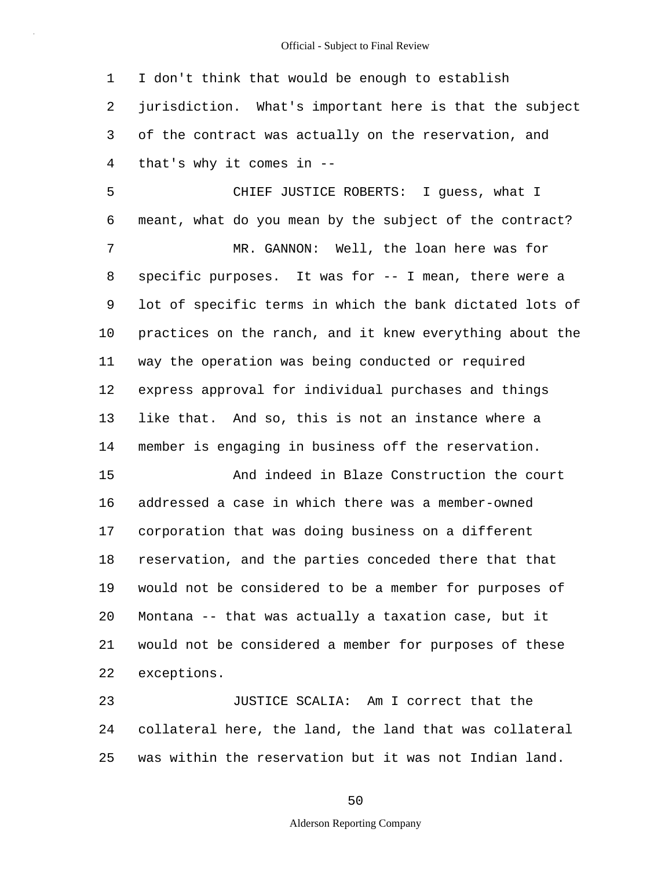1 I don't think that would be enough to establish 2 jurisdiction. What's important here is that the subject 3 of the contract was actually on the reservation, and 4 that's why it comes in --

5 10 CHIEF JUSTICE ROBERTS: I guess, what I 6 meant, what do you mean by the subject of the contract? 7 MR. GANNON: Well, the loan here was for 8 specific purposes. It was for -- I mean, there were a 9 lot of specific terms in which the bank dictated lots of practices on the ranch, and it knew everything about the 11 way the operation was being conducted or required 12 express approval for individual purchases and things 13 like that. And so, this is not an instance where a 14 member is engaging in business off the reservation.

15 20 And indeed in Blaze Construction the court 16 addressed a case in which there was a member-owned 17 corporation that was doing business on a different 18 reservation, and the parties conceded there that that 19 would not be considered to be a member for purposes of Montana -- that was actually a taxation case, but it 21 would not be considered a member for purposes of these 22 exceptions.

25 23 JUSTICE SCALIA: Am I correct that the 24 collateral here, the land, the land that was collateral was within the reservation but it was not Indian land.

50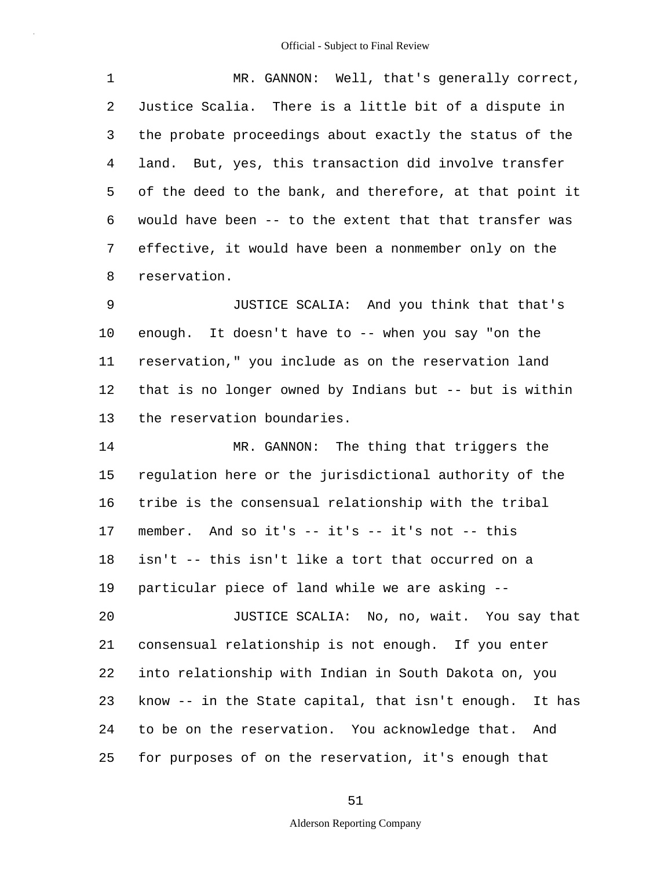5 1 MR. GANNON: Well, that's generally correct, 2 Justice Scalia. There is a little bit of a dispute in 3 the probate proceedings about exactly the status of the 4 land. But, yes, this transaction did involve transfer of the deed to the bank, and therefore, at that point it 6 would have been -- to the extent that that transfer was 7 effective, it would have been a nonmember only on the 8 reservation.

10 9 JUSTICE SCALIA: And you think that that's enough. It doesn't have to -- when you say "on the 11 reservation," you include as on the reservation land 12 that is no longer owned by Indians but -- but is within 13 the reservation boundaries.

15 20 25 14 MR. GANNON: The thing that triggers the regulation here or the jurisdictional authority of the 16 tribe is the consensual relationship with the tribal 17 member. And so it's -- it's -- it's not -- this 18 isn't -- this isn't like a tort that occurred on a 19 particular piece of land while we are asking -- JUSTICE SCALIA: No, no, wait. You say that 21 consensual relationship is not enough. If you enter 22 into relationship with Indian in South Dakota on, you 23 know -- in the State capital, that isn't enough. It has 24 to be on the reservation. You acknowledge that. And for purposes of on the reservation, it's enough that

51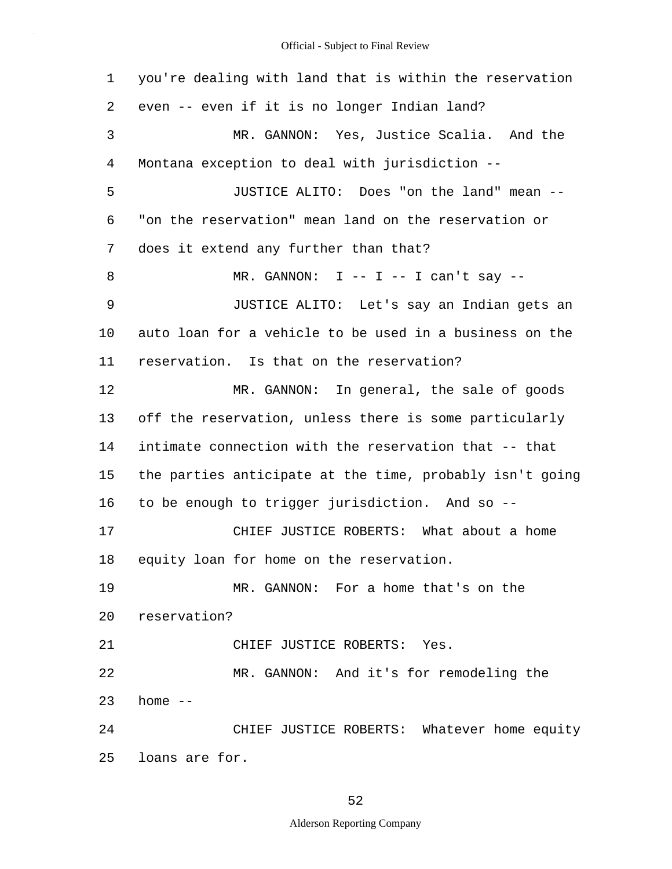5 10 15 20 25 1 you're dealing with land that is within the reservation 2 even -- even if it is no longer Indian land? 3 MR. GANNON: Yes, Justice Scalia. And the 4 Montana exception to deal with jurisdiction -- JUSTICE ALITO: Does "on the land" mean -- 6 "on the reservation" mean land on the reservation or 7 does it extend any further than that? 8 MR. GANNON: I -- I -- I can't say --9 JUSTICE ALITO: Let's say an Indian gets an auto loan for a vehicle to be used in a business on the 11 reservation. Is that on the reservation? 12 MR. GANNON: In general, the sale of goods 13 off the reservation, unless there is some particularly 14 intimate connection with the reservation that -- that the parties anticipate at the time, probably isn't going 16 to be enough to trigger jurisdiction. And so -- 17 CHIEF JUSTICE ROBERTS: What about a home 18 equity loan for home on the reservation. 19 MR. GANNON: For a home that's on the reservation? 21 CHIEF JUSTICE ROBERTS: Yes. 22 MR. GANNON: And it's for remodeling the  $23$  home  $-$ 24 CHIEF JUSTICE ROBERTS: Whatever home equity loans are for.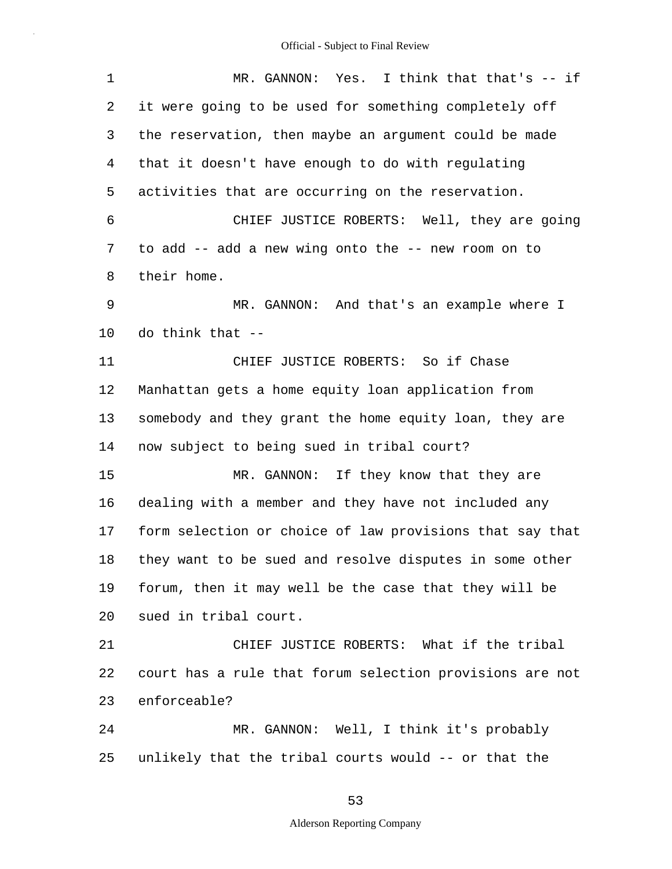| $\mathbf 1$ | MR. GANNON: Yes. I think that that's -- if               |
|-------------|----------------------------------------------------------|
| 2           | it were going to be used for something completely off    |
| 3           | the reservation, then maybe an argument could be made    |
| 4           | that it doesn't have enough to do with regulating        |
| 5           | activities that are occurring on the reservation.        |
| 6           | CHIEF JUSTICE ROBERTS: Well, they are going              |
| 7           | to add -- add a new wing onto the -- new room on to      |
| 8           | their home.                                              |
| 9           | MR. GANNON: And that's an example where I                |
| 10          | do think that --                                         |
| 11          | CHIEF JUSTICE ROBERTS: So if Chase                       |
| 12          | Manhattan gets a home equity loan application from       |
| 13          | somebody and they grant the home equity loan, they are   |
| 14          | now subject to being sued in tribal court?               |
| 15          | MR. GANNON: If they know that they are                   |
| 16          | dealing with a member and they have not included any     |
| 17          | form selection or choice of law provisions that say that |
| 18          | they want to be sued and resolve disputes in some other  |
| 19          | forum, then it may well be the case that they will be    |
| 20          | sued in tribal court.                                    |
| 21          | CHIEF JUSTICE ROBERTS: What if the tribal                |
| 22          | court has a rule that forum selection provisions are not |
| 23          | enforceable?                                             |
| 24          | MR. GANNON: Well, I think it's probably                  |
| 25          | unlikely that the tribal courts would -- or that the     |

53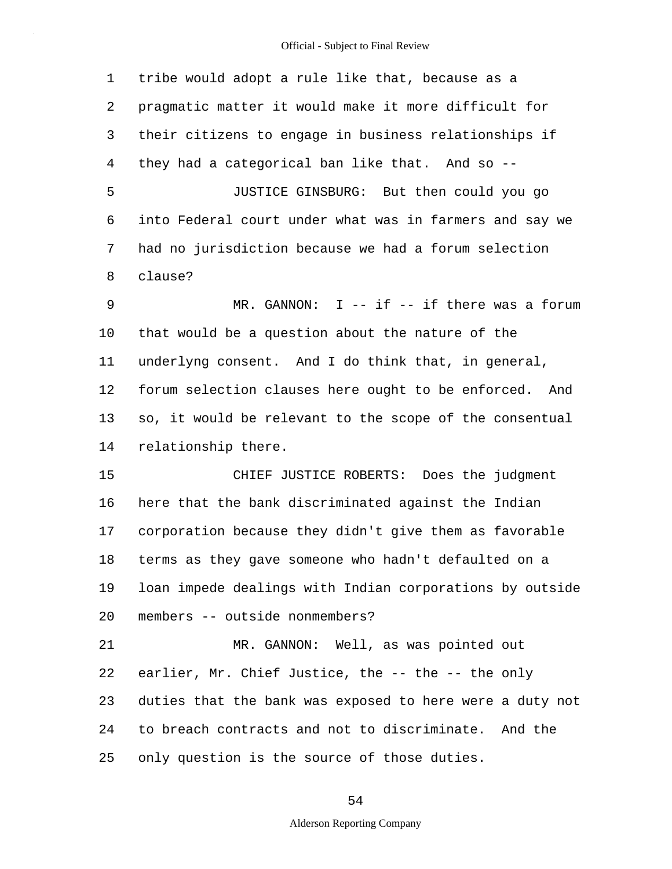5 10 15 20 25 1 tribe would adopt a rule like that, because as a 2 pragmatic matter it would make it more difficult for 3 their citizens to engage in business relationships if 4 they had a categorical ban like that. And so -- JUSTICE GINSBURG: But then could you go 6 into Federal court under what was in farmers and say we 7 had no jurisdiction because we had a forum selection 8 clause? 9 MR. GANNON: I -- if -- if there was a forum that would be a question about the nature of the 11 underlyng consent. And I do think that, in general, 12 forum selection clauses here ought to be enforced. And 13 so, it would be relevant to the scope of the consentual 14 relationship there. CHIEF JUSTICE ROBERTS: Does the judgment 16 here that the bank discriminated against the Indian 17 corporation because they didn't give them as favorable 18 terms as they gave someone who hadn't defaulted on a 19 loan impede dealings with Indian corporations by outside members -- outside nonmembers? 21 MR. GANNON: Well, as was pointed out 22 earlier, Mr. Chief Justice, the -- the -- the only 23 duties that the bank was exposed to here were a duty not 24 to breach contracts and not to discriminate. And the only question is the source of those duties.

54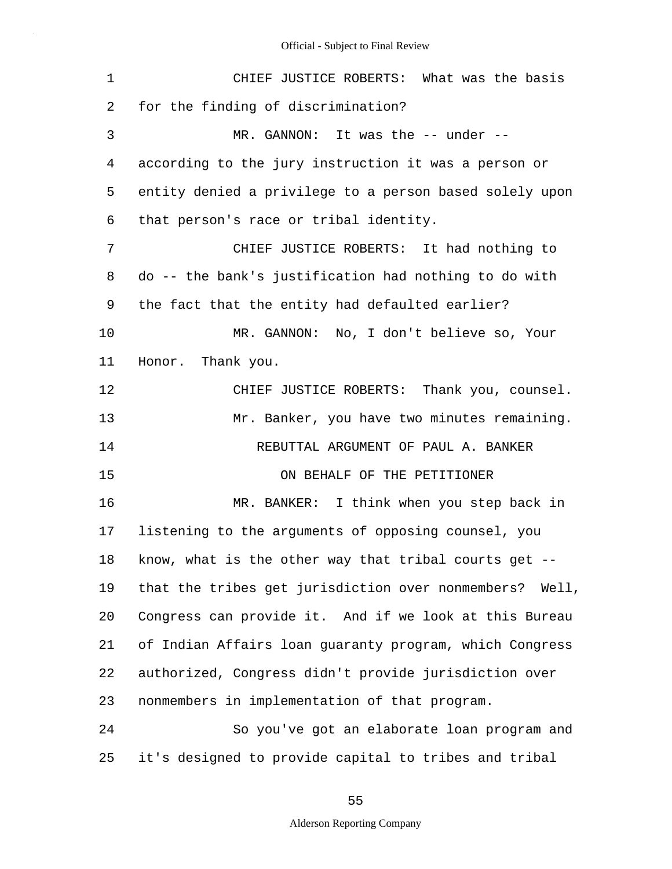| $\mathbf 1$ | CHIEF JUSTICE ROBERTS: What was the basis               |
|-------------|---------------------------------------------------------|
| 2           | for the finding of discrimination?                      |
| 3           | MR. GANNON: It was the -- under --                      |
| 4           | according to the jury instruction it was a person or    |
| 5           | entity denied a privilege to a person based solely upon |
| 6           | that person's race or tribal identity.                  |
| 7           | CHIEF JUSTICE ROBERTS: It had nothing to                |
| 8           | do -- the bank's justification had nothing to do with   |
| 9           | the fact that the entity had defaulted earlier?         |
| 10          | MR. GANNON: No, I don't believe so, Your                |
| 11          | Honor. Thank you.                                       |
| 12          | CHIEF JUSTICE ROBERTS: Thank you, counsel.              |
| 13          | Mr. Banker, you have two minutes remaining.             |
| 14          | REBUTTAL ARGUMENT OF PAUL A. BANKER                     |
| 15          | ON BEHALF OF THE PETITIONER                             |
| 16          | MR. BANKER: I think when you step back in               |
| 17          | listening to the arguments of opposing counsel, you     |
| 18          | know, what is the other way that tribal courts get      |
| 19          | that the tribes get jurisdiction over nonmembers? Well, |
| 20          | Congress can provide it. And if we look at this Bureau  |
| 21          | of Indian Affairs loan guaranty program, which Congress |
| 22          | authorized, Congress didn't provide jurisdiction over   |
| 23          | nonmembers in implementation of that program.           |
| 24          | So you've got an elaborate loan program and             |
| 25          | it's designed to provide capital to tribes and tribal   |

55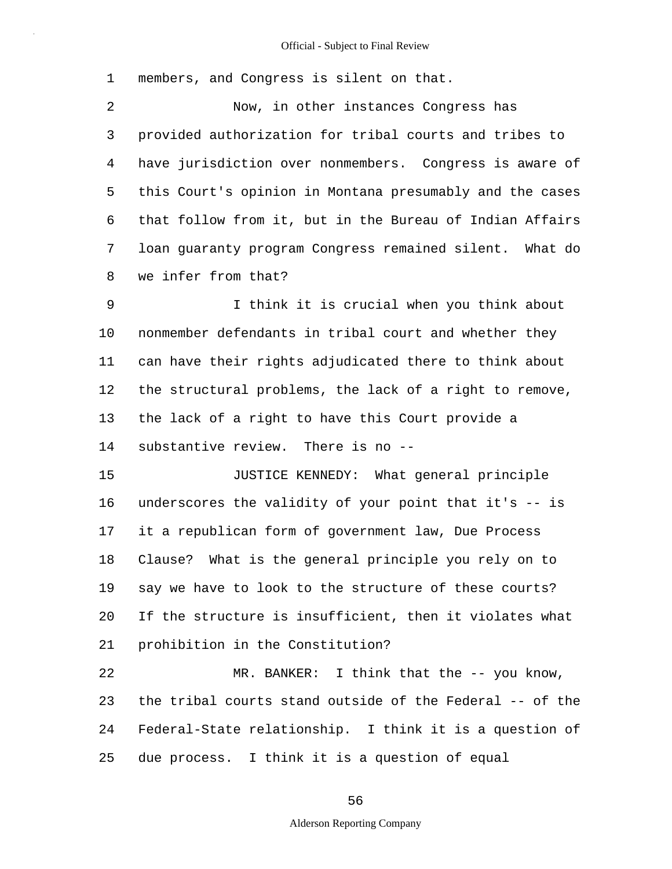1 members, and Congress is silent on that.

5 2 Now, in other instances Congress has 3 provided authorization for tribal courts and tribes to 4 have jurisdiction over nonmembers. Congress is aware of this Court's opinion in Montana presumably and the cases 6 that follow from it, but in the Bureau of Indian Affairs 7 loan guaranty program Congress remained silent. What do 8 we infer from that?

10 9 I think it is crucial when you think about nonmember defendants in tribal court and whether they 11 can have their rights adjudicated there to think about 12 the structural problems, the lack of a right to remove, 13 the lack of a right to have this Court provide a 14 substantive review. There is no --

15 20 JUSTICE KENNEDY: What general principle 16 underscores the validity of your point that it's -- is 17 it a republican form of government law, Due Process 18 Clause? What is the general principle you rely on to 19 say we have to look to the structure of these courts? If the structure is insufficient, then it violates what 21 prohibition in the Constitution?

25 22 MR. BANKER: I think that the -- you know, 23 the tribal courts stand outside of the Federal -- of the 24 Federal-State relationship. I think it is a question of due process. I think it is a question of equal

56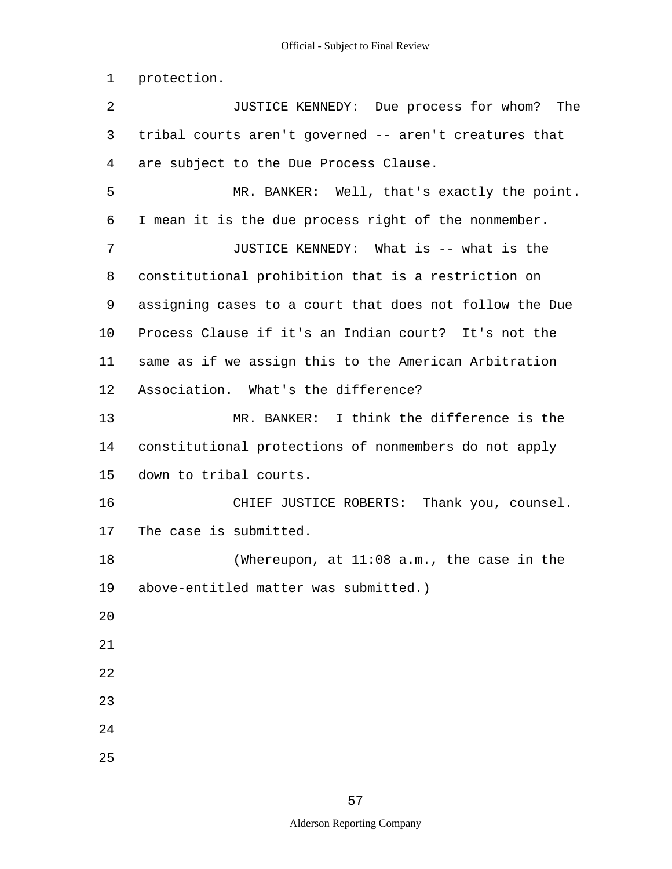1 protection.

5 10 15 20 25 2 JUSTICE KENNEDY: Due process for whom? The 3 tribal courts aren't governed -- aren't creatures that 4 are subject to the Due Process Clause. MR. BANKER: Well, that's exactly the point. 6 I mean it is the due process right of the nonmember. 7 JUSTICE KENNEDY: What is -- what is the 8 constitutional prohibition that is a restriction on 9 assigning cases to a court that does not follow the Due Process Clause if it's an Indian court? It's not the 11 same as if we assign this to the American Arbitration 12 Association. What's the difference? 13 MR. BANKER: I think the difference is the 14 constitutional protections of nonmembers do not apply down to tribal courts. 16 CHIEF JUSTICE ROBERTS: Thank you, counsel. 17 The case is submitted. 18 (Whereupon, at 11:08 a.m., the case in the 19 above-entitled matter was submitted.) 21 22 23 24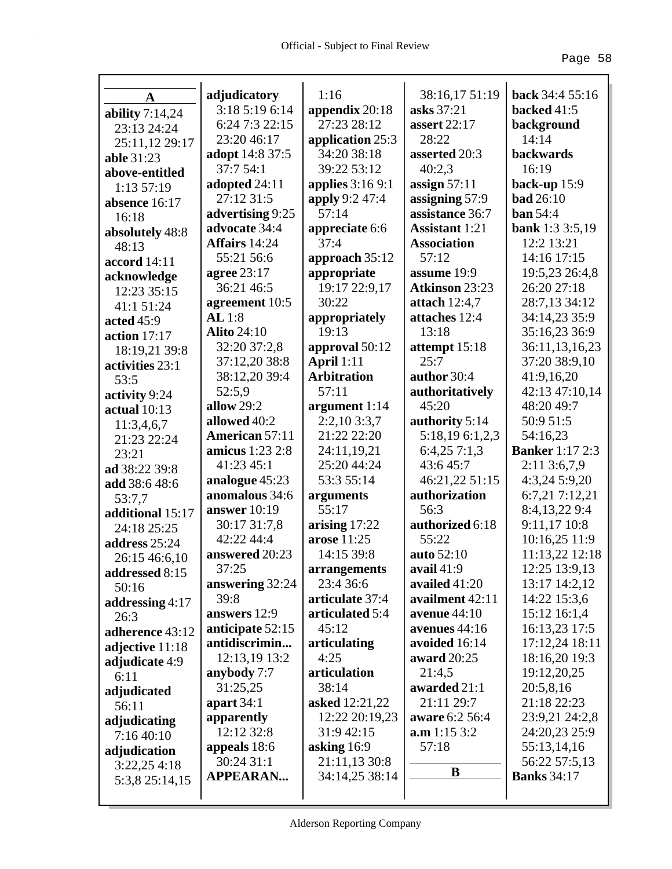| A                 | adjudicatory           | 1:16                    | 38:16,17 51:19        | <b>back</b> 34:4 55:16 |
|-------------------|------------------------|-------------------------|-----------------------|------------------------|
| ability $7:14,24$ | 3:18 5:19 6:14         | appendix $20:18$        | asks 37:21            | backed 41:5            |
| 23:13 24:24       | 6:24 7:3 22:15         | 27:23 28:12             | <b>assert</b> 22:17   | background             |
| 25:11,12 29:17    | 23:20 46:17            | application 25:3        | 28:22                 | 14:14                  |
| able 31:23        | <b>adopt</b> 14:8 37:5 | 34:20 38:18             | asserted 20:3         | backwards              |
| above-entitled    | 37:7 54:1              | 39:22 53:12             | 40:2,3                | 16:19                  |
| 1:13 57:19        | adopted 24:11          | <b>applies</b> 3:16 9:1 | assign $57:11$        | back-up $15:9$         |
| absence 16:17     | 27:12 31:5             | <b>apply</b> 9:2 47:4   | assigning 57:9        | <b>bad</b> 26:10       |
| 16:18             | advertising 9:25       | 57:14                   | assistance 36:7       | ban 54:4               |
| absolutely 48:8   | advocate 34:4          | appreciate 6:6          | <b>Assistant</b> 1:21 | <b>bank</b> 1:3 3:5,19 |
| 48:13             | Affairs 14:24          | 37:4                    | <b>Association</b>    | 12:2 13:21             |
| accord 14:11      | 55:21 56:6             | approach 35:12          | 57:12                 | 14:16 17:15            |
| acknowledge       | agree 23:17            | appropriate             | assume 19:9           | 19:5,23 26:4,8         |
| 12:23 35:15       | 36:21 46:5             | 19:17 22:9,17           | <b>Atkinson 23:23</b> | 26:20 27:18            |
| 41:1 51:24        | agreement 10:5         | 30:22                   | attach $12:4,7$       | 28:7,13 34:12          |
| acted 45:9        | AL1:8                  | appropriately           | attaches 12:4         | 34:14,23 35:9          |
| action $17:17$    | <b>Alito</b> 24:10     | 19:13                   | 13:18                 | 35:16,23 36:9          |
| 18:19,21 39:8     | 32:20 37:2,8           | approval 50:12          | attempt 15:18         | 36:11,13,16,23         |
| activities 23:1   | 37:12,20 38:8          | <b>April</b> 1:11       | 25:7                  | 37:20 38:9,10          |
| 53:5              | 38:12,20 39:4          | <b>Arbitration</b>      | author 30:4           | 41:9,16,20             |
| activity 9:24     | 52:5,9                 | 57:11                   | authoritatively       | 42:13 47:10,14         |
| actual $10:13$    | allow 29:2             | argument $1:14$         | 45:20                 | 48:20 49:7             |
| 11:3,4,6,7        | allowed 40:2           | 2:2,103:3,7             | authority 5:14        | 50:9 51:5              |
| 21:23 22:24       | <b>American 57:11</b>  | 21:22 22:20             | 5:18,19 6:1,2,3       | 54:16,23               |
| 23:21             | <b>amicus</b> 1:23 2:8 | 24:11,19,21             | 6:4,257:1,3           | <b>Banker</b> 1:17 2:3 |
| ad 38:22 39:8     | 41:23 45:1             | 25:20 44:24             | 43:645:7              | 2:11 3:6,7,9           |
| add 38:6 48:6     | analogue 45:23         | 53:3 55:14              | 46:21,22 51:15        | 4:3,24 5:9,20          |
| 53:7,7            | anomalous 34:6         | arguments               | authorization         | 6:7,21 7:12,21         |
| additional 15:17  | answer $10:19$         | 55:17                   | 56:3                  | 8:4,13,229:4           |
| 24:18 25:25       | 30:17 31:7,8           | arising $17:22$         | authorized 6:18       | 9:11,17 10:8           |
| address 25:24     | 42:22 44:4             | arose 11:25             | 55:22                 | 10:16,25 11:9          |
| 26:15 46:6,10     | answered 20:23         | 14:15 39:8              | auto 52:10            | 11:13,22 12:18         |
| addressed 8:15    | 37:25                  | arrangements            | avail $41:9$          | 12:25 13:9,13          |
| 50:16             | answering 32:24        | 23:4 36:6               | availed 41:20         | 13:17 14:2,12          |
| addressing $4:17$ | 39:8                   | articulate 37:4         | availment 42:11       | 14:22 15:3,6           |
| 26:3              | answers 12:9           | articulated 5:4         | avenue $44:10$        | 15:12 16:1,4           |
| adherence 43:12   | anticipate 52:15       | 45:12                   | avenues 44:16         | 16:13,23 17:5          |
| adjective 11:18   | antidiscrimin          | articulating            | avoided 16:14         | 17:12,24 18:11         |
| adjudicate 4:9    | 12:13,19 13:2          | 4:25                    | award 20:25           | 18:16,20 19:3          |
| 6:11              | anybody 7:7            | articulation            | 21:4,5                | 19:12,20,25            |
| adjudicated       | 31:25,25               | 38:14                   | awarded 21:1          | 20:5,8,16              |
| 56:11             | apart $34:1$           | asked 12:21,22          | 21:11 29:7            | 21:18 22:23            |
| adjudicating      | apparently             | 12:22 20:19,23          | aware 6:2 56:4        | 23:9,21 24:2,8         |
| 7:1640:10         | 12:12 32:8             | 31:9 42:15              | a.m 1:15 3:2          | 24:20,23 25:9          |
| adjudication      | appeals 18:6           | asking $16:9$           | 57:18                 | 55:13,14,16            |
| 3:22,254:18       | 30:24 31:1             | 21:11,13 30:8           | B                     | 56:22 57:5,13          |
| 5:3,8 25:14,15    | <b>APPEARAN</b>        | 34:14,25 38:14          |                       | <b>Banks</b> 34:17     |
|                   |                        |                         |                       |                        |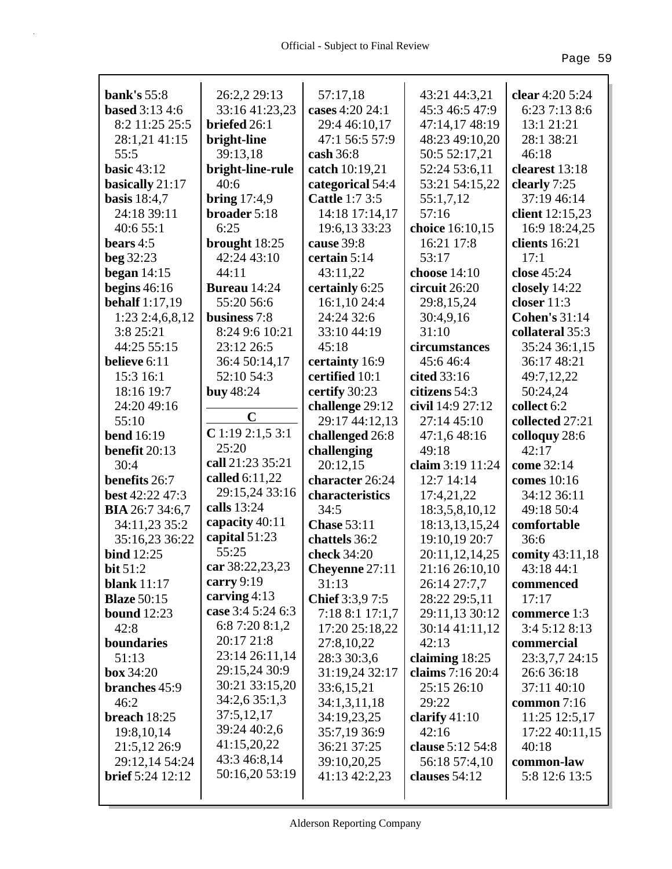| bank's $55:8$           | 26:2,2 29:13        | 57:17,18              | 43:21 44:3,21    | clear 4:20 5:24      |
|-------------------------|---------------------|-----------------------|------------------|----------------------|
| <b>based</b> 3:13 4:6   | 33:16 41:23,23      | cases 4:20 24:1       | 45:3 46:5 47:9   | 6:23 7:13 8:6        |
| 8:2 11:25 25:5          | briefed 26:1        | 29:4 46:10,17         | 47:14,17 48:19   | 13:1 21:21           |
| 28:1,21 41:15           | bright-line         | 47:1 56:5 57:9        | 48:23 49:10,20   | 28:1 38:21           |
| 55:5                    | 39:13,18            | cash $36:8$           | 50:5 52:17,21    | 46:18                |
| <b>basic</b> 43:12      | bright-line-rule    | catch 10:19,21        | 52:24 53:6,11    | clearest 13:18       |
| basically 21:17         | 40:6                | categorical 54:4      | 53:21 54:15,22   | clearly 7:25         |
| basis $18:4,7$          | bring $17:4,9$      | <b>Cattle 1:7 3:5</b> | 55:1,7,12        | 37:19 46:14          |
| 24:18 39:11             | broader 5:18        | 14:18 17:14,17        | 57:16            | client 12:15,23      |
| 40:6 55:1               | 6:25                | 19:6,13 33:23         | choice 16:10,15  | 16:9 18:24,25        |
| bears $4:5$             | brought 18:25       | cause 39:8            | 16:21 17:8       | clients $16:21$      |
| beg 32:23               | 42:24 43:10         | certain 5:14          | 53:17            | 17:1                 |
| began $14:15$           | 44:11               | 43:11,22              | choose $14:10$   | close 45:24          |
| begins $46:16$          | <b>Bureau</b> 14:24 | certainly 6:25        | circuit 26:20    | closely 14:22        |
| <b>behalf</b> 1:17,19   | 55:20 56:6          | 16:1,10 24:4          | 29:8,15,24       | closer 11:3          |
| 1:23 2:4,6,8,12         | business 7:8        | 24:24 32:6            | 30:4,9,16        | <b>Cohen's 31:14</b> |
| 3:8 25:21               | 8:24 9:6 10:21      | 33:10 44:19           | 31:10            | collateral 35:3      |
| 44:25 55:15             | 23:12 26:5          | 45:18                 | circumstances    | 35:24 36:1,15        |
| believe 6:11            | 36:4 50:14,17       | certainty 16:9        | 45:646:4         | 36:17 48:21          |
| 15:3 16:1               | 52:10 54:3          | certified 10:1        | cited 33:16      | 49:7,12,22           |
| 18:16 19:7              | buy 48:24           | certify 30:23         | citizens 54:3    | 50:24,24             |
| 24:20 49:16             |                     | challenge 29:12       | civil 14:9 27:12 | collect 6:2          |
| 55:10                   | $\mathbf C$         | 29:17 44:12,13        | 27:14 45:10      | collected 27:21      |
| <b>bend</b> 16:19       | $C$ 1:19 2:1,5 3:1  | challenged 26:8       | 47:1,6 48:16     | colloquy 28:6        |
| benefit 20:13           | 25:20               | challenging           | 49:18            | 42:17                |
| 30:4                    | call 21:23 35:21    | 20:12,15              | claim 3:19 11:24 | come 32:14           |
| benefits 26:7           | called $6:11,22$    | character 26:24       | 12:7 14:14       | comes 10:16          |
| best 42:22 47:3         | 29:15,24 33:16      | characteristics       | 17:4,21,22       | 34:12 36:11          |
| <b>BIA</b> 26:7 34:6,7  | calls 13:24         | 34:5                  | 18:3,5,8,10,12   | 49:18 50:4           |
| 34:11,23 35:2           | capacity 40:11      | <b>Chase 53:11</b>    | 18:13,13,15,24   | comfortable          |
| 35:16,23 36:22          | capital 51:23       | chattels 36:2         | 19:10,19 20:7    | 36:6                 |
| <b>bind</b> 12:25       | 55:25               | check 34:20           | 20:11,12,14,25   | comity 43:11,18      |
| bit $51:2$              | car 38:22,23,23     | <b>Cheyenne</b> 27:11 | 21:16 26:10,10   | 43:18 44:1           |
| blank $11:17$           | carry $9:19$        | 31:13                 | 26:14 27:7,7     | commenced            |
| <b>Blaze</b> 50:15      | carving $4:13$      | Chief 3:3,9 7:5       | 28:22 29:5,11    | 17:17                |
| bound $12:23$           | case 3:4 5:24 6:3   | 7:18 8:1 17:1,7       | 29:11,13 30:12   | commerce 1:3         |
| 42:8                    | 6:8 7:20 8:1,2      | 17:20 25:18,22        | 30:14 41:11,12   | 3:4 5:12 8:13        |
| boundaries              | 20:17 21:8          | 27:8,10,22            | 42:13            | commercial           |
| 51:13                   | 23:14 26:11,14      | 28:3 30:3,6           | claiming $18:25$ | 23:3,7,7 24:15       |
| <b>box</b> 34:20        | 29:15,24 30:9       | 31:19,24 32:17        | claims 7:16 20:4 | 26:6 36:18           |
| branches 45:9           | 30:21 33:15,20      | 33:6,15,21            | 25:15 26:10      | 37:11 40:10          |
| 46:2                    | 34:2,6 35:1,3       | 34:1,3,11,18          | 29:22            | common $7:16$        |
| breach $18:25$          | 37:5,12,17          | 34:19,23,25           | clarify $41:10$  | 11:25 12:5,17        |
| 19:8,10,14              | 39:24 40:2,6        | 35:7,19 36:9          | 42:16            | 17:22 40:11,15       |
| 21:5,12 26:9            | 41:15,20,22         | 36:21 37:25           | clause 5:12 54:8 | 40:18                |
| 29:12,14 54:24          | 43:3 46:8,14        | 39:10,20,25           | 56:18 57:4,10    | common-law           |
| <b>brief</b> 5:24 12:12 | 50:16,20 53:19      | 41:13 42:2,23         | clauses $54:12$  | 5:8 12:6 13:5        |
|                         |                     |                       |                  |                      |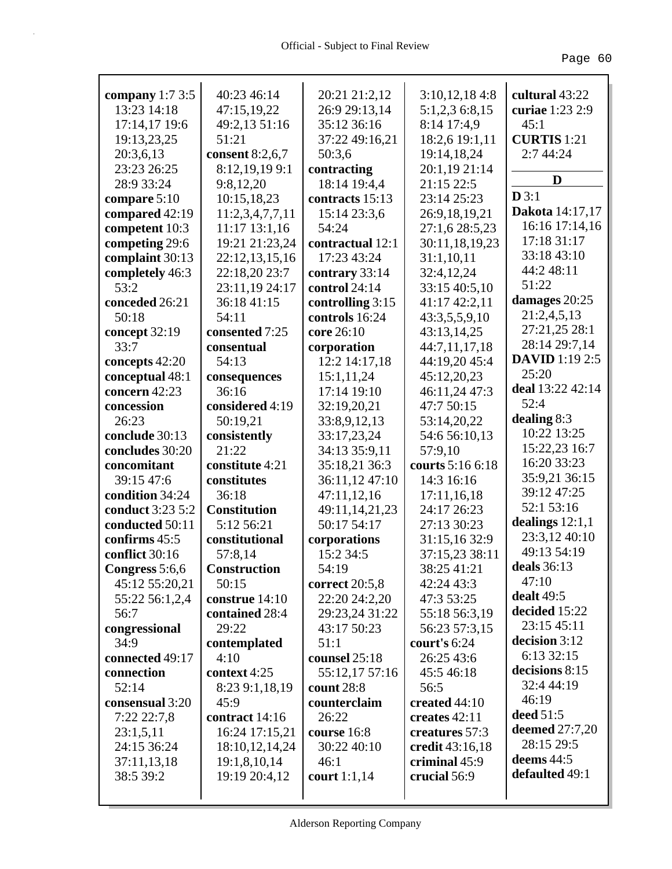| company $1:73:5$         | 40:23 46:14                    | 20:21 21:2,12              | 3:10,12,184:8                    | cultural 43:22               |
|--------------------------|--------------------------------|----------------------------|----------------------------------|------------------------------|
| 13:23 14:18              | 47:15,19,22                    | 26:9 29:13,14              | 5:1,2,3 6:8,15                   | curiae 1:23 2:9              |
| 17:14,17 19:6            | 49:2,13 51:16                  | 35:12 36:16                | 8:14 17:4,9                      | 45:1                         |
| 19:13,23,25              | 51:21                          | 37:22 49:16,21             | 18:2,6 19:1,11                   | <b>CURTIS</b> 1:21           |
| 20:3,6,13                | consent 8:2,6,7                | 50:3,6                     | 19:14,18,24                      | 2:7 44:24                    |
| 23:23 26:25              | 8:12,19,199:1                  | contracting                | 20:1,19 21:14                    |                              |
| 28:9 33:24               | 9:8,12,20                      | 18:14 19:4,4               | 21:15 22:5                       | D                            |
| compare $5:10$           | 10:15,18,23                    | contracts 15:13            | 23:14 25:23                      | D3:1                         |
| compared 42:19           | 11:2,3,4,7,7,11                | 15:14 23:3,6               | 26:9,18,19,21                    | Dakota 14:17,17              |
| competent 10:3           | $11:17$ 13:1,16                | 54:24                      | 27:1,6 28:5,23                   | 16:16 17:14,16               |
| competing 29:6           | 19:21 21:23,24                 | contractual 12:1           | 30:11,18,19,23                   | 17:18 31:17                  |
| complaint 30:13          | 22:12,13,15,16                 | 17:23 43:24                | 31:1,10,11                       | 33:18 43:10                  |
| completely 46:3          | 22:18,20 23:7                  | contrary 33:14             | 32:4,12,24                       | 44:2 48:11                   |
| 53:2                     | 23:11,19 24:17                 | control 24:14              | 33:15 40:5,10                    | 51:22                        |
| conceded 26:21           | 36:18 41:15                    | controlling 3:15           | 41:17 42:2,11                    | damages 20:25                |
| 50:18                    | 54:11                          | controls 16:24             | 43:3,5,5,9,10                    | 21:2,4,5,13                  |
| concept 32:19            | consented 7:25                 | core 26:10                 | 43:13,14,25                      | 27:21,25 28:1                |
| 33:7                     | consentual                     | corporation                | 44:7,11,17,18                    | 28:14 29:7,14                |
| concepts 42:20           | 54:13                          | 12:2 14:17,18              | 44:19,20 45:4                    | <b>DAVID</b> 1:19 2:5        |
| conceptual 48:1          | consequences                   | 15:1,11,24                 | 45:12,20,23                      | 25:20                        |
| concern 42:23            | 36:16                          | 17:14 19:10                | 46:11,24 47:3                    | deal 13:22 42:14             |
| concession               | considered 4:19                | 32:19,20,21                | 47:7 50:15                       | 52:4                         |
| 26:23                    | 50:19,21                       | 33:8,9,12,13               | 53:14,20,22                      | dealing $8:3$                |
| conclude 30:13           | consistently                   | 33:17,23,24                | 54:6 56:10,13                    | 10:22 13:25                  |
| concludes 30:20          | 21:22                          | 34:13 35:9,11              | 57:9,10                          | 15:22,23 16:7<br>16:20 33:23 |
| concomitant              | constitute 4:21                | 35:18,21 36:3              | courts 5:16 6:18                 |                              |
| 39:15 47:6               | constitutes                    | 36:11,12 47:10             | 14:3 16:16                       | 35:9,21 36:15<br>39:12 47:25 |
| condition 34:24          | 36:18                          | 47:11,12,16                | 17:11,16,18                      | 52:1 53:16                   |
| conduct 3:23 5:2         | <b>Constitution</b>            | 49:11,14,21,23             | 24:17 26:23                      | dealings $12:1,1$            |
| conducted 50:11          | 5:12 56:21                     | 50:17 54:17                | 27:13 30:23                      | 23:3,12 40:10                |
| confirms 45:5            | constitutional                 | corporations               | 31:15,16 32:9                    | 49:13 54:19                  |
| conflict 30:16           | 57:8,14                        | 15:2 34:5                  | 37:15,23 38:11                   | deals 36:13                  |
| Congress 5:6,6           | <b>Construction</b>            | 54:19                      | 38:25 41:21                      | 47:10                        |
| 45:12 55:20,21           | 50:15                          | correct 20:5,8             | 42:24 43:3                       | dealt 49:5                   |
| 55:22 56:1,2,4           | construe 14:10                 | 22:20 24:2,20              | 47:3 53:25                       | decided 15:22                |
| 56:7                     | contained 28:4                 | 29:23,24 31:22             | 55:18 56:3,19                    | 23:15 45:11                  |
| congressional            | 29:22                          | 43:17 50:23                | 56:23 57:3,15                    | decision 3:12                |
| 34:9                     | contemplated                   | 51:1                       | court's 6:24                     | 6:13 32:15                   |
| connected 49:17          | 4:10                           | counsel 25:18              | 26:25 43:6                       | decisions 8:15               |
| connection               | context 4:25                   | 55:12,17 57:16             | 45:5 46:18                       | 32:4 44:19                   |
| 52:14                    | 8:23 9:1,18,19                 | count 28:8                 | 56:5                             | 46:19                        |
| consensual 3:20          | 45:9                           | counterclaim               | created 44:10                    | deed 51:5                    |
| 7:22 22:7,8              | contract 14:16                 | 26:22                      | creates 42:11                    | deemed $27:7,20$             |
| 23:1,5,11                | 16:24 17:15,21                 | course 16:8<br>30:22 40:10 | creatures 57:3                   | 28:15 29:5                   |
| 24:15 36:24              | 18:10,12,14,24<br>19:1,8,10,14 | 46:1                       | credit 43:16,18<br>criminal 45:9 | deems $44:5$                 |
| 37:11,13,18<br>38:5 39:2 | 19:19 20:4,12                  | court 1:1,14               | crucial 56:9                     | defaulted 49:1               |
|                          |                                |                            |                                  |                              |
|                          |                                |                            |                                  |                              |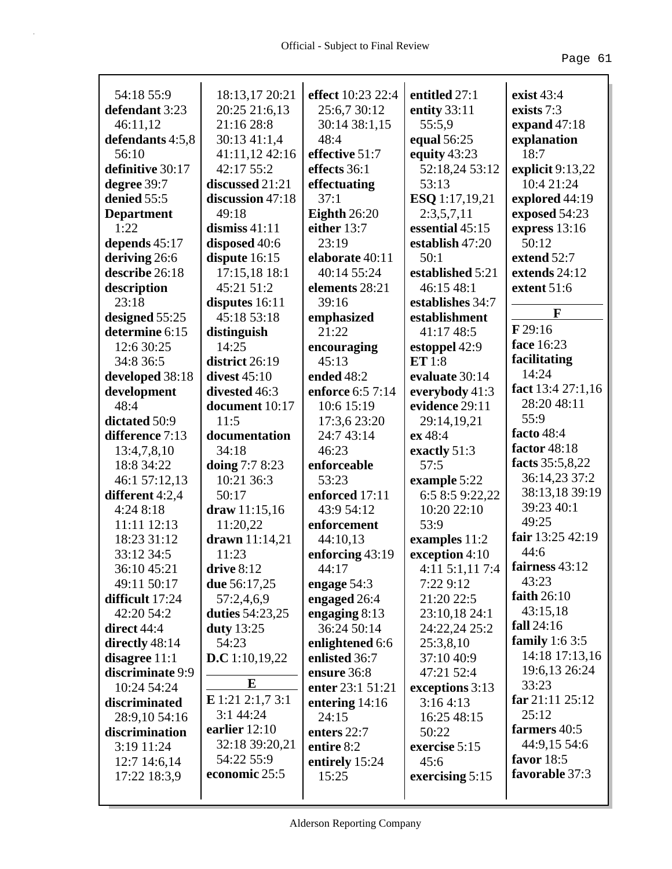| 54:18 55:9        | 18:13,17 20:21    | effect 10:23 22:4   | entitled 27:1    | exist $43:4$      |
|-------------------|-------------------|---------------------|------------------|-------------------|
| defendant 3:23    | 20:25 21:6,13     | 25:6,7 30:12        | entity 33:11     | exists 7:3        |
| 46:11,12          | 21:16 28:8        | 30:14 38:1,15       | 55:5,9           | expand $47:18$    |
| defendants 4:5,8  | 30:13 41:1,4      | 48:4                | equal 56:25      | explanation       |
| 56:10             | 41:11,12 42:16    | effective 51:7      | equity 43:23     | 18:7              |
| definitive 30:17  | 42:17 55:2        | effects 36:1        | 52:18,24 53:12   | explicit 9:13,22  |
| degree 39:7       | discussed 21:21   | effectuating        | 53:13            | 10:4 21:24        |
| denied 55:5       | discussion 47:18  | 37:1                | ESQ 1:17,19,21   | explored 44:19    |
| <b>Department</b> | 49:18             | <b>Eighth</b> 26:20 | 2:3,5,7,11       | exposed 54:23     |
| 1:22              | dismiss $41:11$   | either 13:7         | essential 45:15  | express 13:16     |
| depends 45:17     | disposed 40:6     | 23:19               | establish 47:20  | 50:12             |
| deriving 26:6     | dispute $16:15$   | elaborate 40:11     | 50:1             | extend 52:7       |
| describe 26:18    | 17:15,18 18:1     | 40:14 55:24         | established 5:21 | extends 24:12     |
| description       | 45:21 51:2        | elements 28:21      | 46:15 48:1       | extent 51:6       |
| 23:18             | disputes 16:11    | 39:16               | establishes 34:7 | F                 |
| designed 55:25    | 45:18 53:18       | emphasized          | establishment    |                   |
| determine 6:15    | distinguish       | 21:22               | 41:17 48:5       | $F$ 29:16         |
| 12:6 30:25        | 14:25             | encouraging         | estoppel 42:9    | face 16:23        |
| 34:8 36:5         | district 26:19    | 45:13               | ET1:8            | facilitating      |
| developed 38:18   | divest $45:10$    | ended 48:2          | evaluate 30:14   | 14:24             |
| development       | divested 46:3     | enforce 6:5 7:14    | everybody 41:3   | fact 13:4 27:1,16 |
| 48:4              | document 10:17    | 10:6 15:19          | evidence 29:11   | 28:20 48:11       |
| dictated 50:9     | 11:5              | 17:3,6 23:20        | 29:14,19,21      | 55:9              |
| difference 7:13   | documentation     | 24:7 43:14          | ex 48:4          | facto 48:4        |
| 13:4,7,8,10       | 34:18             | 46:23               | exactly 51:3     | factor 48:18      |
| 18:8 34:22        | doing 7:7 8:23    | enforceable         | 57:5             | facts 35:5,8,22   |
| 46:1 57:12,13     | 10:21 36:3        | 53:23               | example 5:22     | 36:14,23 37:2     |
| different 4:2,4   | 50:17             | enforced 17:11      | 6:5 8:5 9:22,22  | 38:13,18 39:19    |
| 4:24 8:18         | draw 11:15,16     | 43:9 54:12          | 10:20 22:10      | 39:23 40:1        |
| 11:11 12:13       | 11:20,22          | enforcement         | 53:9             | 49:25             |
| 18:23 31:12       | drawn $11:14,21$  | 44:10,13            | examples 11:2    | fair 13:25 42:19  |
| 33:12 34:5        | 11:23             | enforcing 43:19     | exception 4:10   | 44:6              |
| 36:10 45:21       | drive 8:12        | 44:17               | 4:11 5:1,11 7:4  | fairness 43:12    |
| 49:11 50:17       | due 56:17,25      | engage 54:3         | 7:22 9:12        | 43:23             |
| difficult 17:24   | 57:2,4,6,9        | engaged 26:4        | 21:20 22:5       | faith $26:10$     |
| 42:20 54:2        | duties $54:23,25$ | engaging $8:13$     | 23:10,18 24:1    | 43:15,18          |
| direct 44:4       | duty 13:25        | 36:24 50:14         | 24:22,24 25:2    | fall $24:16$      |
| directly 48:14    | 54:23             | enlightened 6:6     | 25:3,8,10        | family $1:63:5$   |
| disagree $11:1$   | D.C 1:10,19,22    | enlisted 36:7       | 37:10 40:9       | 14:18 17:13,16    |
| discriminate 9:9  |                   | ensure 36:8         | 47:21 52:4       | 19:6,13 26:24     |
| 10:24 54:24       | E                 | enter 23:1 51:21    | exceptions 3:13  | 33:23             |
| discriminated     | E 1:21 2:1,7 3:1  | entering $14:16$    | 3:164:13         | far 21:11 25:12   |
| 28:9,10 54:16     | 3:1 44:24         | 24:15               | 16:25 48:15      | 25:12             |
| discrimination    | earlier 12:10     | enters 22:7         | 50:22            | farmers 40:5      |
| 3:19 11:24        | 32:18 39:20,21    | entire 8:2          | exercise 5:15    | 44:9,15 54:6      |
| $12:7$ 14:6,14    | 54:22 55:9        | entirely 15:24      | 45:6             | favor $18:5$      |
| 17:22 18:3,9      | economic 25:5     | 15:25               | exercising 5:15  | favorable 37:3    |
|                   |                   |                     |                  |                   |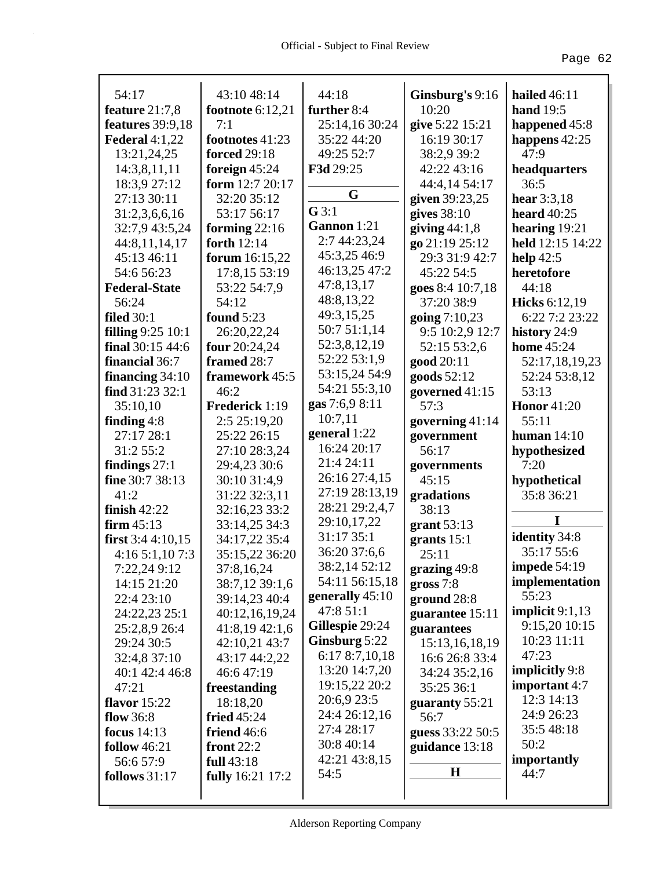| 54:17                    | 43:10 48:14                    | 44:18           | Ginsburg's 9:16  | <b>hailed</b> 46:11                    |
|--------------------------|--------------------------------|-----------------|------------------|----------------------------------------|
| feature $21:7,8$         | footnote $6:12,21$             | further 8:4     | 10:20            | hand 19:5                              |
| features 39:9,18         | 7:1                            | 25:14,16 30:24  | give 5:22 15:21  | happened 45:8                          |
| Federal $4:1,22$         | footnotes 41:23                | 35:22 44:20     | 16:19 30:17      | happens $42:25$                        |
| 13:21,24,25              | <b>forced</b> 29:18            | 49:25 52:7      | 38:2,9 39:2      | 47:9                                   |
| 14:3,8,11,11             | foreign $45:24$                | F3d 29:25       | 42:22 43:16      | headquarters                           |
| 18:3,9 27:12             | form 12:7 20:17                |                 | 44:4,14 54:17    | 36:5                                   |
| 27:13 30:11              | 32:20 35:12                    | G               | given 39:23,25   | hear $3:3,18$                          |
| 31:2,3,6,6,16            | 53:17 56:17                    | G3:1            | gives $38:10$    | heard $40:25$                          |
| 32:7,9 43:5,24           |                                | Gannon 1:21     | giving $44:1,8$  | hearing $19:21$                        |
|                          | forming $22:16$<br>forth 12:14 | 2:7 44:23,24    |                  | held 12:15 14:22                       |
| 44:8,11,14,17            |                                | 45:3,25 46:9    | go 21:19 25:12   |                                        |
| 45:13 46:11              | forum $16:15,22$               | 46:13,25 47:2   | 29:3 31:9 42:7   | help $42:5$                            |
| 54:6 56:23               | 17:8,15 53:19                  | 47:8,13,17      | 45:22 54:5       | heretofore                             |
| <b>Federal-State</b>     | 53:22 54:7,9                   | 48:8,13,22      | goes 8:4 10:7,18 | 44:18                                  |
| 56:24                    | 54:12                          | 49:3,15,25      | 37:20 38:9       | <b>Hicks</b> 6:12,19<br>6:22 7:2 23:22 |
| <b>filed</b> 30:1        | <b>found</b> 5:23              | 50:7 51:1,14    | going 7:10,23    |                                        |
| <b>filling</b> 9:25 10:1 | 26:20,22,24                    | 52:3,8,12,19    | 9:5 10:2,9 12:7  | history 24:9                           |
| final $30:1544:6$        | four 20:24,24                  | 52:22 53:1,9    | 52:15 53:2,6     | <b>home</b> 45:24                      |
| financial 36:7           | framed 28:7                    | 53:15,24 54:9   | good 20:11       | 52:17,18,19,23                         |
| financing $34:10$        | framework 45:5                 | 54:21 55:3,10   | goods 52:12      | 52:24 53:8,12                          |
| find $31:23\,32:1$       | 46:2                           |                 | governed 41:15   | 53:13                                  |
| 35:10,10                 | Frederick 1:19                 | gas 7:6,9 8:11  | 57:3             | <b>Honor</b> 41:20                     |
| finding $4:8$            | 2:5 25:19,20                   | 10:7,11         | governing 41:14  | 55:11                                  |
| 27:17 28:1               | 25:22 26:15                    | general 1:22    | government       | human $14:10$                          |
| 31:2 55:2                | 27:10 28:3,24                  | 16:24 20:17     | 56:17            | hypothesized                           |
| findings $27:1$          | 29:4,23 30:6                   | 21:4 24:11      | governments      | 7:20                                   |
| fine 30:7 38:13          | 30:10 31:4,9                   | 26:16 27:4,15   | 45:15            | hypothetical                           |
| 41:2                     | 31:22 32:3,11                  | 27:19 28:13,19  | gradations       | 35:8 36:21                             |
| finish $42:22$           | 32:16,23 33:2                  | 28:21 29:2,4,7  | 38:13            | I                                      |
| firm 45:13               | 33:14,25 34:3                  | 29:10,17,22     | grant $53:13$    |                                        |
| first $3:44:10,15$       | 34:17,22 35:4                  | 31:17 35:1      | grants 15:1      | identity 34:8                          |
| 4:165:1,107:3            | 35:15,22 36:20                 | 36:20 37:6,6    | 25:11            | 35:17 55:6                             |
| 7:22,24 9:12             | 37:8,16,24                     | 38:2,14 52:12   | grazing 49:8     | impede $54:19$                         |
| 14:15 21:20              | 38:7,12 39:1,6                 | 54:11 56:15,18  | gross 7:8        | implementation                         |
| 22:4 23:10               | 39:14,23 40:4                  | generally 45:10 | ground 28:8      | 55:23                                  |
| 24:22,23 25:1            | 40:12,16,19,24                 | 47:8 51:1       | guarantee 15:11  | implicit $9:1,13$                      |
| 25:2,8,9 26:4            | 41:8,19 42:1,6                 | Gillespie 29:24 | guarantees       | 9:15,20 10:15                          |
| 29:24 30:5               | 42:10.21 43:7                  | Ginsburg 5:22   | 15:13,16,18,19   | 10:23 11:11                            |
| 32:4,8 37:10             | 43:17 44:2,22                  | 6:17 8:7,10,18  | 16:6 26:8 33:4   | 47:23                                  |
| 40:1 42:4 46:8           | 46:647:19                      | 13:20 14:7,20   | 34:24 35:2,16    | implicitly 9:8                         |
| 47:21                    | freestanding                   | 19:15,22 20:2   | 35:25 36:1       | important 4:7                          |
| <b>flavor</b> 15:22      | 18:18,20                       | 20:6,9 23:5     | guaranty 55:21   | 12:3 14:13                             |
| flow 36:8                | fried $45:24$                  | 24:4 26:12,16   | 56:7             | 24:9 26:23                             |
| focus $14:13$            | friend 46:6                    | 27:4 28:17      | guess 33:22 50:5 | 35:548:18                              |
| follow $46:21$           | front $22:2$                   | 30:8 40:14      | guidance 13:18   | 50:2                                   |
| 56:6 57:9                | full 43:18                     | 42:21 43:8,15   |                  | importantly                            |
| <b>follows</b> 31:17     | <b>fully</b> 16:21 17:2        | 54:5            | $\bf H$          | 44:7                                   |
|                          |                                |                 |                  |                                        |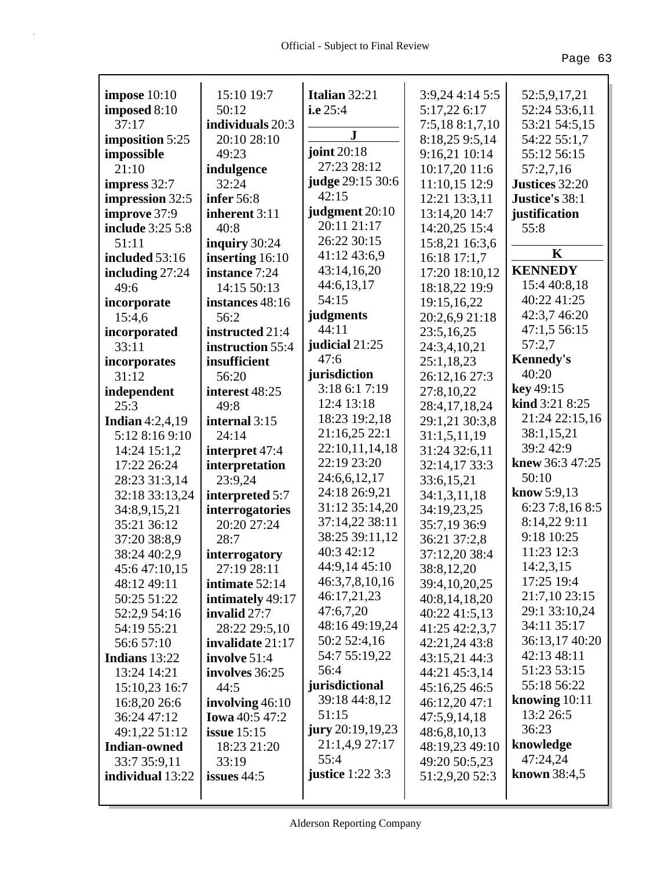| impose $10:10$      | 15:10 19:7            | Italian 32:21                   | 3:9,24 4:14 5:5 | 52:5,9,17,21                     |
|---------------------|-----------------------|---------------------------------|-----------------|----------------------------------|
| imposed 8:10        | 50:12                 | i.e $25:4$                      | 5:17,22 6:17    | 52:24 53:6,11                    |
| 37:17               | individuals 20:3      | ${\bf J}$                       | 7:5,18 8:1,7,10 | 53:21 54:5,15                    |
| imposition 5:25     | 20:10 28:10           | joint $20:18$                   | 8:18,25 9:5,14  | 54:22 55:1,7                     |
| impossible          | 49:23                 | 27:23 28:12                     | 9:16,21 10:14   | 55:12 56:15                      |
| 21:10               | indulgence            |                                 | 10:17,20 11:6   | 57:2,7,16                        |
| impress 32:7        | 32:24                 | judge 29:15 30:6<br>42:15       | 11:10,15 12:9   | Justices 32:20                   |
| impression 32:5     | <b>infer</b> 56:8     |                                 | 12:21 13:3,11   | Justice's 38:1                   |
| improve 37:9        | inherent 3:11         | judgment 20:10<br>20:11 21:17   | 13:14,20 14:7   | justification                    |
| include 3:25 5:8    | 40:8                  | 26:22 30:15                     | 14:20,25 15:4   | 55:8                             |
| 51:11               | inquiry 30:24         |                                 | 15:8,21 16:3,6  | $\mathbf K$                      |
| included 53:16      | inserting 16:10       | 41:12 43:6,9                    | 16:18 17:1,7    | <b>KENNEDY</b>                   |
| including $27:24$   | instance 7:24         | 43:14,16,20                     | 17:20 18:10,12  |                                  |
| 49:6                | 14:15 50:13           | 44:6,13,17                      | 18:18,22 19:9   | 15:4 40:8,18<br>40:22 41:25      |
| incorporate         | instances 48:16       | 54:15                           | 19:15,16,22     |                                  |
| 15:4,6              | 56:2                  | judgments                       | 20:2,6,9 21:18  | 42:3,7 46:20                     |
| incorporated        | instructed 21:4       | 44:11                           | 23:5,16,25      | 47:1,5 56:15                     |
| 33:11               | instruction 55:4      | judicial 21:25<br>47:6          | 24:3,4,10,21    | 57:2,7                           |
| incorporates        | insufficient          |                                 | 25:1,18,23      | <b>Kennedy's</b><br>40:20        |
| 31:12               | 56:20                 | jurisdiction                    | 26:12,16 27:3   | key 49:15                        |
| independent         | interest 48:25        | 3:18 6:1 7:19                   | 27:8,10,22      | kind 3:21 8:25                   |
| 25:3                | 49:8                  | 12:4 13:18                      | 28:4,17,18,24   |                                  |
| Indian $4:2,4,19$   | internal 3:15         | 18:23 19:2,18                   | 29:1,21 30:3,8  | 21:24 22:15,16                   |
| 5:12 8:16 9:10      | 24:14                 | 21:16,25 22:1                   | 31:1,5,11,19    | 38:1,15,21                       |
| 14:24 15:1,2        | interpret 47:4        | 22:10,11,14,18                  | 31:24 32:6,11   | 39:2 42:9                        |
| 17:22 26:24         | interpretation        | 22:19 23:20                     | 32:14,17 33:3   | knew 36:3 47:25                  |
| 28:23 31:3,14       | 23:9,24               | 24:6,6,12,17                    | 33:6,15,21      | 50:10                            |
| 32:18 33:13,24      | interpreted 5:7       | 24:18 26:9,21                   | 34:1,3,11,18    | know $5:9,13$<br>6:23 7:8,16 8:5 |
| 34:8,9,15,21        | interrogatories       | 31:12 35:14,20                  | 34:19,23,25     |                                  |
| 35:21 36:12         | 20:20 27:24           | 37:14,22 38:11                  | 35:7,19 36:9    | 8:14,22 9:11<br>9:18 10:25       |
| 37:20 38:8,9        | 28:7                  | 38:25 39:11,12                  | 36:21 37:2,8    |                                  |
| 38:24 40:2,9        | interrogatory         | 40:3 42:12                      | 37:12,20 38:4   | 11:23 12:3                       |
| 45:6 47:10,15       | 27:19 28:11           | 44:9,14 45:10<br>46:3,7,8,10,16 | 38:8,12,20      | 14:2,3,15                        |
| 48:12 49:11         | intimate 52:14        |                                 | 39:4,10,20,25   | 17:25 19:4                       |
| 50:25 51:22         | intimately 49:17      | 46:17,21,23                     | 40:8,14,18,20   | 21:7,10 23:15                    |
| 52:2,9 54:16        | invalid $27:7$        | 47:6,7,20                       | 40:22 41:5,13   | 29:1 33:10,24<br>34:11 35:17     |
| 54:19 55:21         | 28:22 29:5,10         | 48:16 49:19,24                  | 41:25 42:2,3,7  |                                  |
| 56:6 57:10          | invalidate 21:17      | 50:2 52:4,16                    | 42:21,24 43:8   | 36:13,17 40:20                   |
| Indians 13:22       | involve $51:4$        | 54:7 55:19,22                   | 43:15,21 44:3   | 42:13 48:11                      |
| 13:24 14:21         | involves 36:25        | 56:4                            | 44:21 45:3,14   | 51:23 53:15                      |
| 15:10,23 16:7       | 44:5                  | jurisdictional                  | 45:16,25 46:5   | 55:18 56:22                      |
| 16:8,20 26:6        | involving $46:10$     | 39:18 44:8,12                   | 46:12,20 47:1   | knowing $10:11$                  |
| 36:24 47:12         | <b>Iowa</b> 40:5 47:2 | 51:15                           | 47:5,9,14,18    | 13:2 26:5                        |
| 49:1,22 51:12       | issue $15:15$         | jury 20:19,19,23                | 48:6,8,10,13    | 36:23                            |
| <b>Indian-owned</b> | 18:23 21:20           | 21:1,4,9 27:17                  | 48:19,23 49:10  | knowledge                        |
| 33:7 35:9,11        | 33:19                 | 55:4                            | 49:20 50:5,23   | 47:24,24                         |
| individual 13:22    | issues 44:5           | justice $1:22\,3:3$             | 51:2,9,20 52:3  | <b>known</b> 38:4,5              |
|                     |                       |                                 |                 |                                  |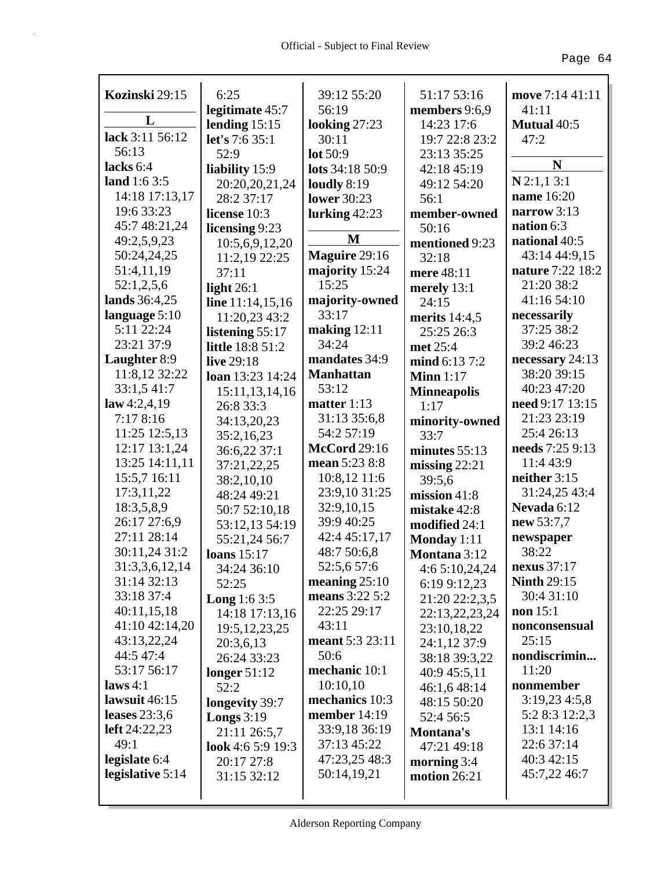| Kozinski 29:15   | 6:25                    | 39:12 55:20         | 51:17 53:16        | move 7:14 41:11    |
|------------------|-------------------------|---------------------|--------------------|--------------------|
|                  | legitimate 45:7         | 56:19               | members 9:6,9      | 41:11              |
| L                | lending $15:15$         | looking 27:23       | 14:23 17:6         | <b>Mutual 40:5</b> |
| lack 3:11 56:12  | let's 7:6 35:1          | 30:11               | 19:7 22:8 23:2     | 47:2               |
| 56:13            | 52:9                    | lot 50:9            | 23:13 35:25        |                    |
| lacks 6:4        | liability 15:9          | lots 34:18 50:9     | 42:18 45:19        | N                  |
| land $1:63:5$    | 20:20,20,21,24          | loudly $8:19$       | 49:12 54:20        | $N$ 2:1,1 3:1      |
| 14:18 17:13,17   | 28:2 37:17              | <b>lower</b> 30:23  | 56:1               | name 16:20         |
| 19:6 33:23       | license 10:3            | lurking $42:23$     | member-owned       | narrow $3:13$      |
| 45:7 48:21,24    | licensing 9:23          |                     | 50:16              | nation 6:3         |
| 49:2,5,9,23      | 10:5,6,9,12,20          | M                   | mentioned 9:23     | national 40:5      |
| 50:24,24,25      | 11:2,19 22:25           | Maguire 29:16       | 32:18              | 43:14 44:9,15      |
| 51:4,11,19       | 37:11                   | majority 15:24      | mere 48:11         | nature 7:22 18:2   |
| 52:1,2,5,6       | light $26:1$            | 15:25               | merely $13:1$      | 21:20 38:2         |
| lands 36:4,25    | line 11:14,15,16        | majority-owned      | 24:15              | 41:16 54:10        |
| language $5:10$  | 11:20,23 43:2           | 33:17               | merits $14:4.5$    | necessarily        |
| 5:11 22:24       | listening $55:17$       | making $12:11$      | 25:25 26:3         | 37:25 38:2         |
| 23:21 37:9       | <b>little</b> 18:8 51:2 | 34:24               | met 25:4           | 39:2 46:23         |
| Laughter 8:9     | live 29:18              | mandates 34:9       | mind 6:13 7:2      | necessary 24:13    |
| 11:8,12 32:22    | loan 13:23 14:24        | <b>Manhattan</b>    | Minn $1:17$        | 38:20 39:15        |
| 33:1,5 41:7      | 15:11,13,14,16          | 53:12               | <b>Minneapolis</b> | 40:23 47:20        |
| law 4:2,4,19     | 26:8 33:3               | matter $1:13$       | 1:17               | need 9:17 13:15    |
| 7:17 8:16        | 34:13,20,23             | 31:13 35:6,8        | minority-owned     | 21:23 23:19        |
| 11:25 12:5,13    | 35:2,16,23              | 54:2 57:19          | 33:7               | 25:4 26:13         |
| 12:17 13:1,24    | 36:6,22 37:1            | <b>McCord</b> 29:16 | minutes $55:13$    | needs 7:25 9:13    |
| 13:25 14:11,11   | 37:21,22,25             | mean 5:23 8:8       | missing $22:21$    | 11:4 43:9          |
| 15:5,7 16:11     | 38:2,10,10              | $10:8,12$ 11:6      | 39:5,6             | neither 3:15       |
| 17:3,11,22       | 48:24 49:21             | 23:9,10 31:25       | mission $41:8$     | 31:24,25 43:4      |
| 18:3,5,8,9       | 50:7 52:10,18           | 32:9,10,15          | mistake 42:8       | Nevada 6:12        |
| 26:17 27:6,9     | 53:12,13 54:19          | 39:9 40:25          | modified 24:1      | new 53:7,7         |
| 27:11 28:14      | 55:21,24 56:7           | 42:4 45:17,17       | Monday 1:11        | newspaper          |
| 30:11,24 31:2    | loans $15:17$           | 48:7 50:6,8         | Montana 3:12       | 38:22              |
| 31:3,3,6,12,14   | 34:24 36:10             | 52:5,6 57:6         | 4:6 5:10,24,24     | nexus $37:17$      |
| 31:14 32:13      | 52:25                   | meaning $25:10$     | 6:19 9:12,23       | <b>Ninth 29:15</b> |
| 33:18 37:4       | <b>Long</b> 1:6 3:5     | means 3:22 5:2      | 21:20 22:2,3,5     | 30:4 31:10         |
| 40:11,15,18      | 14:18 17:13,16          | 22:25 29:17         | 22:13,22,23,24     | non $15:1$         |
| 41:10 42:14,20   | 19:5, 12, 23, 25        | 43:11               | 23:10,18,22        | nonconsensual      |
| 43:13,22,24      | 20:3,6,13               | meant 5:3 23:11     | 24:1,12 37:9       | 25:15              |
| 44:5 47:4        | 26:24 33:23             | 50:6                | 38:18 39:3,22      | nondiscrimin       |
| 53:17 56:17      | longer $51:12$          | mechanic 10:1       | 40:9 45:5,11       | 11:20              |
| laws $4:1$       | 52:2                    | 10:10,10            | 46:1,6 48:14       | nonmember          |
| lawsuit $46:15$  | longevity 39:7          | mechanics 10:3      | 48:15 50:20        | 3:19,234:5,8       |
| leases $23:3,6$  | <b>Longs</b> $3:19$     | member 14:19        | 52:4 56:5          | 5:2 8:3 12:2,3     |
| left $24:22,23$  | 21:11 26:5,7            | 33:9,18 36:19       | Montana's          | 13:1 14:16         |
| 49:1             | look 4:6 5:9 19:3       | 37:13 45:22         | 47:21 49:18        | 22:6 37:14         |
| legislate 6:4    | 20:17 27:8              | 47:23,25 48:3       | morning $3:4$      | 40:3 42:15         |
| legislative 5:14 | 31:15 32:12             | 50:14,19,21         | motion $26:21$     | 45:7,22 46:7       |
|                  |                         |                     |                    |                    |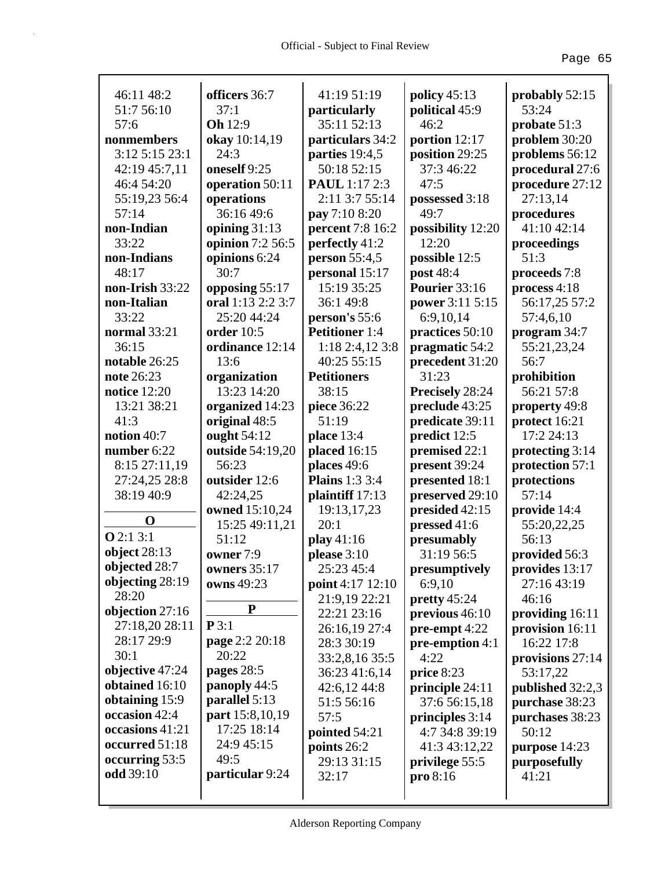| 46:11 48:2          | officers 36:7     | 41:19 51:19           | policy $45:13$    | probably 52:15   |
|---------------------|-------------------|-----------------------|-------------------|------------------|
| 51:7 56:10          | 37:1              | particularly          | political 45:9    | 53:24            |
| 57:6                | <b>Oh</b> 12:9    | 35:11 52:13           | 46:2              | probate $51:3$   |
| nonmembers          | okay 10:14,19     | particulars 34:2      | portion 12:17     | problem 30:20    |
| 3:12 5:15 23:1      | 24:3              | parties 19:4,5        | position 29:25    | problems 56:12   |
| 42:19 45:7,11       | oneself 9:25      | 50:18 52:15           | 37:3 46:22        | procedural 27:6  |
| 46:4 54:20          | operation 50:11   | <b>PAUL</b> 1:17 2:3  | 47:5              | procedure 27:12  |
| 55:19,23 56:4       | operations        | 2:11 3:7 55:14        | possessed 3:18    | 27:13,14         |
| 57:14               | 36:16 49:6        | pay 7:10 8:20         | 49:7              | procedures       |
| non-Indian          | opining $31:13$   | percent 7:8 16:2      | possibility 12:20 | 41:10 42:14      |
| 33:22               | opinion 7:2 56:5  | perfectly 41:2        | 12:20             | proceedings      |
| non-Indians         | opinions 6:24     | <b>person</b> 55:4,5  | possible 12:5     | 51:3             |
| 48:17               | 30:7              | personal 15:17        | post 48:4         | proceeds 7:8     |
| non-Irish 33:22     | opposing 55:17    | 15:19 35:25           | Pourier 33:16     | process 4:18     |
| non-Italian         | oral 1:13 2:2 3:7 | 36:1 49:8             | power 3:11 5:15   | 56:17,25 57:2    |
| 33:22               | 25:20 44:24       | person's 55:6         | 6:9,10,14         | 57:4,6,10        |
| normal 33:21        | order 10:5        | <b>Petitioner</b> 1:4 | practices 50:10   | program 34:7     |
| 36:15               | ordinance 12:14   | 1:18 2:4,12 3:8       | pragmatic 54:2    | 55:21,23,24      |
| notable 26:25       | 13:6              | 40:25 55:15           | precedent 31:20   | 56:7             |
| note 26:23          | organization      | <b>Petitioners</b>    | 31:23             | prohibition      |
| <b>notice</b> 12:20 | 13:23 14:20       | 38:15                 | Precisely 28:24   | 56:21 57:8       |
| 13:21 38:21         | organized 14:23   | piece 36:22           | preclude 43:25    | property 49:8    |
| 41:3                | original 48:5     | 51:19                 | predicate 39:11   | protect 16:21    |
| notion 40:7         | ought 54:12       | place 13:4            | predict 12:5      | 17:2 24:13       |
| number 6:22         | outside 54:19,20  | placed 16:15          | premised 22:1     | protecting 3:14  |
| 8:15 27:11,19       | 56:23             | places 49:6           | present 39:24     | protection 57:1  |
| 27:24,25 28:8       | outsider 12:6     | <b>Plains</b> 1:3 3:4 | presented 18:1    | protections      |
| 38:19 40:9          | 42:24,25          | plaintiff 17:13       | preserved 29:10   | 57:14            |
|                     | owned 15:10,24    | 19:13,17,23           | presided 42:15    | provide 14:4     |
| $\mathbf 0$         | 15:25 49:11,21    | 20:1                  | pressed 41:6      | 55:20,22,25      |
| <b>O</b> 2:1 3:1    | 51:12             | play $41:16$          | presumably        | 56:13            |
| object $28:13$      | owner 7:9         | please 3:10           | 31:19 56:5        | provided 56:3    |
| objected 28:7       | owners $35:17$    | 25:23 45:4            | presumptively     | provides 13:17   |
| objecting 28:19     | owns 49:23        | point 4:17 12:10      | 6:9,10            | 27:16 43:19      |
| 28:20               |                   | 21:9,19 22:21         | pretty $45:24$    | 46:16            |
| objection 27:16     | ${\bf P}$         | 22:21 23:16           | previous 46:10    | providing 16:11  |
| 27:18,20 28:11      | P3:1              | 26:16,19 27:4         | $pre$ -empt 4:22  | provision 16:11  |
| 28:17 29:9          | page 2:2 20:18    | 28:3 30:19            | pre-emption 4:1   | 16:22 17:8       |
| 30:1                | 20:22             | 33:2,8,16 35:5        | 4:22              | provisions 27:14 |
| objective 47:24     | pages 28:5        | 36:23 41:6,14         | price 8:23        | 53:17,22         |
| obtained 16:10      | panoply 44:5      | 42:6,12 44:8          | principle 24:11   | published 32:2,3 |
| obtaining 15:9      | parallel 5:13     | 51:5 56:16            | 37:6 56:15,18     | purchase 38:23   |
| occasion 42:4       | part 15:8,10,19   | 57:5                  | principles 3:14   | purchases 38:23  |
| occasions 41:21     | 17:25 18:14       | pointed 54:21         | 4:7 34:8 39:19    | 50:12            |
| occurred 51:18      | 24:9 45:15        | points 26:2           | 41:3 43:12,22     | purpose 14:23    |
| occurring 53:5      | 49:5              | 29:13 31:15           | privilege 55:5    | purposefully     |
| odd 39:10           | particular 9:24   | 32:17                 | pro 8:16          | 41:21            |
|                     |                   |                       |                   |                  |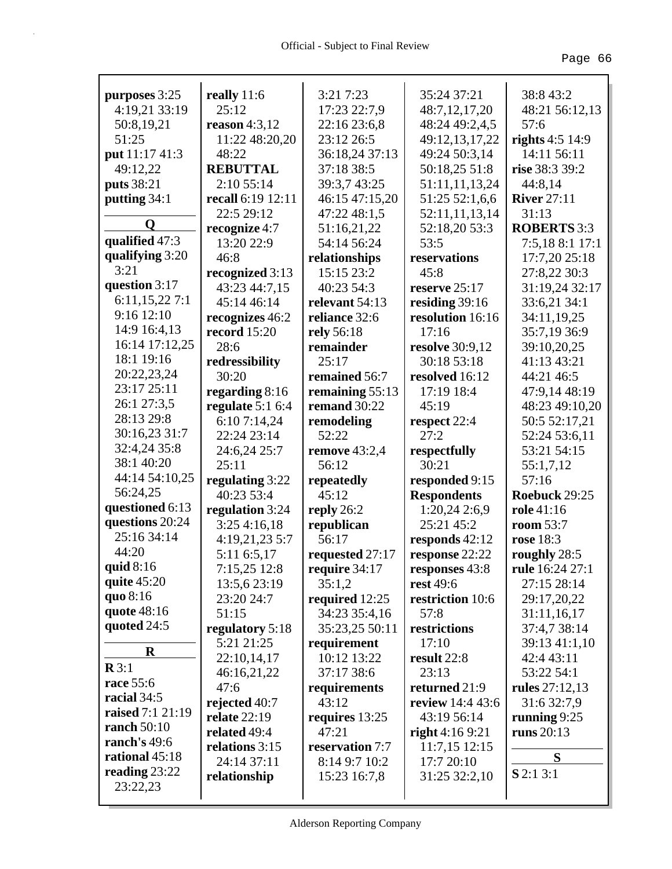| purposes 3:25               | really 11:6         | 3:21 7:23            | 35:24 37:21            | 38:8 43:2          |
|-----------------------------|---------------------|----------------------|------------------------|--------------------|
| 4:19,21 33:19               | 25:12               | 17:23 22:7,9         | 48:7,12,17,20          | 48:21 56:12,13     |
| 50:8,19,21                  | reason $4:3,12$     | 22:16 23:6,8         | 48:24 49:2,4,5         | 57:6               |
| 51:25                       | 11:22 48:20,20      | 23:12 26:5           | 49:12,13,17,22         | rights $4:5$ 14:9  |
| put 11:17 41:3              | 48:22               | 36:18,24 37:13       | 49:24 50:3,14          | 14:11 56:11        |
| 49:12,22                    | <b>REBUTTAL</b>     | 37:18 38:5           | 50:18,25 51:8          | rise 38:3 39:2     |
| puts 38:21                  | 2:10 55:14          | 39:3,7 43:25         | 51:11,11,13,24         | 44:8,14            |
| putting 34:1                | recall 6:19 12:11   | 46:15 47:15,20       | 51:25 52:1,6,6         | <b>River</b> 27:11 |
| Q                           | 22:5 29:12          | 47:22 48:1,5         | 52:11,11,13,14         | 31:13              |
|                             | recognize 4:7       | 51:16,21,22          | 52:18,20 53:3          | <b>ROBERTS</b> 3:3 |
| qualified 47:3              | 13:20 22:9          | 54:14 56:24          | 53:5                   | 7:5,18 8:1 17:1    |
| qualifying 3:20<br>3:21     | 46:8                | relationships        | reservations           | 17:7,20 25:18      |
| question 3:17               | recognized 3:13     | 15:15 23:2           | 45:8                   | 27:8,22 30:3       |
|                             | 43:23 44:7,15       | 40:23 54:3           | reserve $25:17$        | 31:19,24 32:17     |
| 6:11,15,227:1<br>9:16 12:10 | 45:14 46:14         | relevant 54:13       | residing 39:16         | 33:6,21 34:1       |
|                             | recognizes 46:2     | reliance 32:6        | resolution 16:16       | 34:11,19,25        |
| 14:9 16:4,13                | <b>record</b> 15:20 | <b>rely</b> 56:18    | 17:16                  | 35:7,19 36:9       |
| 16:14 17:12,25              | 28:6                | remainder            | <b>resolve</b> 30:9,12 | 39:10,20,25        |
| 18:1 19:16                  | redressibility      | 25:17                | 30:18 53:18            | 41:13 43:21        |
| 20:22,23,24<br>23:17 25:11  | 30:20               | remained 56:7        | resolved 16:12         | 44:21 46:5         |
|                             | regarding 8:16      | remaining 55:13      | 17:19 18:4             | 47:9,14 48:19      |
| 26:1 27:3,5<br>28:13 29:8   | regulate $5:16:4$   | remand 30:22         | 45:19                  | 48:23 49:10,20     |
|                             | 6:10 7:14,24        | remodeling           | respect 22:4           | 50:5 52:17,21      |
| 30:16,23 31:7               | 22:24 23:14         | 52:22                | 27:2                   | 52:24 53:6,11      |
| 32:4,24 35:8<br>38:1 40:20  | 24:6,24 25:7        | <b>remove</b> 43:2,4 | respectfully           | 53:21 54:15        |
| 44:14 54:10,25              | 25:11               | 56:12                | 30:21                  | 55:1,7,12          |
| 56:24,25                    | regulating 3:22     | repeatedly           | responded 9:15         | 57:16              |
| questioned 6:13             | 40:23 53:4          | 45:12                | <b>Respondents</b>     | Roebuck 29:25      |
| questions 20:24             | regulation 3:24     | reply $26:2$         | 1:20,242:6,9           | role 41:16         |
| 25:16 34:14                 | 3:254:16,18         | republican           | 25:21 45:2             | <b>room</b> 53:7   |
| 44:20                       | 4:19,21,23 5:7      | 56:17                | responds $42:12$       | rose 18:3          |
| quid 8:16                   | 5:11 6:5,17         | requested 27:17      | response 22:22         | roughly 28:5       |
| quite $45:20$               | 7:15,25 12:8        | require 34:17        | responses 43:8         | rule 16:24 27:1    |
| quo 8:16                    | 13:5,6 23:19        | 35:1,2               | rest 49:6              | 27:15 28:14        |
| quote 48:16                 | 23:20 24:7          | required 12:25       | restriction 10:6       | 29:17,20,22        |
| quoted $24:5$               | 51:15               | 34:23 35:4,16        | 57:8                   | 31:11,16,17        |
|                             | regulatory 5:18     | 35:23,25 50:11       | restrictions           | 37:4,7 38:14       |
| $\bf{R}$                    | 5:21 21:25          | requirement          | 17:10                  | 39:13 41:1,10      |
| $\mathbf{R} 3:1$            | 22:10,14,17         | 10:12 13:22          | result 22:8            | 42:4 43:11         |
| race 55:6                   | 46:16,21,22         | 37:17 38:6           | 23:13                  | 53:22 54:1         |
| racial 34:5                 | 47:6                | requirements         | returned 21:9          | rules 27:12,13     |
| raised 7:1 21:19            | rejected 40:7       | 43:12                | review 14:4 43:6       | 31:6 32:7,9        |
| ranch $50:10$               | relate $22:19$      | requires 13:25       | 43:19 56:14            | running $9:25$     |
| ranch's 49:6                | related 49:4        | 47:21                | right $4:169:21$       | runs 20:13         |
| rational 45:18              | relations 3:15      | reservation 7:7      | $11:7,15$ $12:15$      | S                  |
| reading $23:22$             | 24:14 37:11         | 8:14 9:7 10:2        | 17:7 20:10             | $S$ 2:1 3:1        |
| 23:22,23                    | relationship        | 15:23 16:7,8         | 31:25 32:2,10          |                    |
|                             |                     |                      |                        |                    |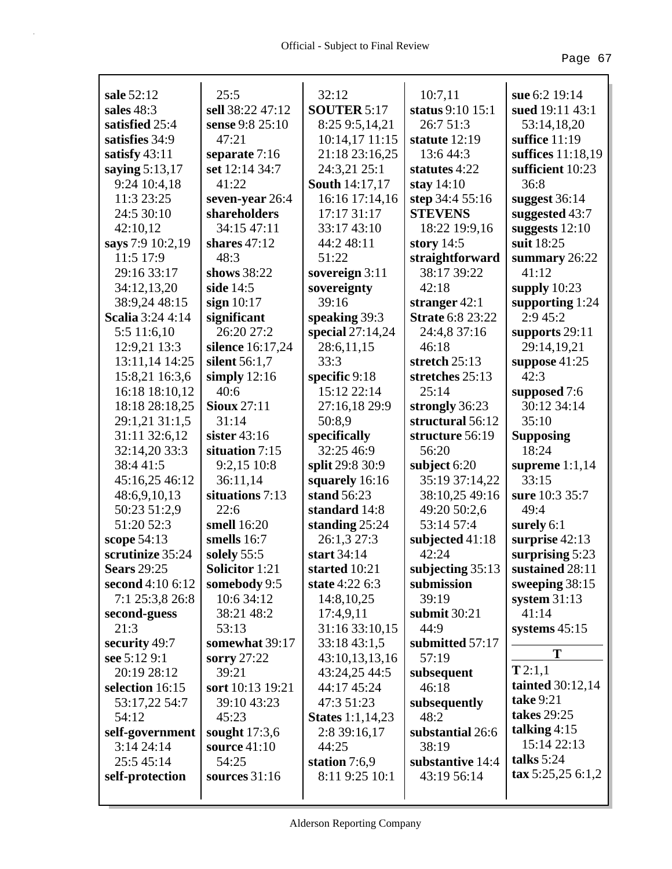| sale 52:12              | 25:5                  | 32:12                   | 10:7,11                 | sue 6:2 19:14                    |
|-------------------------|-----------------------|-------------------------|-------------------------|----------------------------------|
| sales 48:3              | sell 38:22 47:12      | <b>SOUTER 5:17</b>      | status 9:10 15:1        | sued 19:11 43:1                  |
| satisfied 25:4          | sense 9:8 25:10       | 8:25 9:5,14,21          | 26:7 51:3               | 53:14,18,20                      |
| satisfies 34:9          | 47:21                 | 10:14,17 11:15          | statute $12:19$         | suffice $11:19$                  |
| satisfy 43:11           | separate 7:16         | 21:18 23:16,25          | 13:6 44:3               | suffices 11:18,19                |
| saying 5:13,17          | set 12:14 34:7        | 24:3,21 25:1            | statutes 4:22           | sufficient 10:23                 |
| 9:24 10:4,18            | 41:22                 | <b>South 14:17,17</b>   | stay $14:10$            | 36:8                             |
| 11:3 23:25              | seven-year 26:4       | 16:16 17:14,16          | step 34:4 55:16         | suggest $36:14$                  |
| 24:5 30:10              | shareholders          | 17:17 31:17             | <b>STEVENS</b>          | suggested 43:7                   |
| 42:10,12                | 34:15 47:11           | 33:17 43:10             | 18:22 19:9,16           | suggests $12:10$                 |
| says 7:9 10:2,19        | shares $47:12$        | 44:2 48:11              | story $14:5$            | suit 18:25                       |
| 11:5 17:9               | 48:3                  | 51:22                   | straightforward         | summary $26:22$                  |
| 29:16 33:17             | shows 38:22           | sovereign $3:11$        | 38:17 39:22             | 41:12                            |
| 34:12,13,20             | side 14:5             | sovereignty             | 42:18                   | supply $10:23$                   |
| 38:9,24 48:15           | sign $10:17$          | 39:16                   | stranger $42:1$         | supporting $1:24$                |
| <b>Scalia</b> 3:24 4:14 | significant           | speaking 39:3           | <b>Strate 6:8 23:22</b> | 2:9 45:2                         |
| 5:5 11:6,10             | 26:20 27:2            | special 27:14,24        | 24:4,8 37:16            | supports 29:11                   |
| 12:9,21 13:3            | silence 16:17,24      | 28:6,11,15              | 46:18                   | 29:14,19,21                      |
| 13:11,14 14:25          | silent 56:1,7         | 33:3                    | stretch 25:13           | suppose $41:25$                  |
| 15:8,21 16:3,6          | simply $12:16$        | specific 9:18           | stretches 25:13         | 42:3                             |
| 16:18 18:10,12          | 40:6                  | 15:12 22:14             | 25:14                   | supposed 7:6                     |
| 18:18 28:18,25          | <b>Sioux</b> 27:11    | 27:16,18 29:9           | strongly 36:23          | 30:12 34:14                      |
| 29:1,21 31:1,5          | 31:14                 | 50:8,9                  | structural 56:12        | 35:10                            |
| 31:11 32:6,12           | sister $43:16$        | specifically            | structure 56:19         | <b>Supposing</b>                 |
| 32:14,20 33:3           | situation 7:15        | 32:25 46:9              | 56:20                   | 18:24                            |
| 38:441:5                | 9:2,15 10:8           | split 29:8 30:9         | subject 6:20            | supreme $1:1,14$                 |
| 45:16,25 46:12          | 36:11,14              | squarely 16:16          | 35:19 37:14,22          | 33:15                            |
| 48:6,9,10,13            | situations 7:13       | stand 56:23             | 38:10,25 49:16          | sure 10:3 35:7                   |
| 50:23 51:2,9            | 22:6                  | standard 14:8           | 49:20 50:2,6            | 49:4                             |
| 51:20 52:3              | smell 16:20           | standing $25:24$        | 53:14 57:4              | surely $6:1$                     |
| scope 54:13             | smells 16:7           | 26:1,3 27:3             | subjected $41:18$       | surprise 42:13                   |
| scrutinize 35:24        | solely 55:5           | start 34:14             | 42:24                   | surprising 5:23                  |
| <b>Sears</b> 29:25      | <b>Solicitor 1:21</b> | started 10:21           | subjecting 35:13        | sustained 28:11                  |
| second 4:10 6:12        | somebody 9:5          | state 4:22 6:3          | submission              | sweeping 38:15                   |
| 7:1 25:3,8 26:8         | 10:6 34:12            | 14:8,10,25              | 39:19                   | system $31:13$                   |
| second-guess            | 38:21 48:2            | 17:4,9,11               | submit 30:21            | 41:14                            |
| 21:3                    | 53:13                 | 31:16 33:10,15          | 44:9                    | systems 45:15                    |
| security 49:7           | somewhat 39:17        | 33:18 43:1,5            | submitted 57:17         | T                                |
| see 5:12 9:1            | sorry 27:22           | 43:10,13,13,16          | 57:19                   | T2:1,1                           |
| 20:19 28:12             | 39:21                 | 43:24,25 44:5           | subsequent              |                                  |
| selection 16:15         | sort 10:13 19:21      | 44:17 45:24             | 46:18                   | tainted $30:12,14$               |
| 53:17,22 54:7           | 39:10 43:23           | 47:3 51:23              | subsequently            | <b>take</b> 9:21                 |
| 54:12                   | 45:23                 | <b>States</b> 1:1,14,23 | 48:2                    | takes 29:25                      |
| self-government         | sought $17:3,6$       | 2:8 39:16,17            | substantial 26:6        | talking $4:15$<br>15:14 22:13    |
| 3:1424:14               | <b>source</b> 41:10   | 44:25                   | 38:19                   | talks 5:24                       |
| 25:5 45:14              | 54:25                 | station $7:6,9$         | substantive 14:4        |                                  |
| self-protection         | sources 31:16         | 8:11 9:25 10:1          | 43:19 56:14             | $\textbf{tax } 5:25,25 \; 6:1,2$ |
|                         |                       |                         |                         |                                  |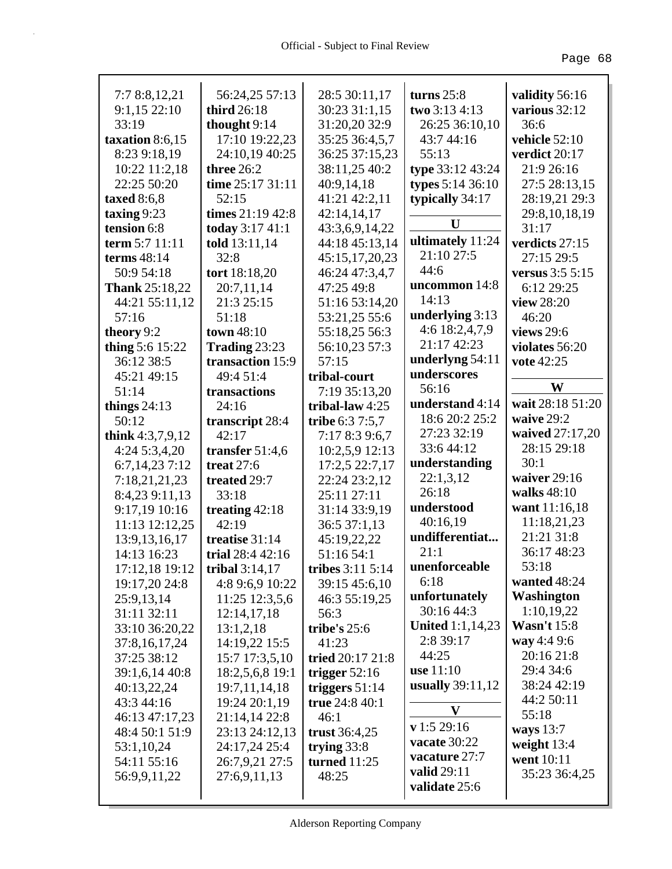| 7:7 8:8,12,21         | 56:24,25 57:13    | 28:5 30:11,17       | turns $25:8$            | validity 56:16     |
|-----------------------|-------------------|---------------------|-------------------------|--------------------|
| 9:1,1522:10           | third 26:18       | 30:23 31:1,15       | two 3:13 4:13           | various 32:12      |
| 33:19                 | thought 9:14      | 31:20,20 32:9       | 26:25 36:10,10          | 36:6               |
| taxation 8:6,15       | 17:10 19:22,23    | 35:25 36:4,5,7      | 43:7 44:16              | vehicle 52:10      |
| 8:23 9:18,19          | 24:10,19 40:25    | 36:25 37:15,23      | 55:13                   | verdict 20:17      |
| 10:22 11:2,18         | three 26:2        | 38:11,25 40:2       | type 33:12 43:24        | 21:9 26:16         |
| 22:25 50:20           | time 25:17 31:11  | 40:9,14,18          | types 5:14 36:10        | 27:5 28:13,15      |
| taxed $8:6,8$         | 52:15             | 41:21 42:2,11       | typically 34:17         | 28:19,21 29:3      |
| taxing $9:23$         | times 21:19 42:8  | 42:14,14,17         |                         | 29:8,10,18,19      |
| tension 6:8           | today 3:17 41:1   | 43:3,6,9,14,22      | U                       | 31:17              |
| term 5:7 11:11        | told 13:11,14     | 44:18 45:13,14      | ultimately 11:24        | verdicts 27:15     |
| terms 48:14           | 32:8              | 45:15,17,20,23      | 21:10 27:5              | 27:15 29:5         |
| 50:9 54:18            | tort 18:18,20     | 46:24 47:3,4,7      | 44:6                    | versus 3:5 5:15    |
| <b>Thank</b> 25:18,22 | 20:7,11,14        | 47:25 49:8          | uncommon 14:8           | 6:12 29:25         |
| 44:21 55:11,12        | 21:3 25:15        | 51:16 53:14,20      | 14:13                   | view 28:20         |
| 57:16                 | 51:18             | 53:21,25 55:6       | underlying 3:13         | 46:20              |
| theory 9:2            | town 48:10        | 55:18,25 56:3       | 4:6 18:2,4,7,9          | views 29:6         |
| thing 5:6 15:22       | Trading 23:23     | 56:10,23 57:3       | 21:17 42:23             | violates 56:20     |
| 36:12 38:5            | transaction 15:9  | 57:15               | underlyng 54:11         | vote 42:25         |
| 45:21 49:15           | 49:4 51:4         | tribal-court        | underscores             |                    |
| 51:14                 | transactions      | 7:19 35:13,20       | 56:16                   | W                  |
| things $24:13$        | 24:16             | tribal-law $4:25$   | understand 4:14         | wait 28:18 51:20   |
| 50:12                 | transcript 28:4   | tribe 6:3 7:5,7     | 18:6 20:2 25:2          | waive 29:2         |
| think $4:3,7,9,12$    | 42:17             | 7:17 8:3 9:6,7      | 27:23 32:19             | waived 27:17,20    |
| 4:245:3,4,20          | transfer $51:4,6$ | 10:2,5,9 12:13      | 33:6 44:12              | 28:15 29:18        |
| 6:7,14,23 7:12        | treat $27:6$      | 17:2,5 22:7,17      | understanding           | 30:1               |
| 7:18,21,21,23         | treated 29:7      | 22:24 23:2,12       | 22:1,3,12               | waiver 29:16       |
| 8:4,23 9:11,13        | 33:18             | 25:11 27:11         | 26:18                   | walks 48:10        |
| 9:17,19 10:16         | treating $42:18$  | 31:14 33:9,19       | understood              | want 11:16,18      |
| 11:13 12:12,25        | 42:19             | 36:5 37:1,13        | 40:16,19                | 11:18,21,23        |
| 13:9, 13, 16, 17      | treatise 31:14    | 45:19,22,22         | undifferentiat          | 21:21 31:8         |
| 14:13 16:23           | trial 28:4 42:16  | 51:16 54:1          | 21:1                    | 36:17 48:23        |
| 17:12,18 19:12        | tribal $3:14,17$  | tribes 3:11 5:14    | unenforceable           | 53:18              |
| 19:17,20 24:8         | 4:8 9:6,9 10:22   | 39:15 45:6,10       | 6:18                    | wanted 48:24       |
| 25:9,13,14            | 11:25 12:3,5,6    | 46:3 55:19,25       | unfortunately           | <b>Washington</b>  |
| 31:11 32:11           | 12:14,17,18       | 56:3                | 30:16 44:3              | 1:10,19,22         |
| 33:10 36:20,22        | 13:1,2,18         | tribe's $25:6$      | <b>United 1:1,14,23</b> | <b>Wasn't 15:8</b> |
| 37:8, 16, 17, 24      | 14:19,22 15:5     | 41:23               | 2:8 39:17               | way 4:4 9:6        |
| 37:25 38:12           | 15:7 17:3,5,10    | tried 20:17 21:8    | 44:25                   | 20:16 21:8         |
| 39:1,6,14 40:8        | 18:2,5,6,8 19:1   | trigger $52:16$     | <b>use</b> 11:10        | 29:4 34:6          |
| 40:13,22,24           | 19:7,11,14,18     | triggers $51:14$    | usually 39:11,12        | 38:24 42:19        |
| 43:3 44:16            | 19:24 20:1,19     | true 24:8 40:1      | V                       | 44:2 50:11         |
| 46:13 47:17,23        | 21:14,14 22:8     | 46:1                |                         | 55:18              |
| 48:4 50:1 51:9        | 23:13 24:12,13    | trust $36:4,25$     | v 1:5 29:16             | ways $13:7$        |
| 53:1,10,24            | 24:17,24 25:4     | trying $33:8$       | vacate 30:22            | weight 13:4        |
| 54:11 55:16           | 26:7,9,21 27:5    | <b>turned</b> 11:25 | vacature 27:7           | went 10:11         |
| 56:9,9,11,22          | 27:6,9,11,13      | 48:25               | valid 29:11             | 35:23 36:4,25      |
|                       |                   |                     | validate 25:6           |                    |